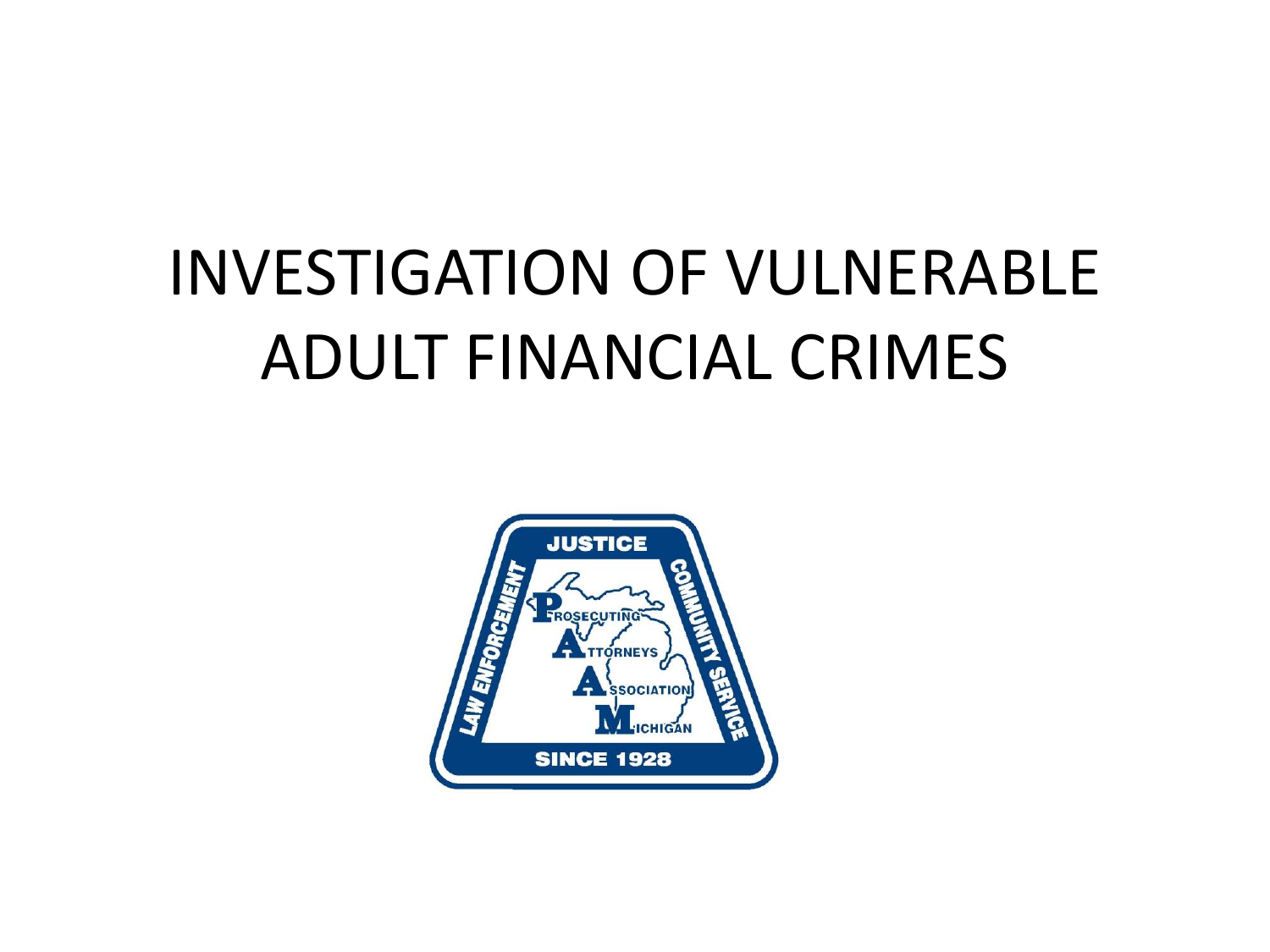## INVESTIGATION OF VULNERABLE ADULT FINANCIAL CRIMES

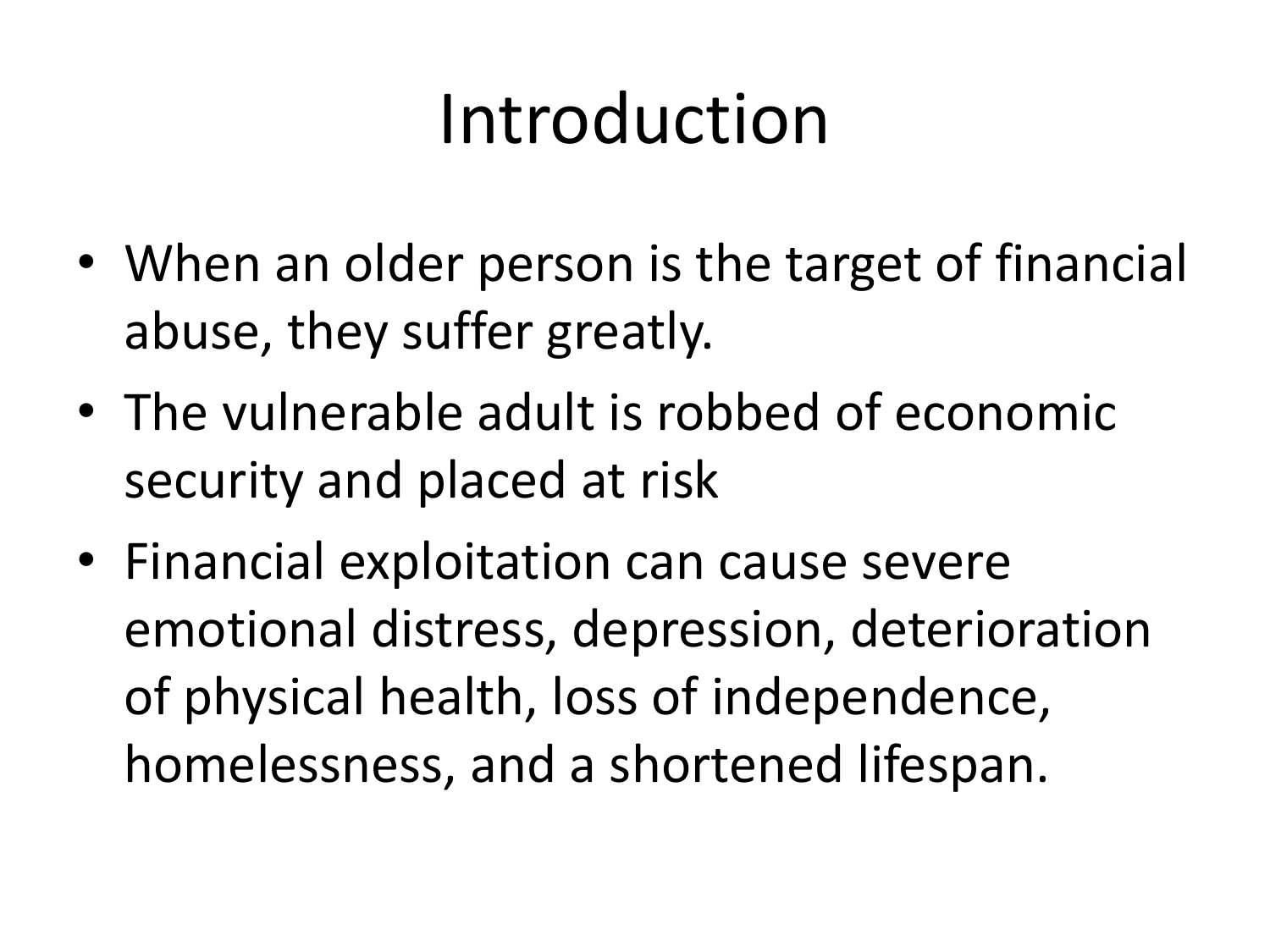# Introduction

- When an older person is the target of financial abuse, they suffer greatly.
- The vulnerable adult is robbed of economic security and placed at risk
- Financial exploitation can cause severe emotional distress, depression, deterioration of physical health, loss of independence, homelessness, and a shortened lifespan.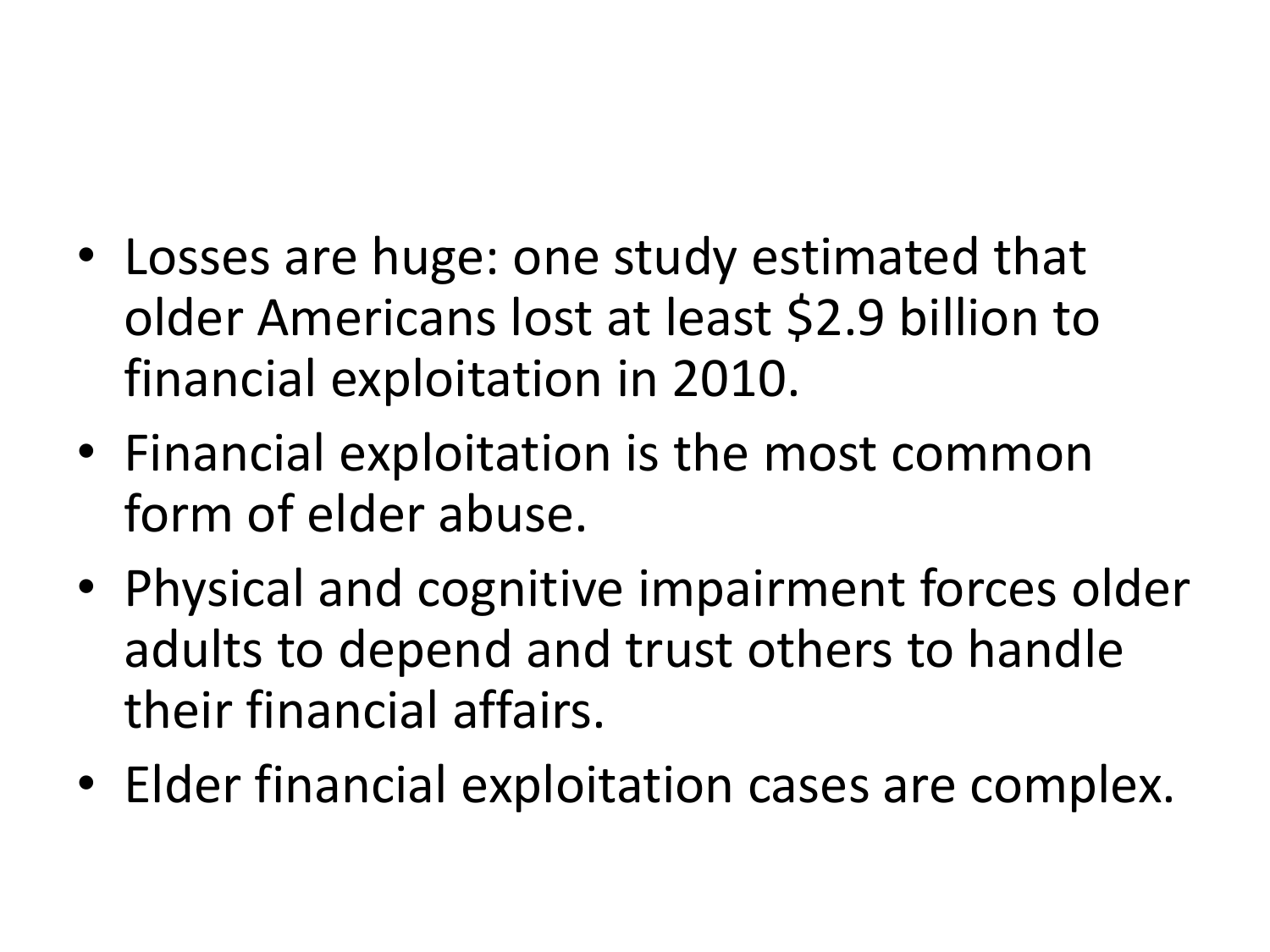- Losses are huge: one study estimated that older Americans lost at least \$2.9 billion to financial exploitation in 2010.
- Financial exploitation is the most common form of elder abuse.
- Physical and cognitive impairment forces older adults to depend and trust others to handle their financial affairs.
- Elder financial exploitation cases are complex.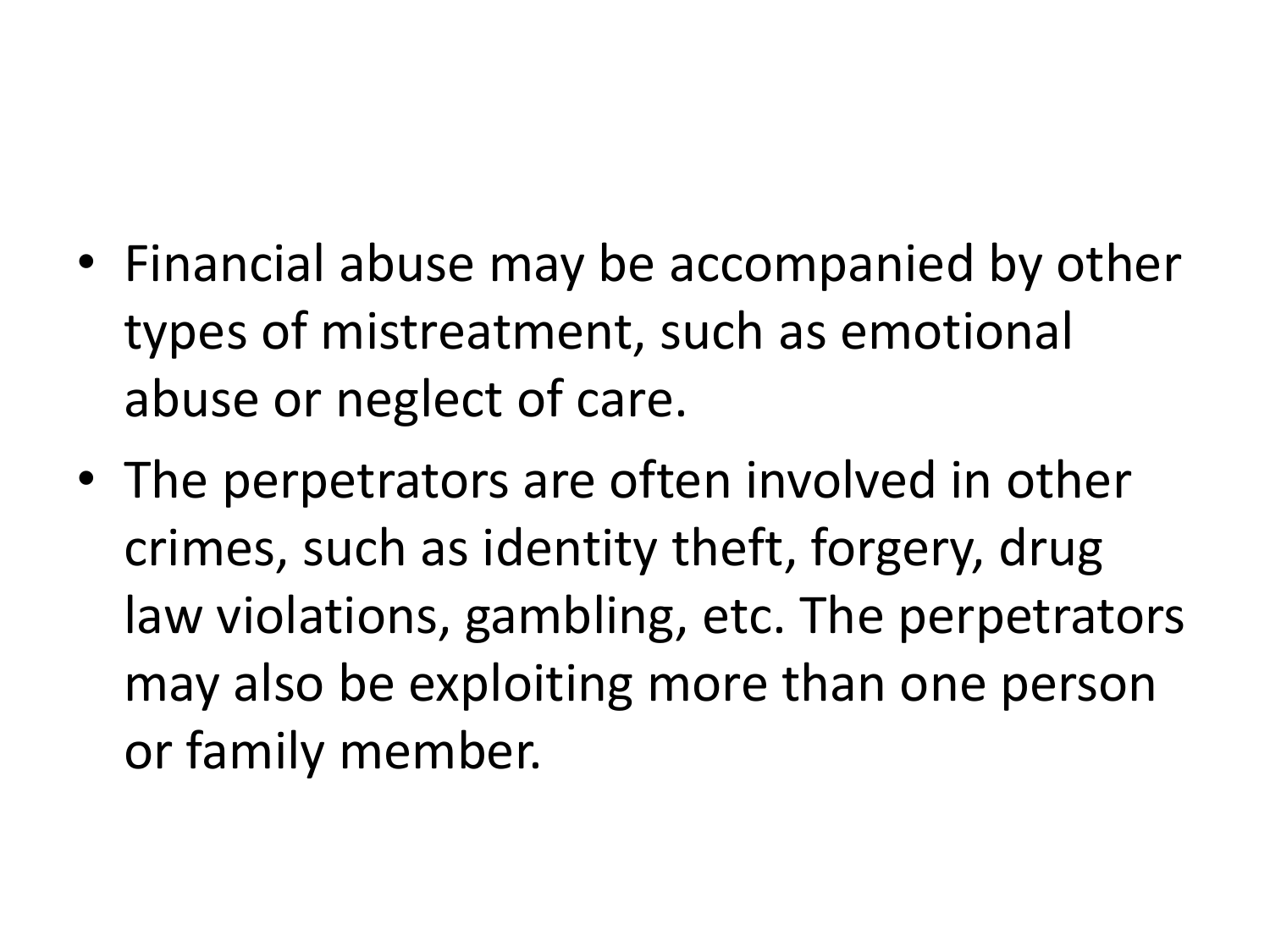- Financial abuse may be accompanied by other types of mistreatment, such as emotional abuse or neglect of care.
- The perpetrators are often involved in other crimes, such as identity theft, forgery, drug law violations, gambling, etc. The perpetrators may also be exploiting more than one person or family member.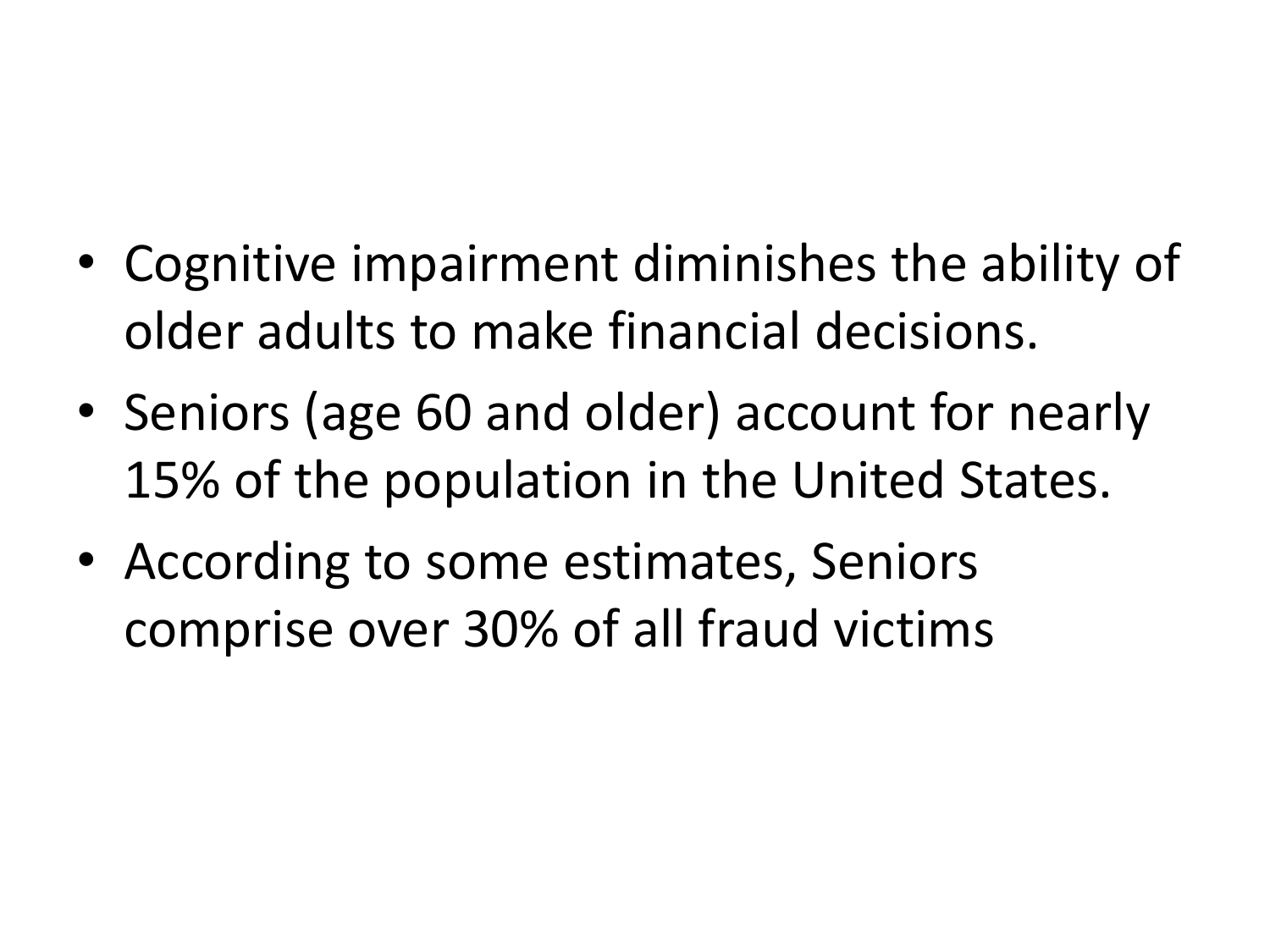- Cognitive impairment diminishes the ability of older adults to make financial decisions.
- Seniors (age 60 and older) account for nearly 15% of the population in the United States.
- According to some estimates, Seniors comprise over 30% of all fraud victims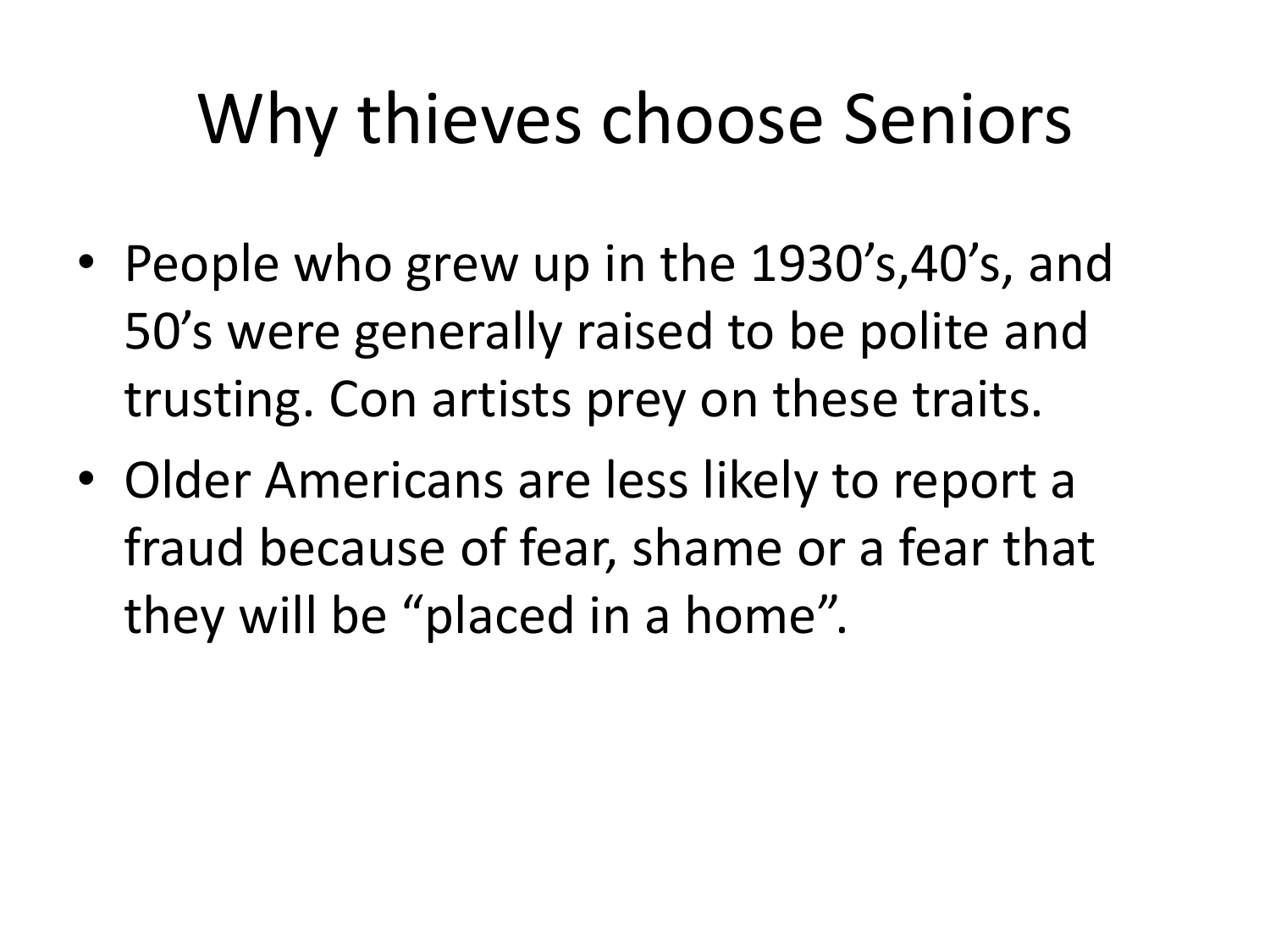# Why thieves choose Seniors

- People who grew up in the 1930's,40's, and 50's were generally raised to be polite and trusting. Con artists prey on these traits.
- Older Americans are less likely to report a fraud because of fear, shame or a fear that they will be "placed in a home".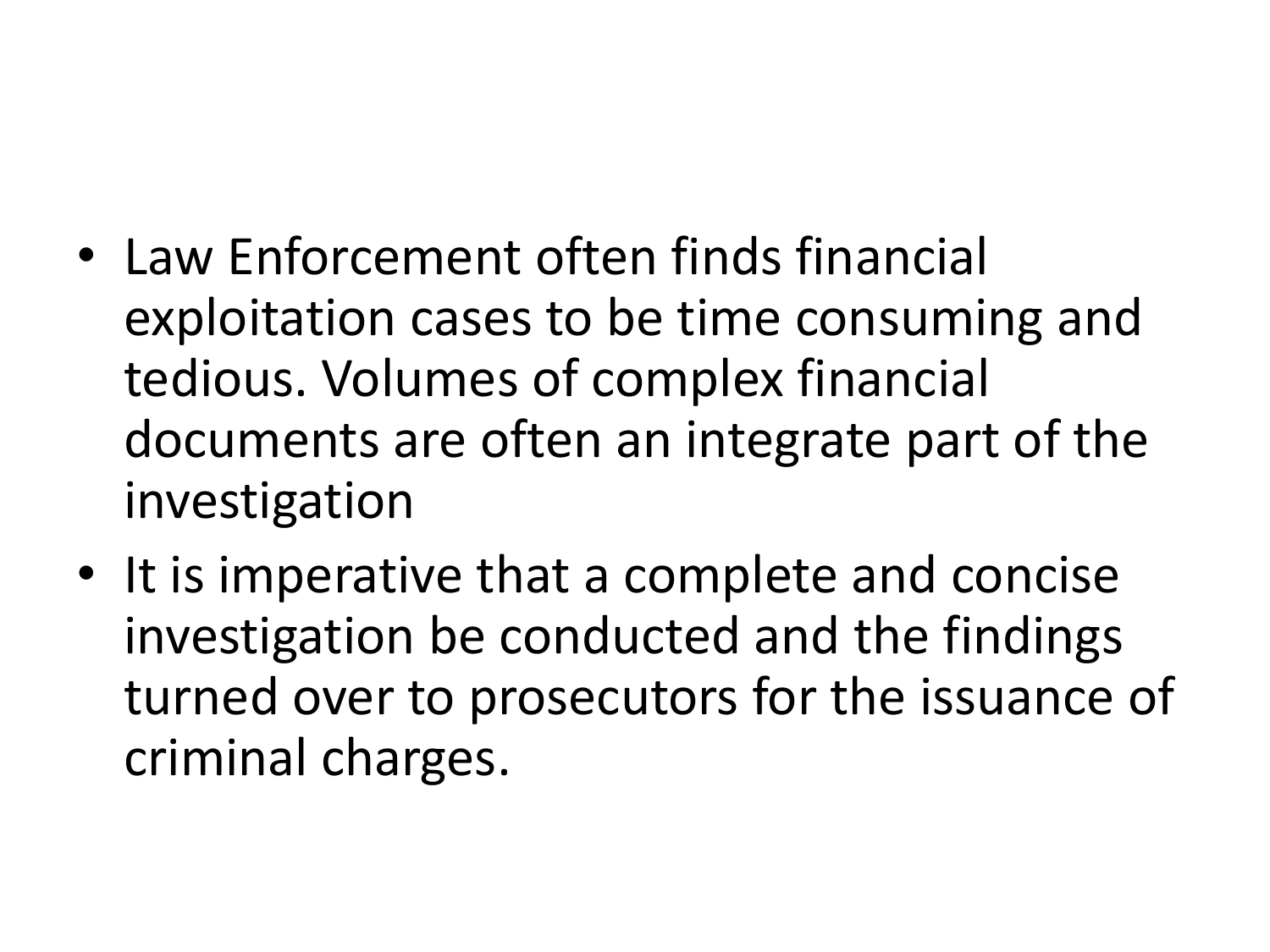- Law Enforcement often finds financial exploitation cases to be time consuming and tedious. Volumes of complex financial documents are often an integrate part of the investigation
- It is imperative that a complete and concise investigation be conducted and the findings turned over to prosecutors for the issuance of criminal charges.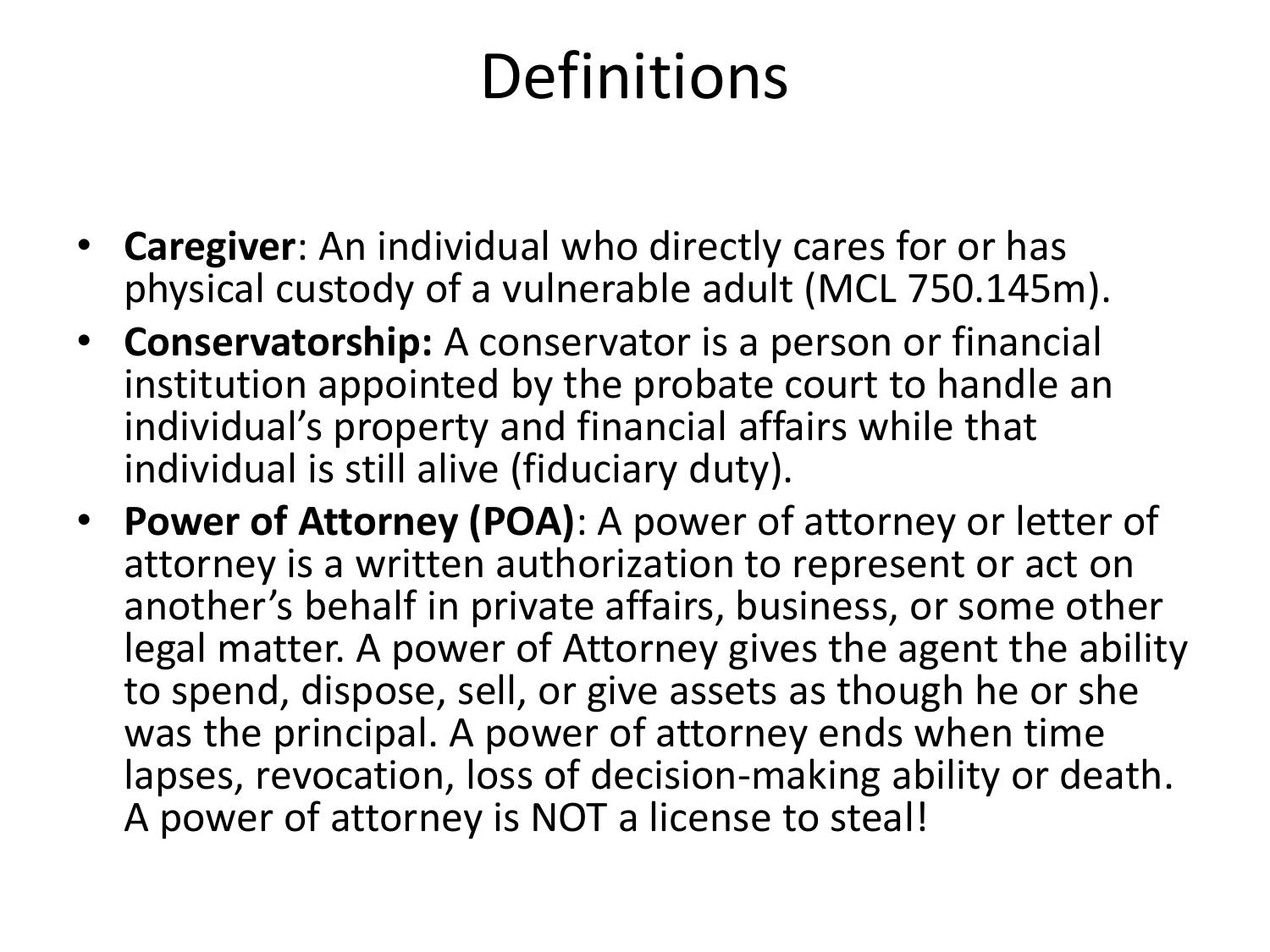### Definitions

- **Caregiver**: An individual who directly cares for or has physical custody of a vulnerable adult (MCL 750.145m).
- **Conservatorship:** A conservator is a person or financial institution appointed by the probate court to handle an individual's property and financial affairs while that individual is still alive (fiduciary duty).
- **Power of Attorney (POA)**: A power of attorney or letter of attorney is a written authorization to represent or act on another's behalf in private affairs, business, or some other legal matter. A power of Attorney gives the agent the ability to spend, dispose, sell, or give assets as though he or she was the principal. A power of attorney ends when time lapses, revocation, loss of decision-making ability or death. A power of attorney is NOT a license to steal!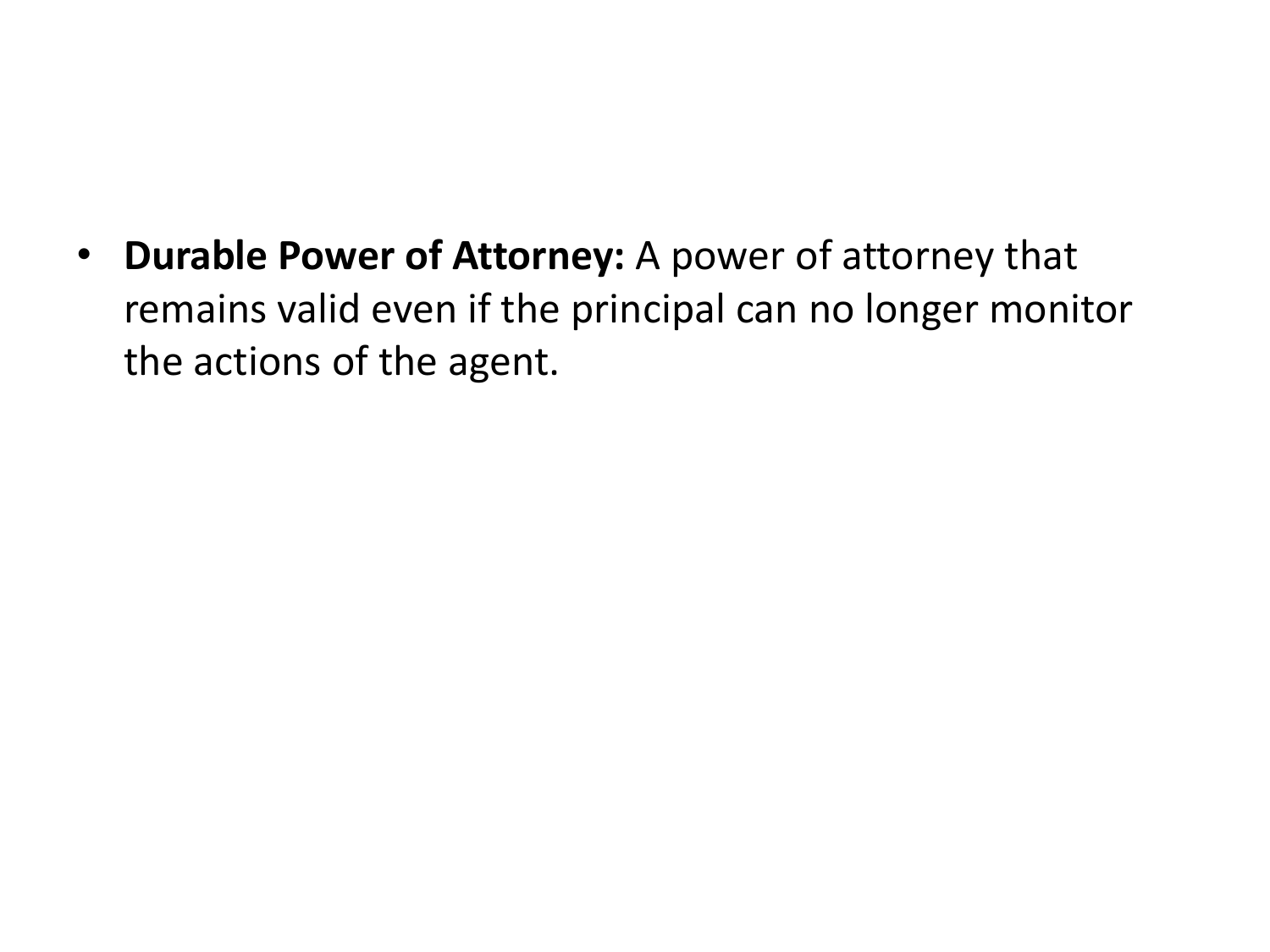• **Durable Power of Attorney:** A power of attorney that remains valid even if the principal can no longer monitor the actions of the agent.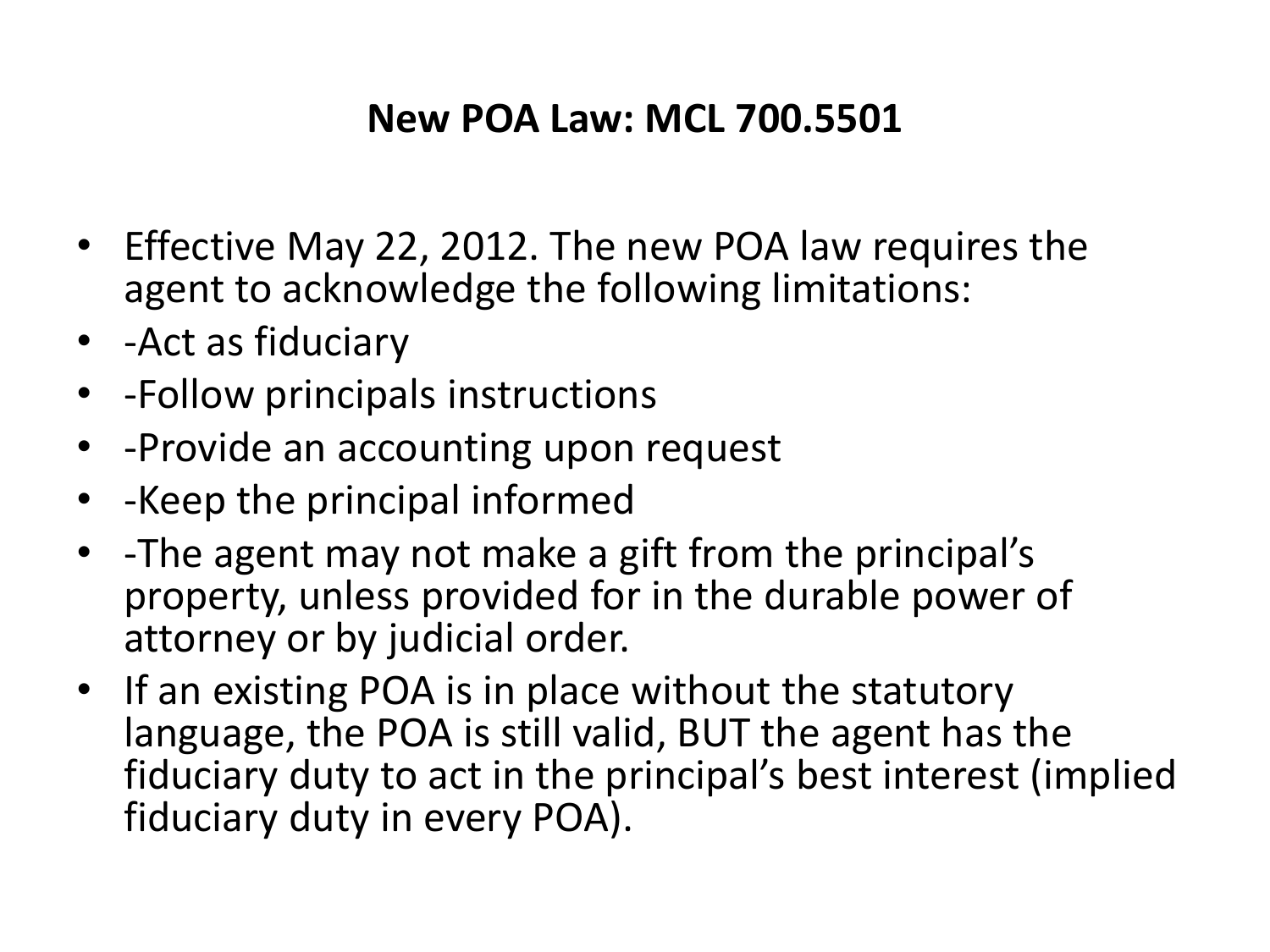#### **New POA Law: MCL 700.5501**

- Effective May 22, 2012. The new POA law requires the agent to acknowledge the following limitations:
- -Act as fiduciary
- -Follow principals instructions
- -Provide an accounting upon request
- -Keep the principal informed
- -The agent may not make a gift from the principal's property, unless provided for in the durable power of attorney or by judicial order.
- If an existing POA is in place without the statutory language, the POA is still valid, BUT the agent has the fiduciary duty to act in the principal's best interest (implied fiduciary duty in every POA).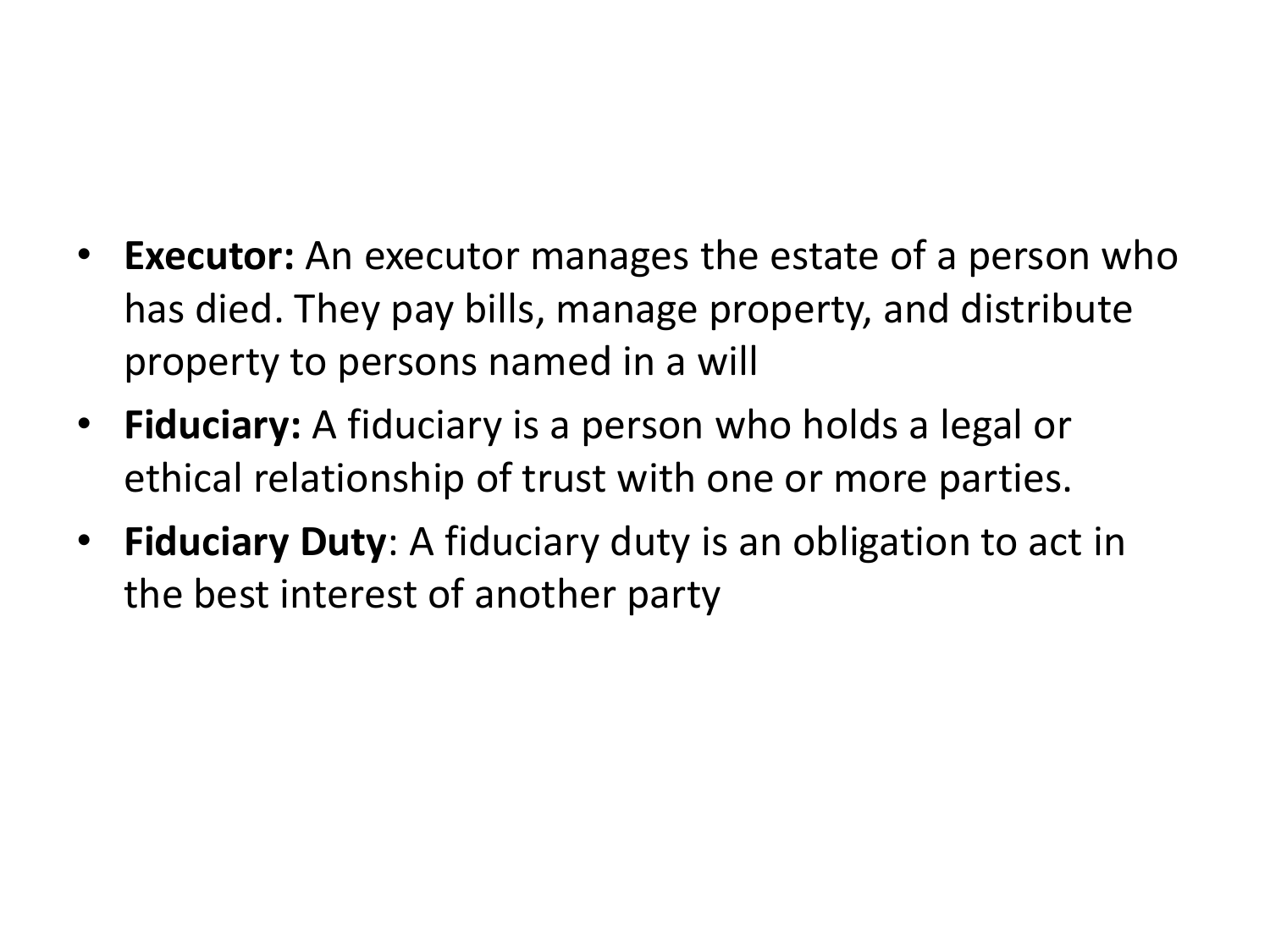- **Executor:** An executor manages the estate of a person who has died. They pay bills, manage property, and distribute property to persons named in a will
- **Fiduciary:** A fiduciary is a person who holds a legal or ethical relationship of trust with one or more parties.
- **Fiduciary Duty**: A fiduciary duty is an obligation to act in the best interest of another party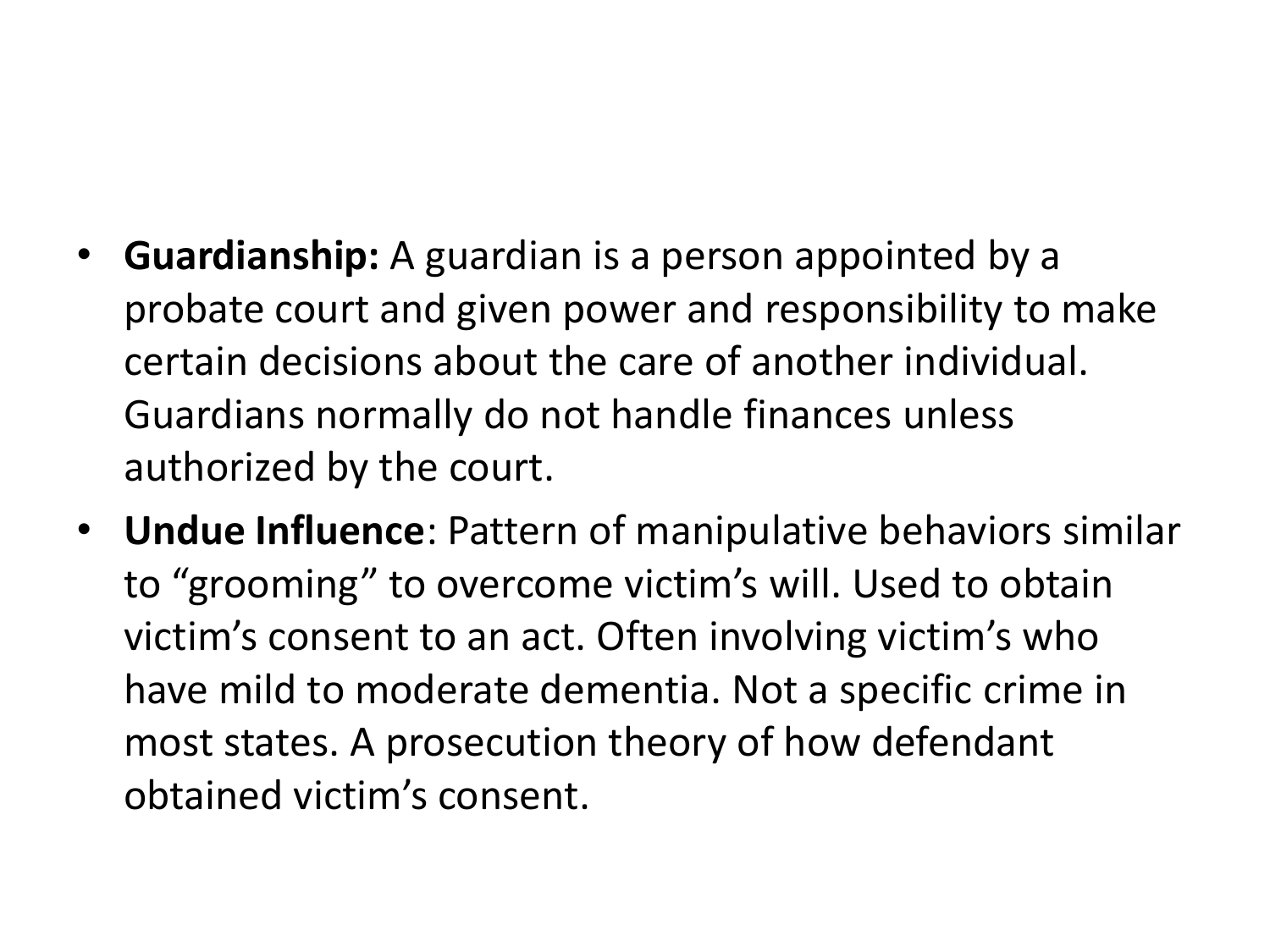- **Guardianship:** A guardian is a person appointed by a probate court and given power and responsibility to make certain decisions about the care of another individual. Guardians normally do not handle finances unless authorized by the court.
- **Undue Influence**: Pattern of manipulative behaviors similar to "grooming" to overcome victim's will. Used to obtain victim's consent to an act. Often involving victim's who have mild to moderate dementia. Not a specific crime in most states. A prosecution theory of how defendant obtained victim's consent.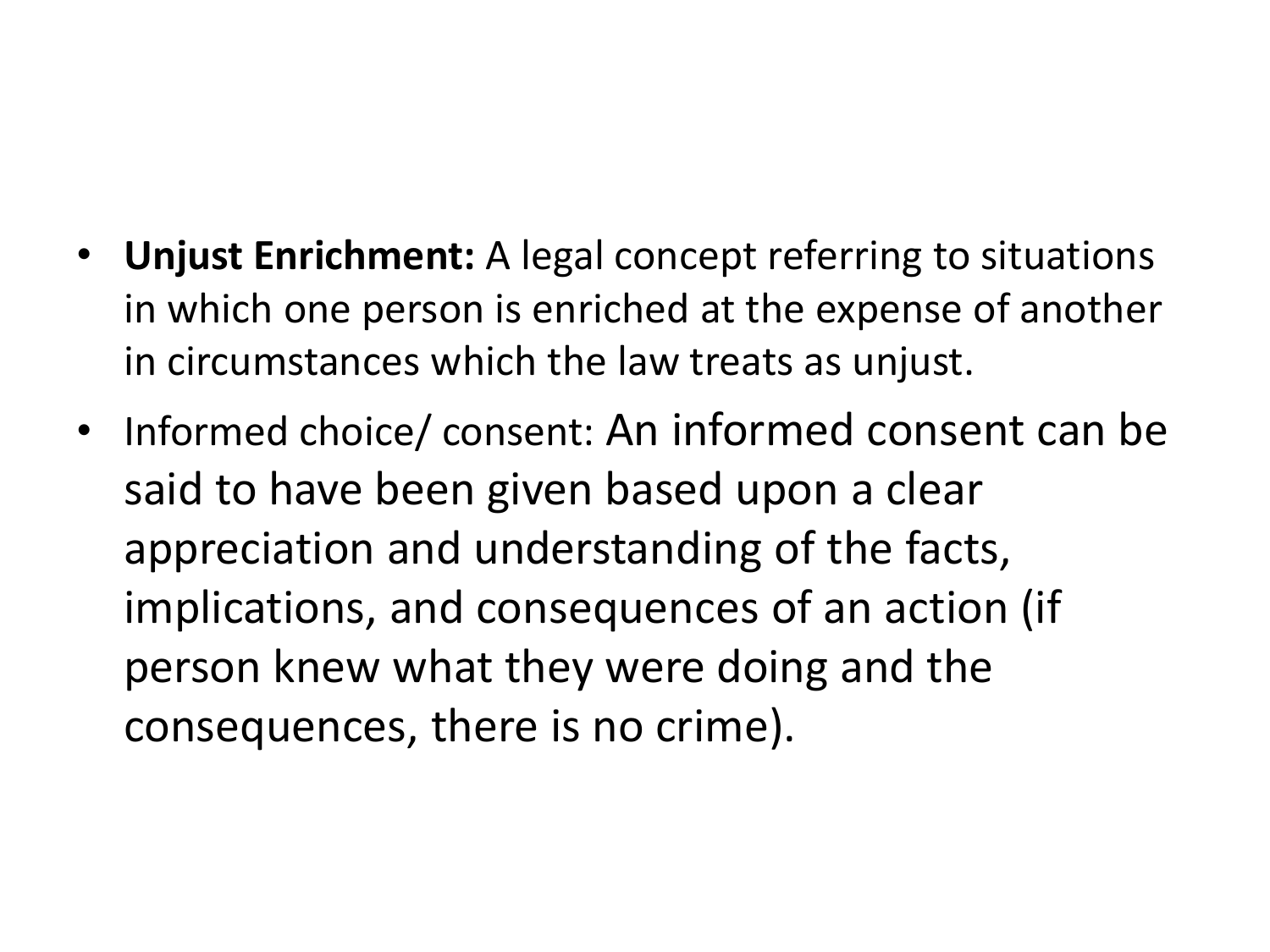- **Unjust Enrichment:** A legal concept referring to situations in which one person is enriched at the expense of another in circumstances which the law treats as unjust.
- Informed choice/ consent: An informed consent can be said to have been given based upon a clear appreciation and understanding of the facts, implications, and consequences of an action (if person knew what they were doing and the consequences, there is no crime).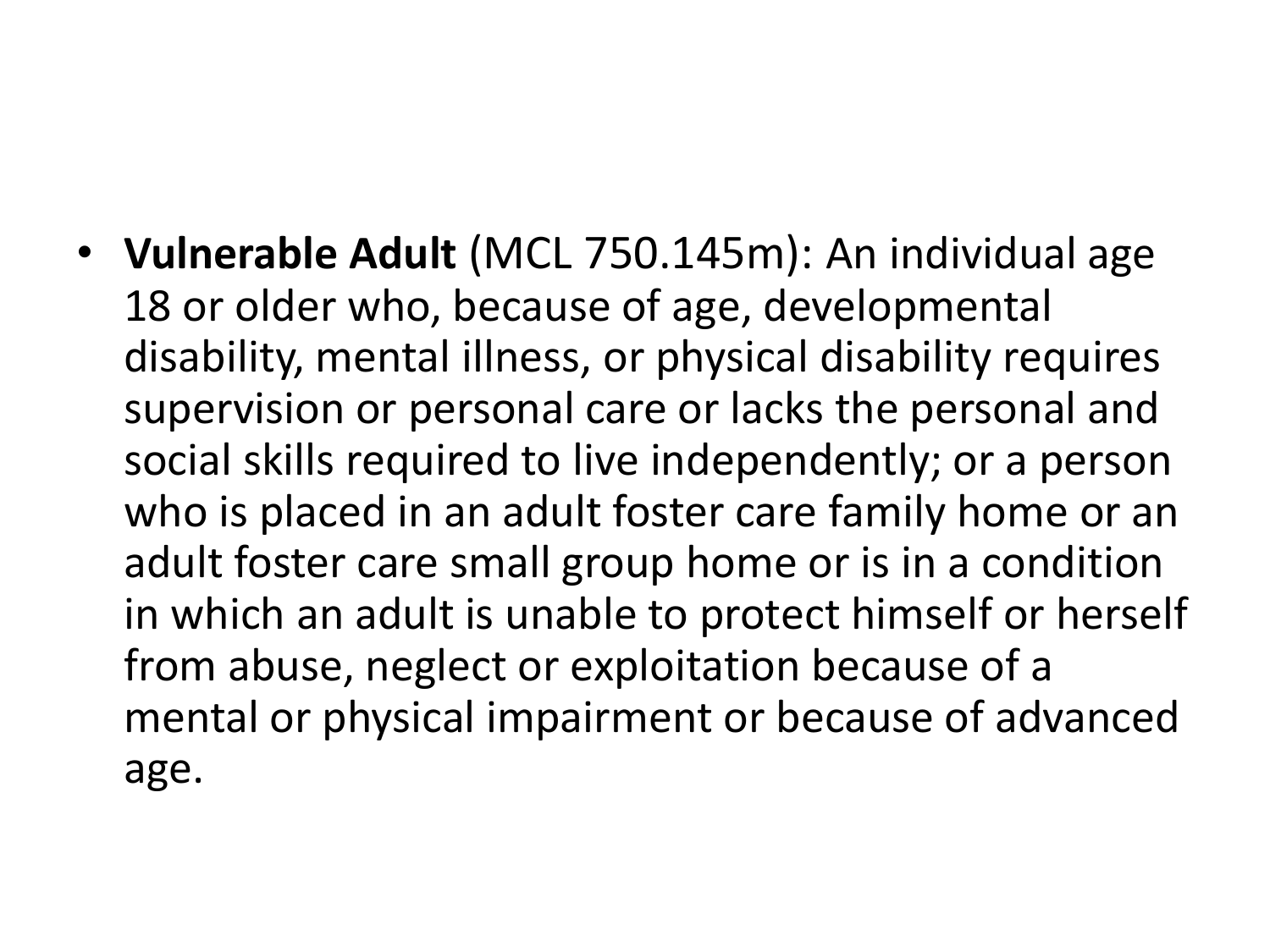• **Vulnerable Adult** (MCL 750.145m): An individual age 18 or older who, because of age, developmental disability, mental illness, or physical disability requires supervision or personal care or lacks the personal and social skills required to live independently; or a person who is placed in an adult foster care family home or an adult foster care small group home or is in a condition in which an adult is unable to protect himself or herself from abuse, neglect or exploitation because of a mental or physical impairment or because of advanced age.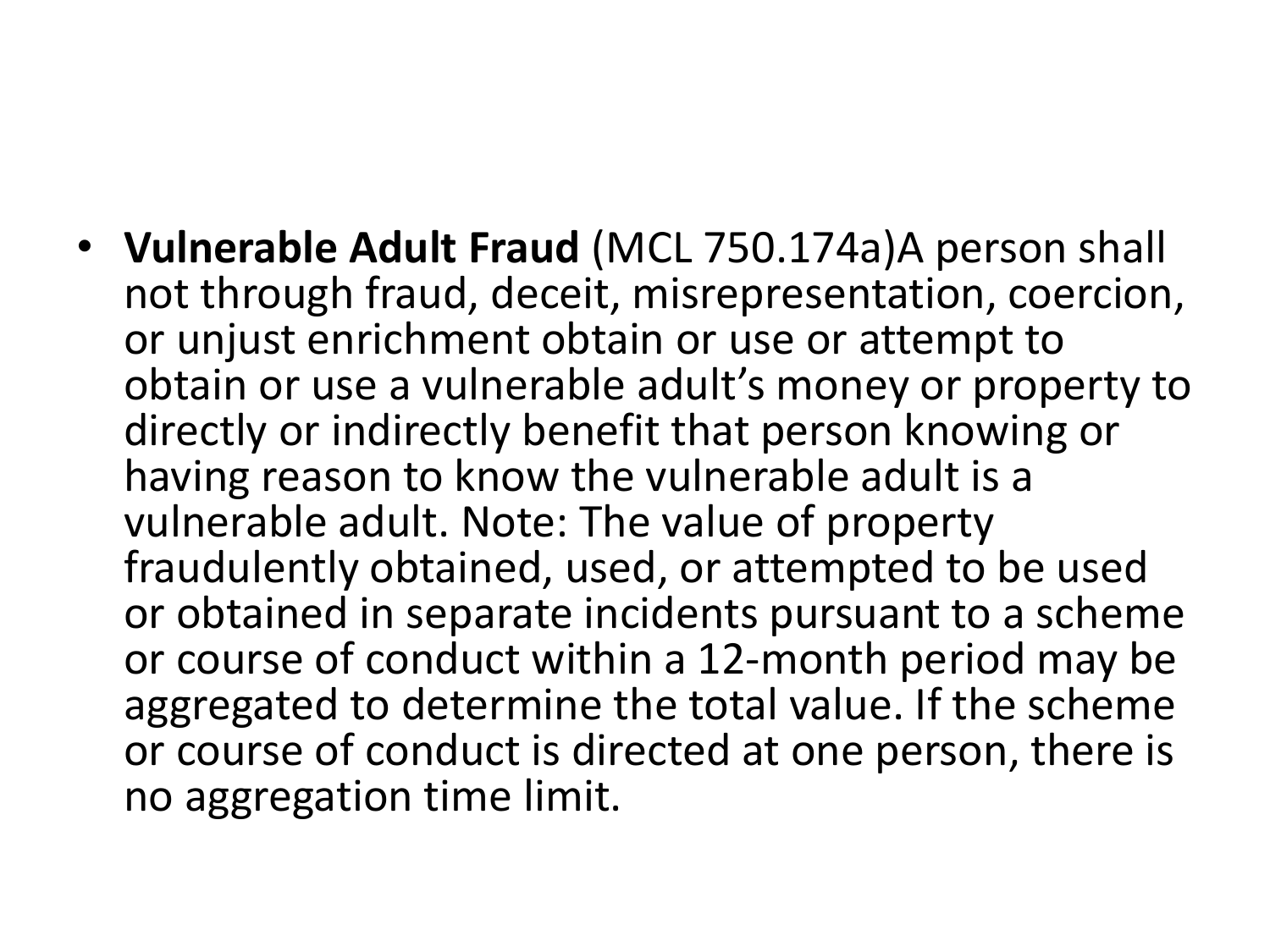• **Vulnerable Adult Fraud** (MCL 750.174a)A person shall not through fraud, deceit, misrepresentation, coercion, or unjust enrichment obtain or use or attempt to obtain or use a vulnerable adult's money or property to directly or indirectly benefit that person knowing or having reason to know the vulnerable adult is a vulnerable adult. Note: The value of property fraudulently obtained, used, or attempted to be used or obtained in separate incidents pursuant to a scheme or course of conduct within a 12-month period may be aggregated to determine the total value. If the scheme or course of conduct is directed at one person, there is no aggregation time limit.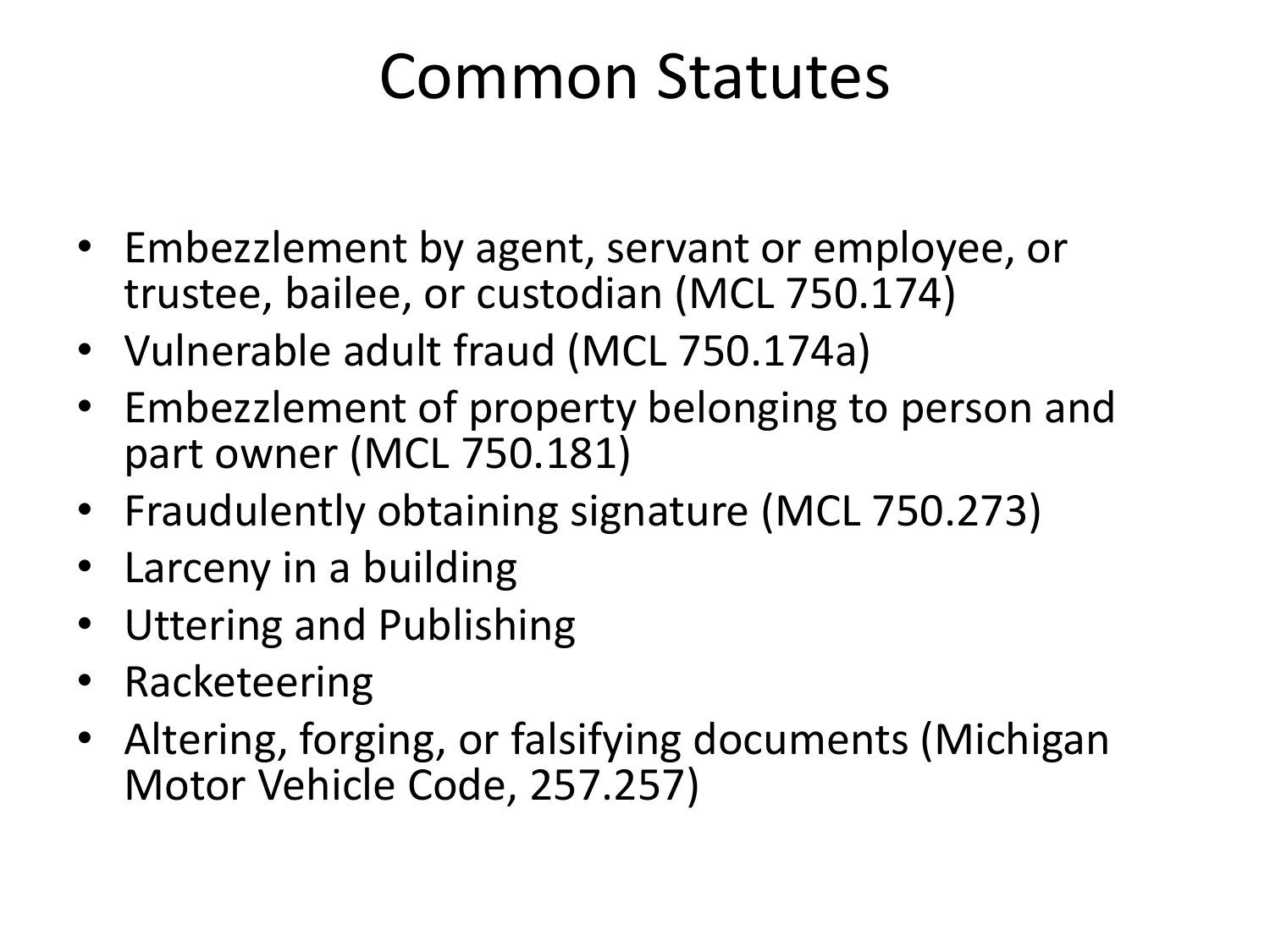#### Common Statutes

- Embezzlement by agent, servant or employee, or trustee, bailee, or custodian (MCL 750.174)
- Vulnerable adult fraud (MCL 750.174a)
- Embezzlement of property belonging to person and part owner (MCL 750.181)
- Fraudulently obtaining signature (MCL 750.273)
- Larceny in a building
- Uttering and Publishing
- Racketeering
- Altering, forging, or falsifying documents (Michigan Motor Vehicle Code, 257.257)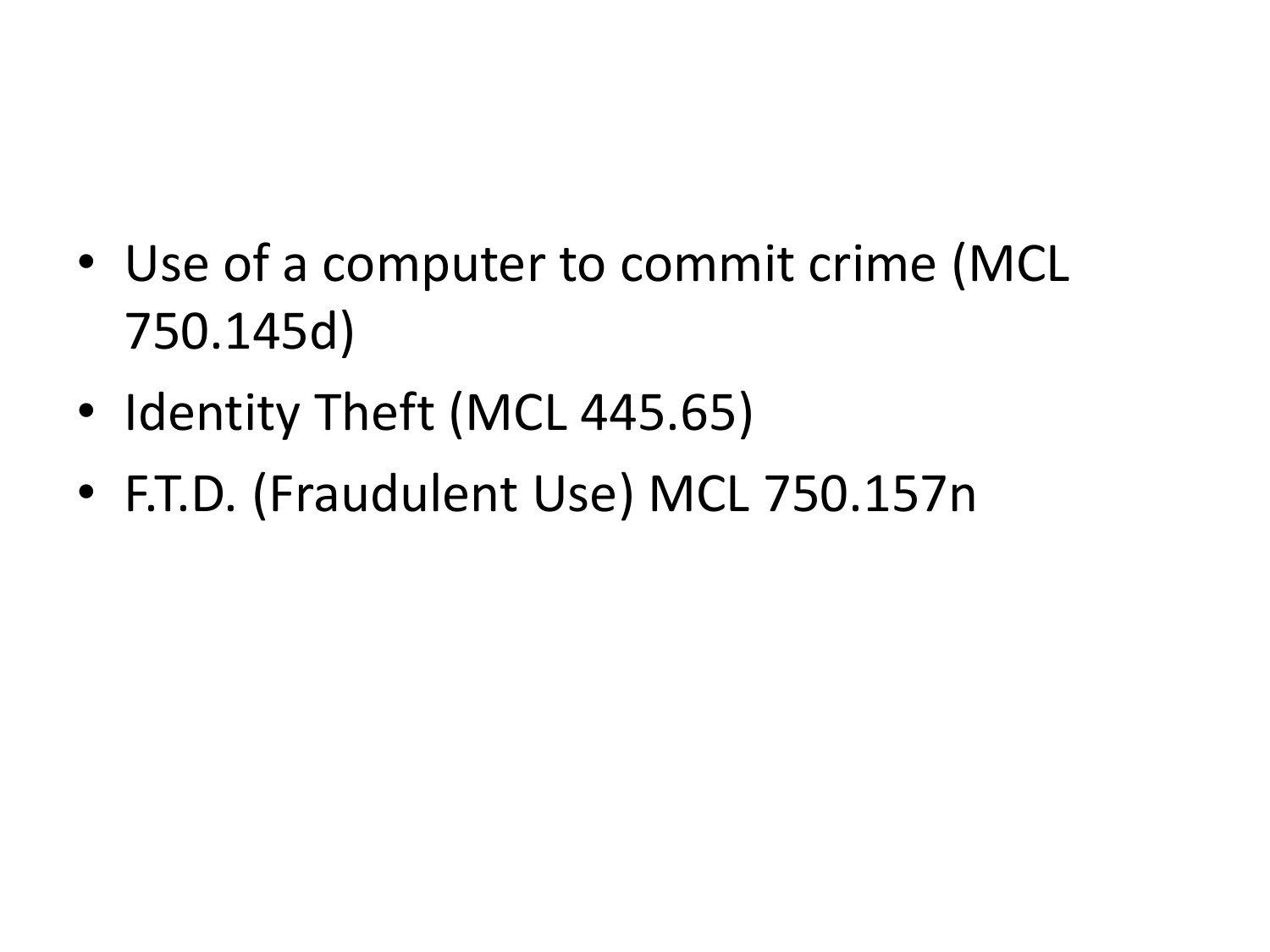- Use of a computer to commit crime (MCL 750.145d)
- Identity Theft (MCL 445.65)
- F.T.D. (Fraudulent Use) MCL 750.157n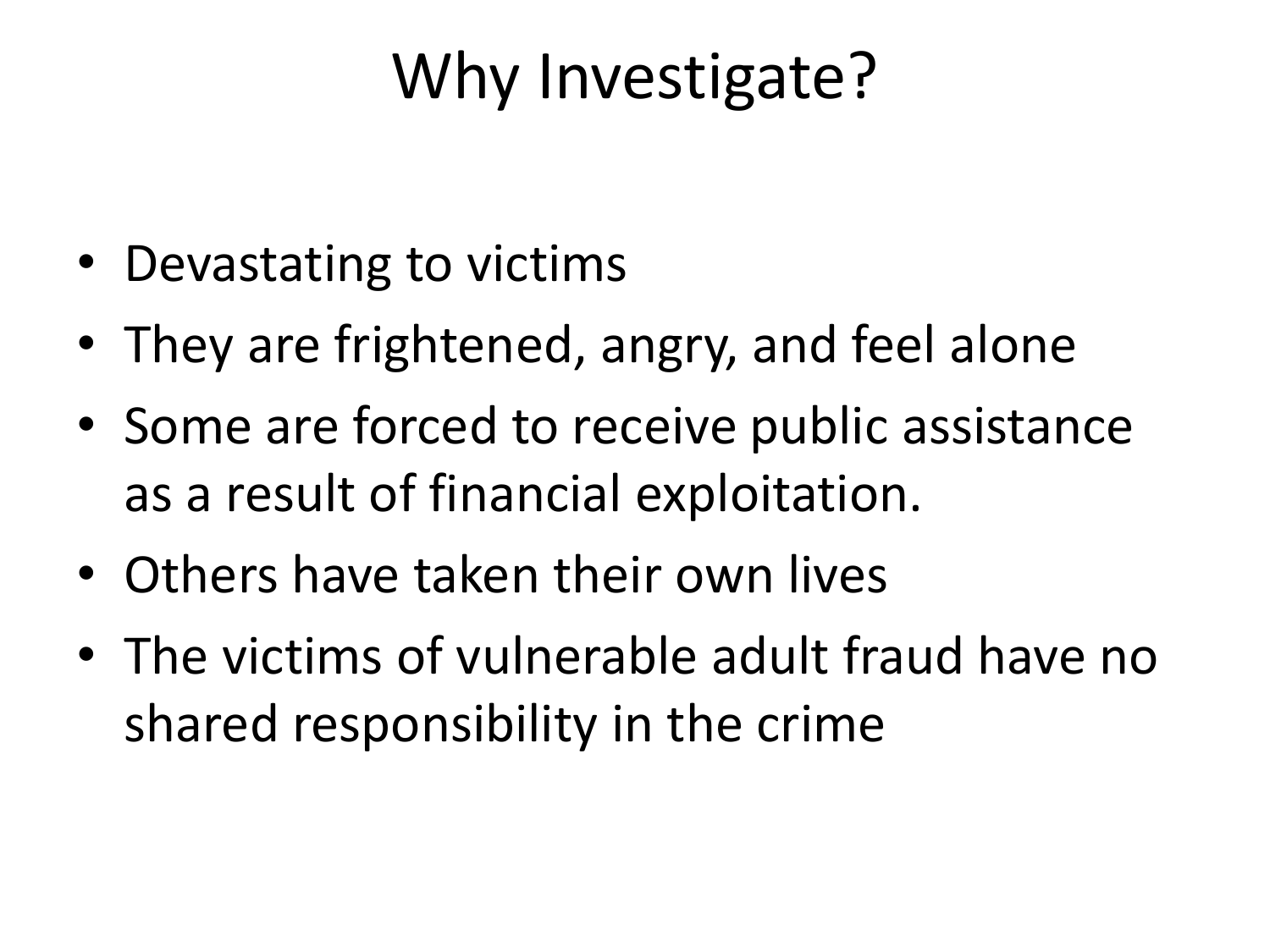### Why Investigate?

- Devastating to victims
- They are frightened, angry, and feel alone
- Some are forced to receive public assistance as a result of financial exploitation.
- Others have taken their own lives
- The victims of vulnerable adult fraud have no shared responsibility in the crime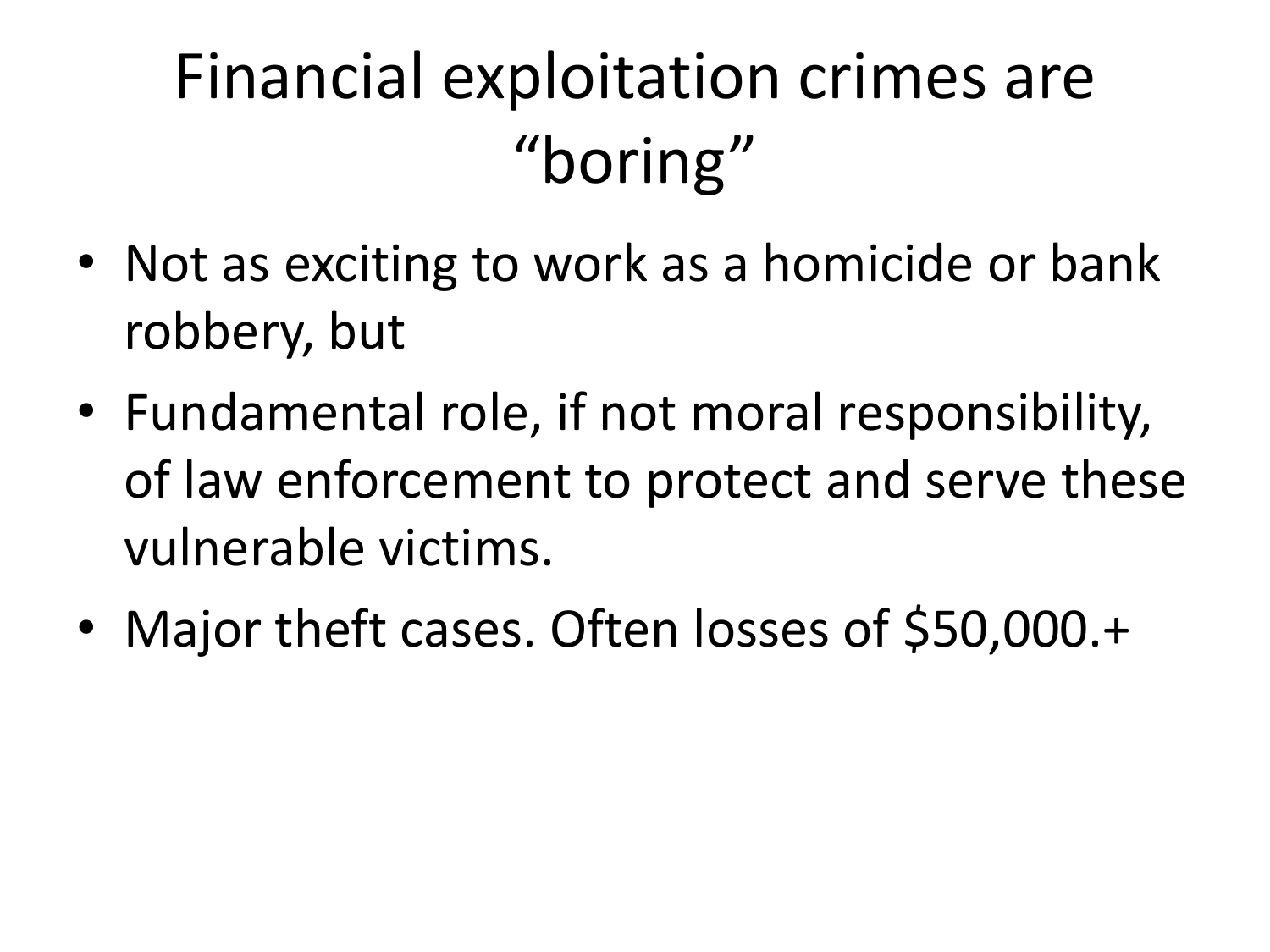# Financial exploitation crimes are "boring"

- Not as exciting to work as a homicide or bank robbery, but
- Fundamental role, if not moral responsibility, of law enforcement to protect and serve these vulnerable victims.
- Major theft cases. Often losses of \$50,000.+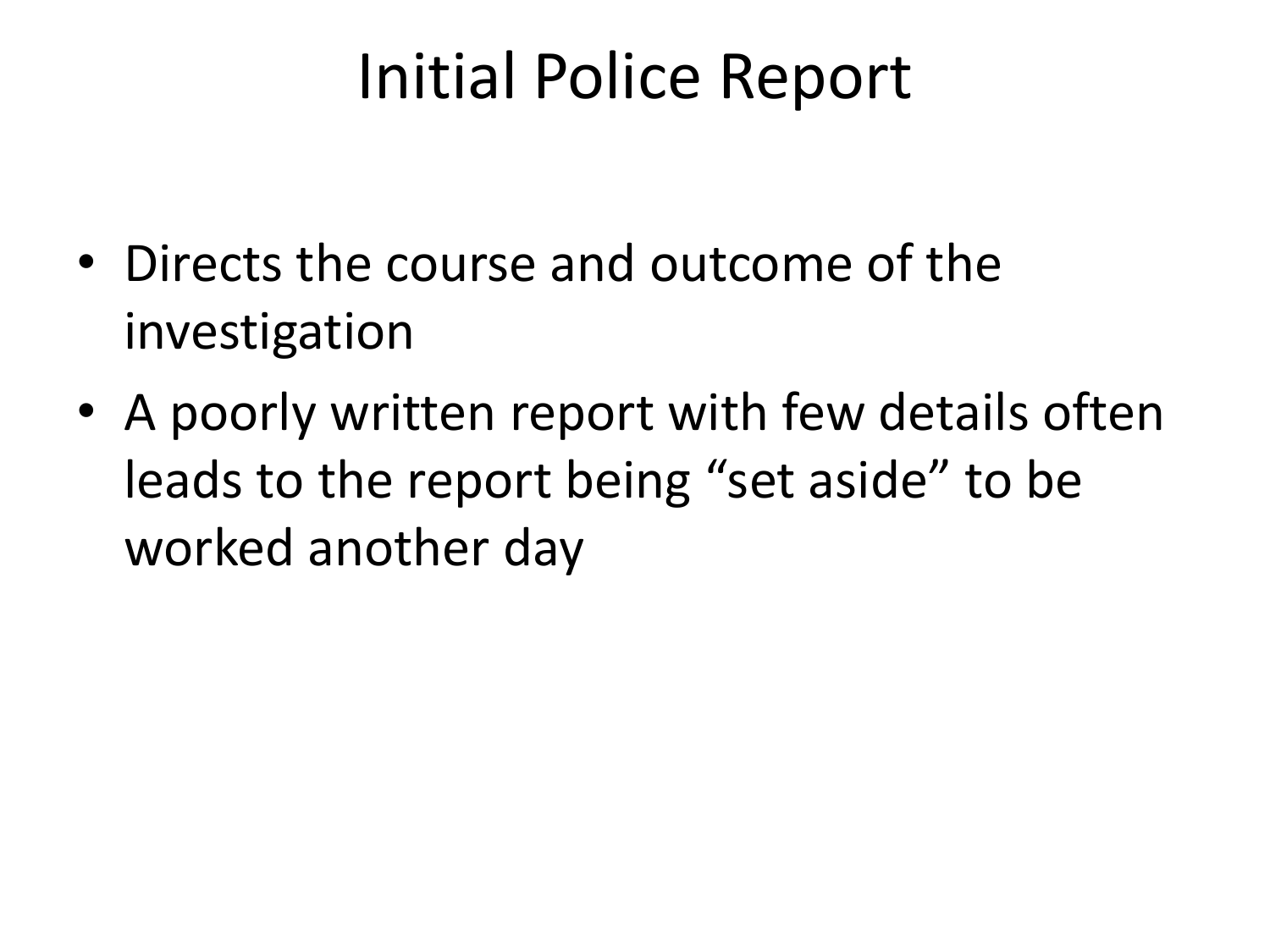#### Initial Police Report

- Directs the course and outcome of the investigation
- A poorly written report with few details often leads to the report being "set aside" to be worked another day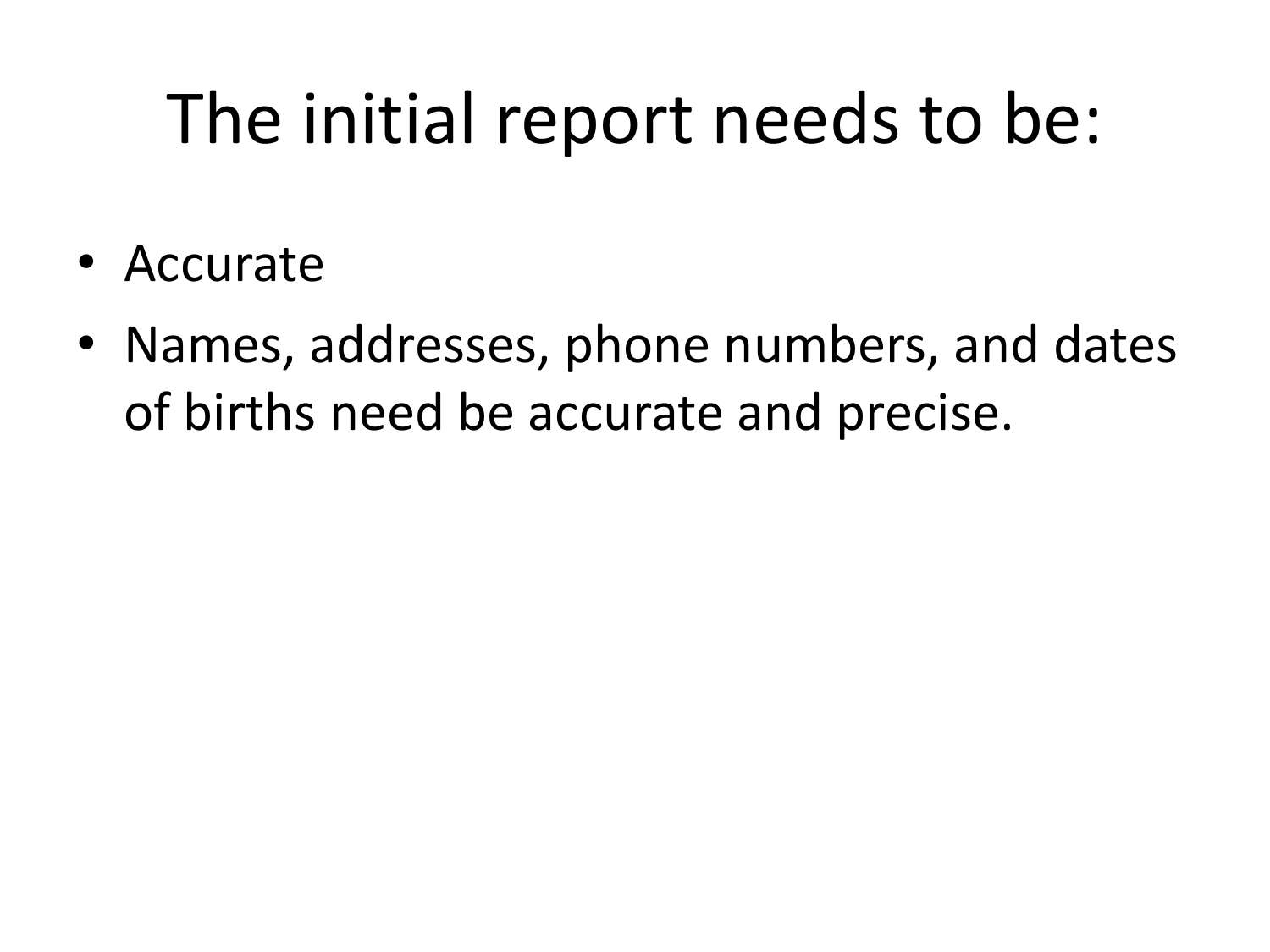# The initial report needs to be:

- Accurate
- Names, addresses, phone numbers, and dates of births need be accurate and precise.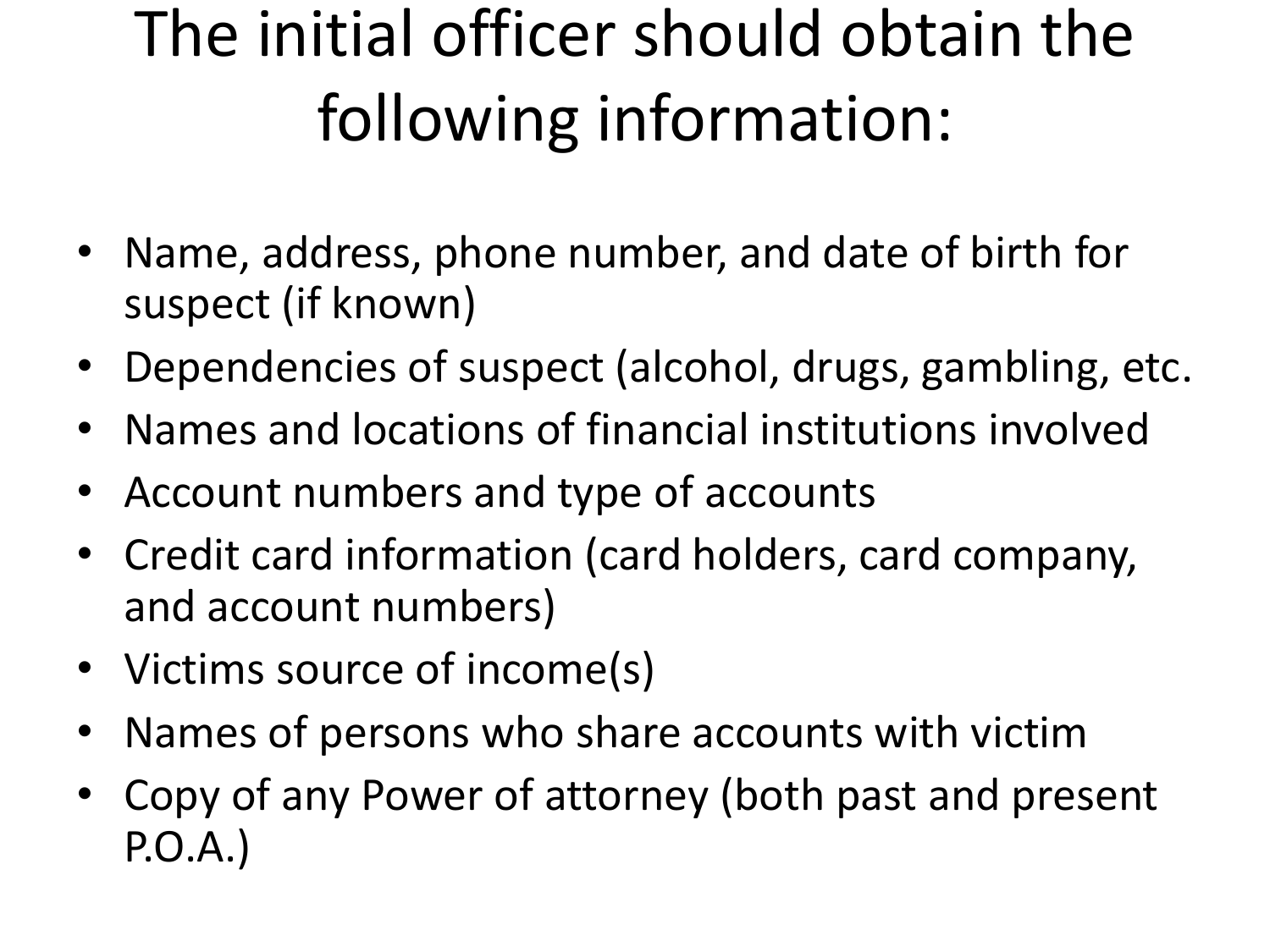# The initial officer should obtain the following information:

- Name, address, phone number, and date of birth for suspect (if known)
- Dependencies of suspect (alcohol, drugs, gambling, etc.
- Names and locations of financial institutions involved
- Account numbers and type of accounts
- Credit card information (card holders, card company, and account numbers)
- Victims source of income(s)
- Names of persons who share accounts with victim
- Copy of any Power of attorney (both past and present P.O.A.)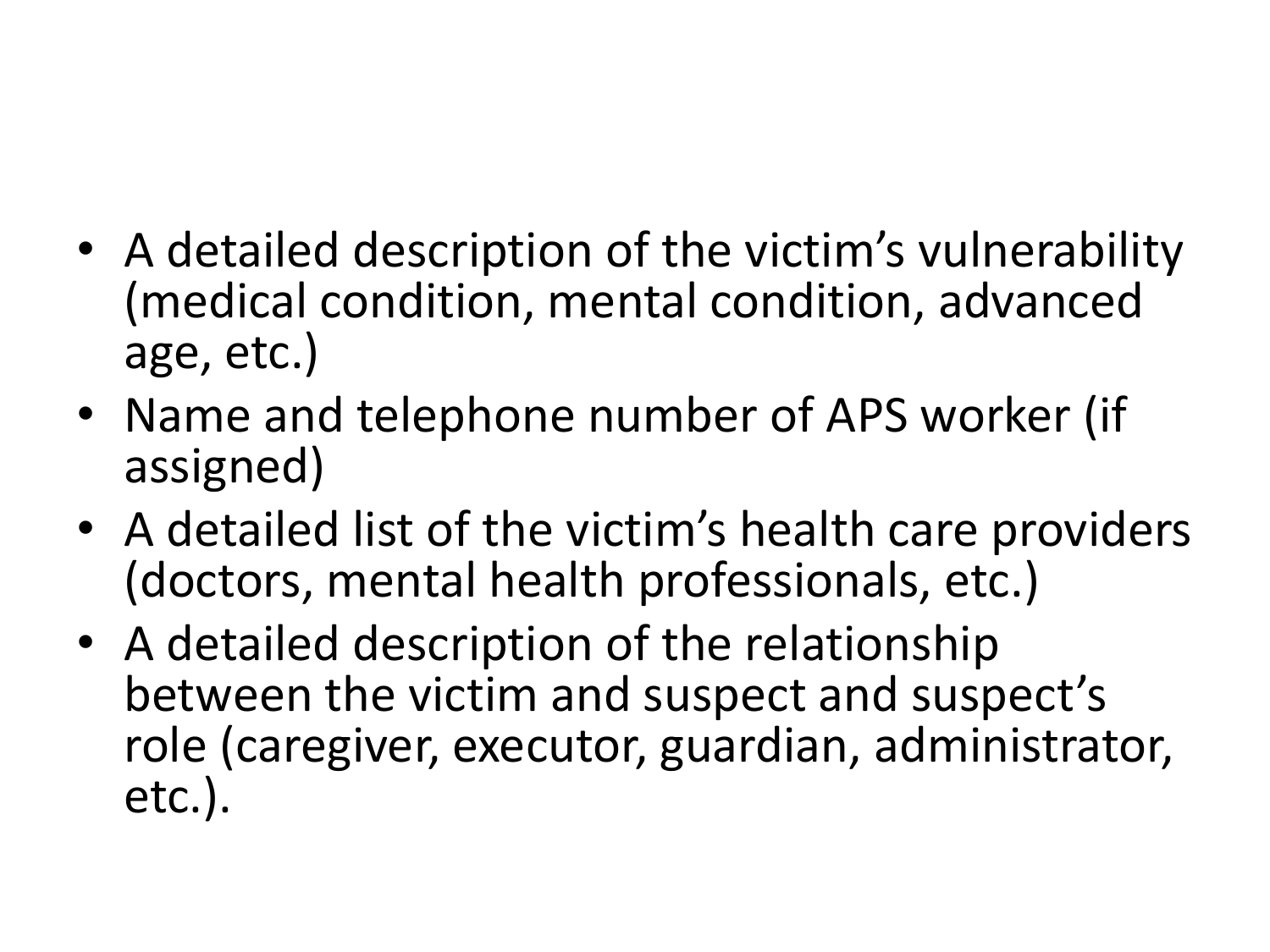- A detailed description of the victim's vulnerability (medical condition, mental condition, advanced age, etc.)
- Name and telephone number of APS worker (if assigned)
- A detailed list of the victim's health care providers (doctors, mental health professionals, etc.)
- A detailed description of the relationship between the victim and suspect and suspect's role (caregiver, executor, guardian, administrator, etc.).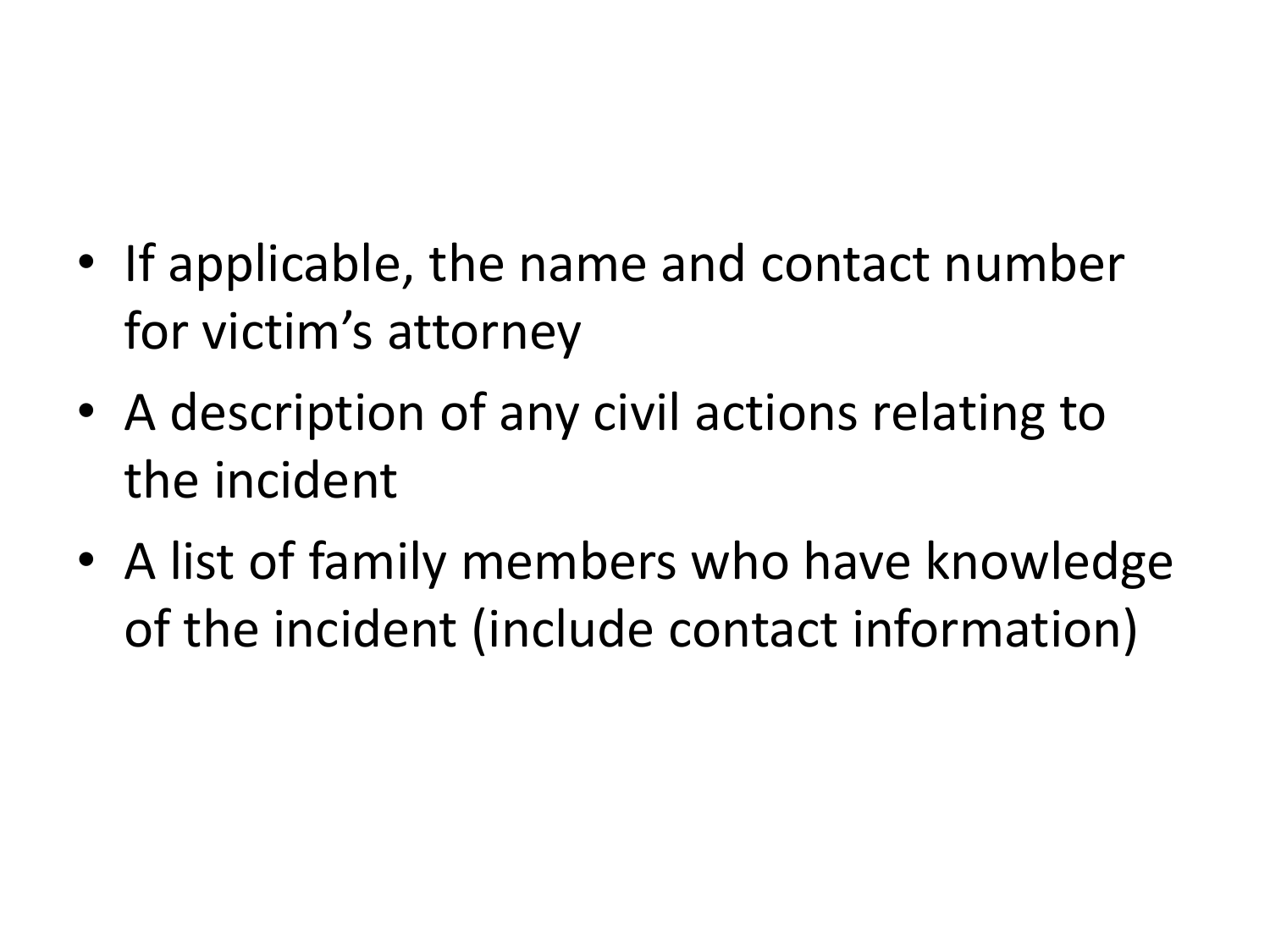- If applicable, the name and contact number for victim's attorney
- A description of any civil actions relating to the incident
- A list of family members who have knowledge of the incident (include contact information)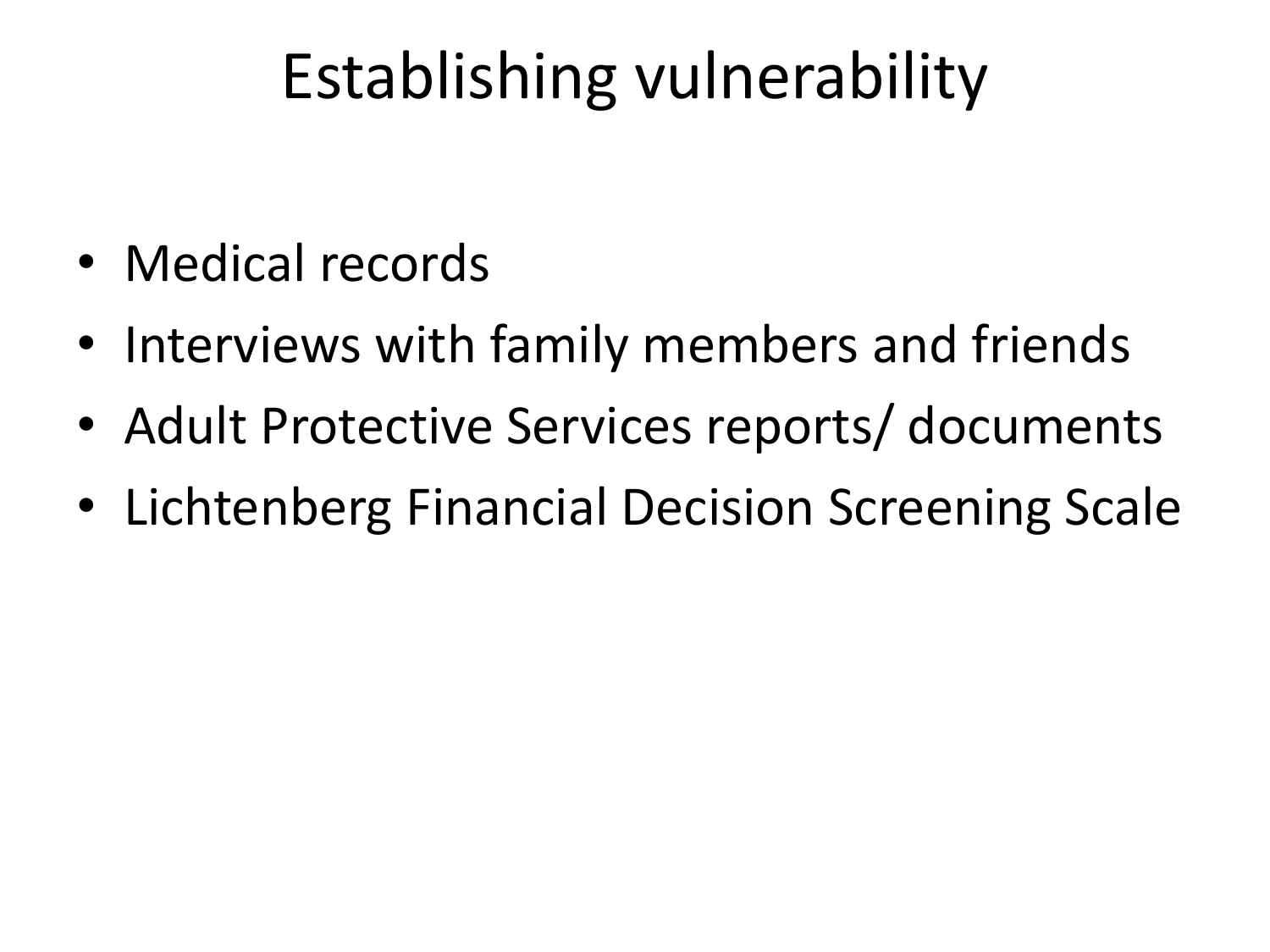## Establishing vulnerability

- Medical records
- Interviews with family members and friends
- Adult Protective Services reports/ documents
- Lichtenberg Financial Decision Screening Scale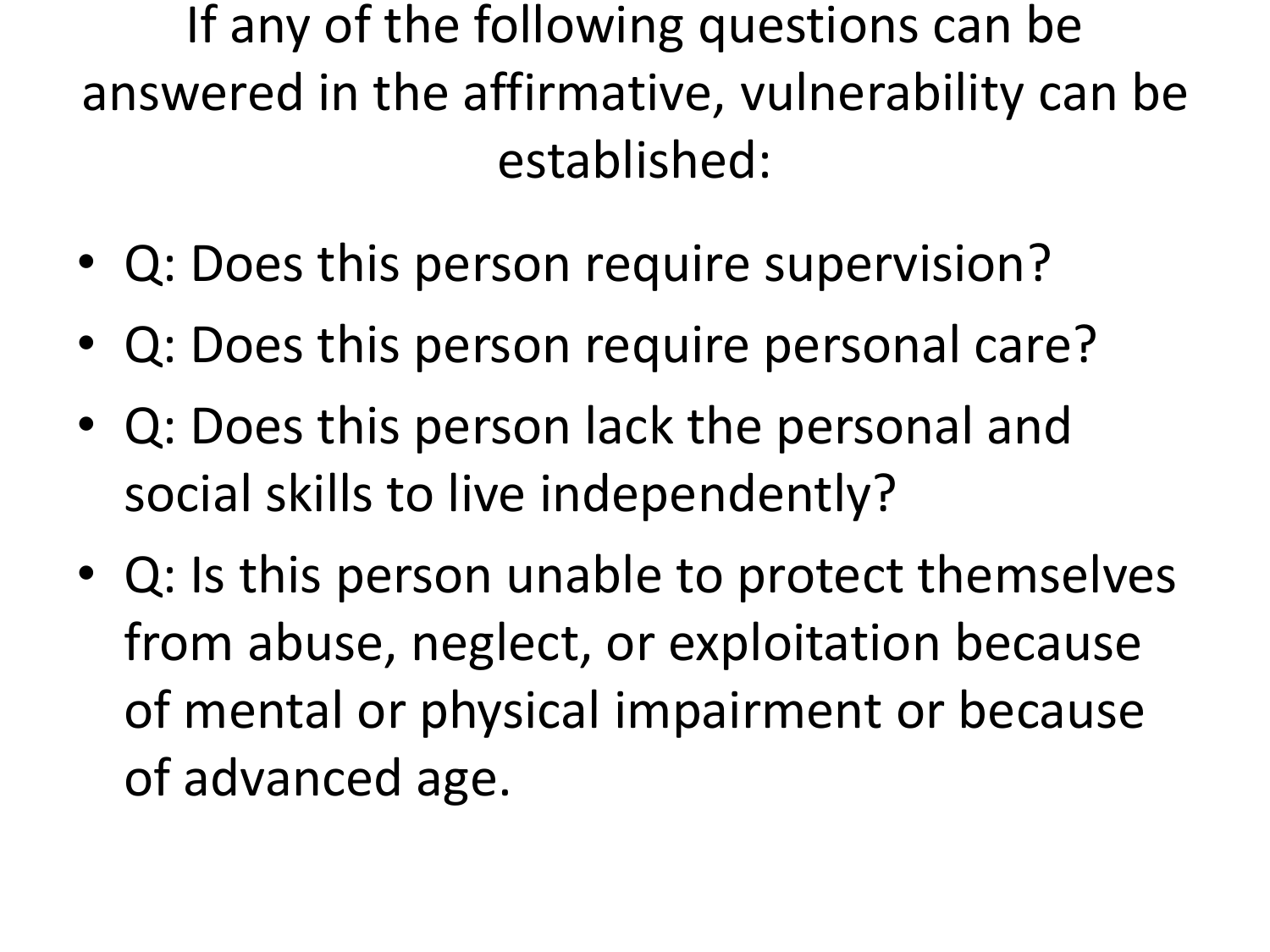If any of the following questions can be answered in the affirmative, vulnerability can be established:

- Q: Does this person require supervision?
- Q: Does this person require personal care?
- Q: Does this person lack the personal and social skills to live independently?
- Q: Is this person unable to protect themselves from abuse, neglect, or exploitation because of mental or physical impairment or because of advanced age.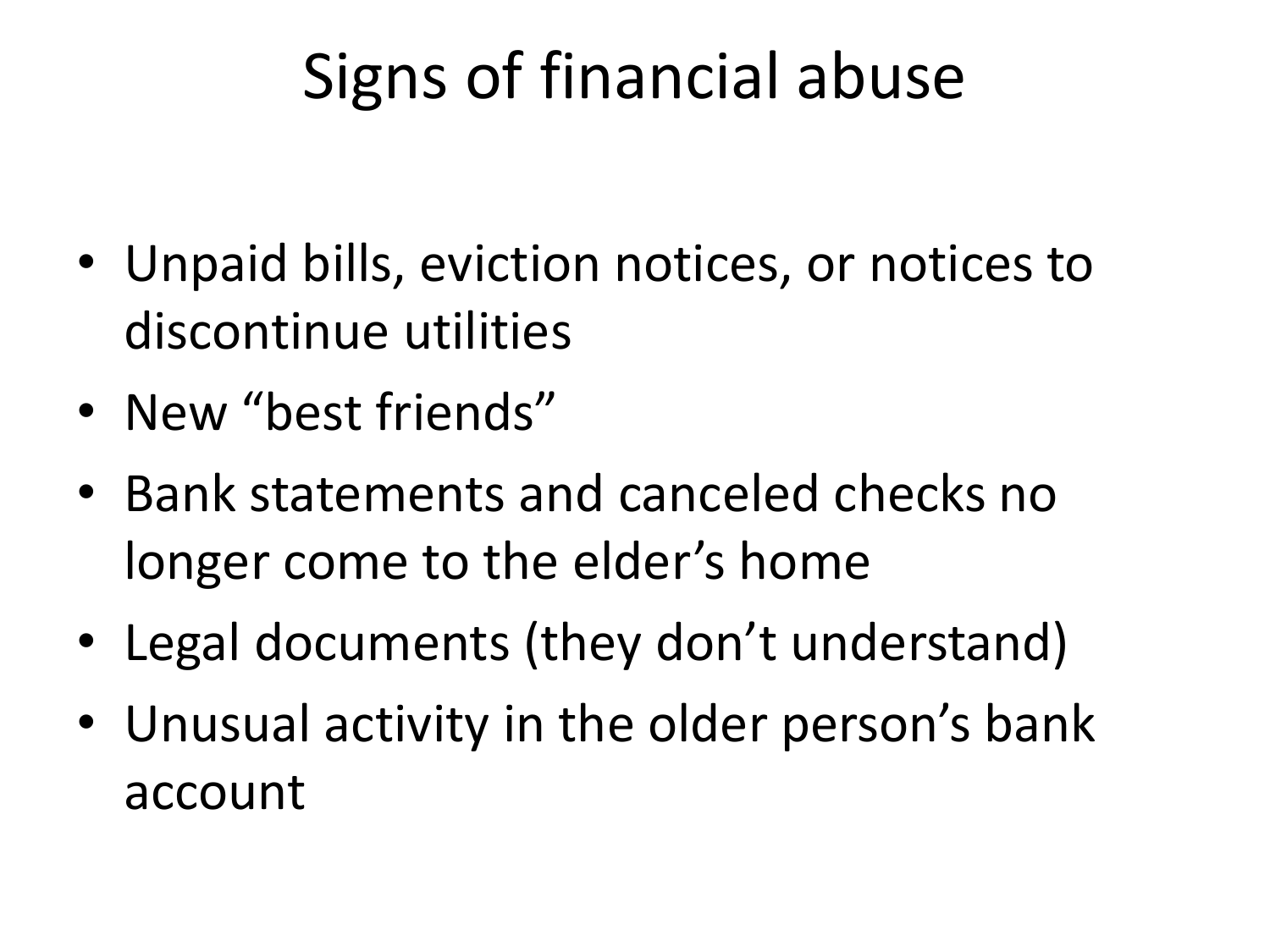## Signs of financial abuse

- Unpaid bills, eviction notices, or notices to discontinue utilities
- New "best friends"
- Bank statements and canceled checks no longer come to the elder's home
- Legal documents (they don't understand)
- Unusual activity in the older person's bank account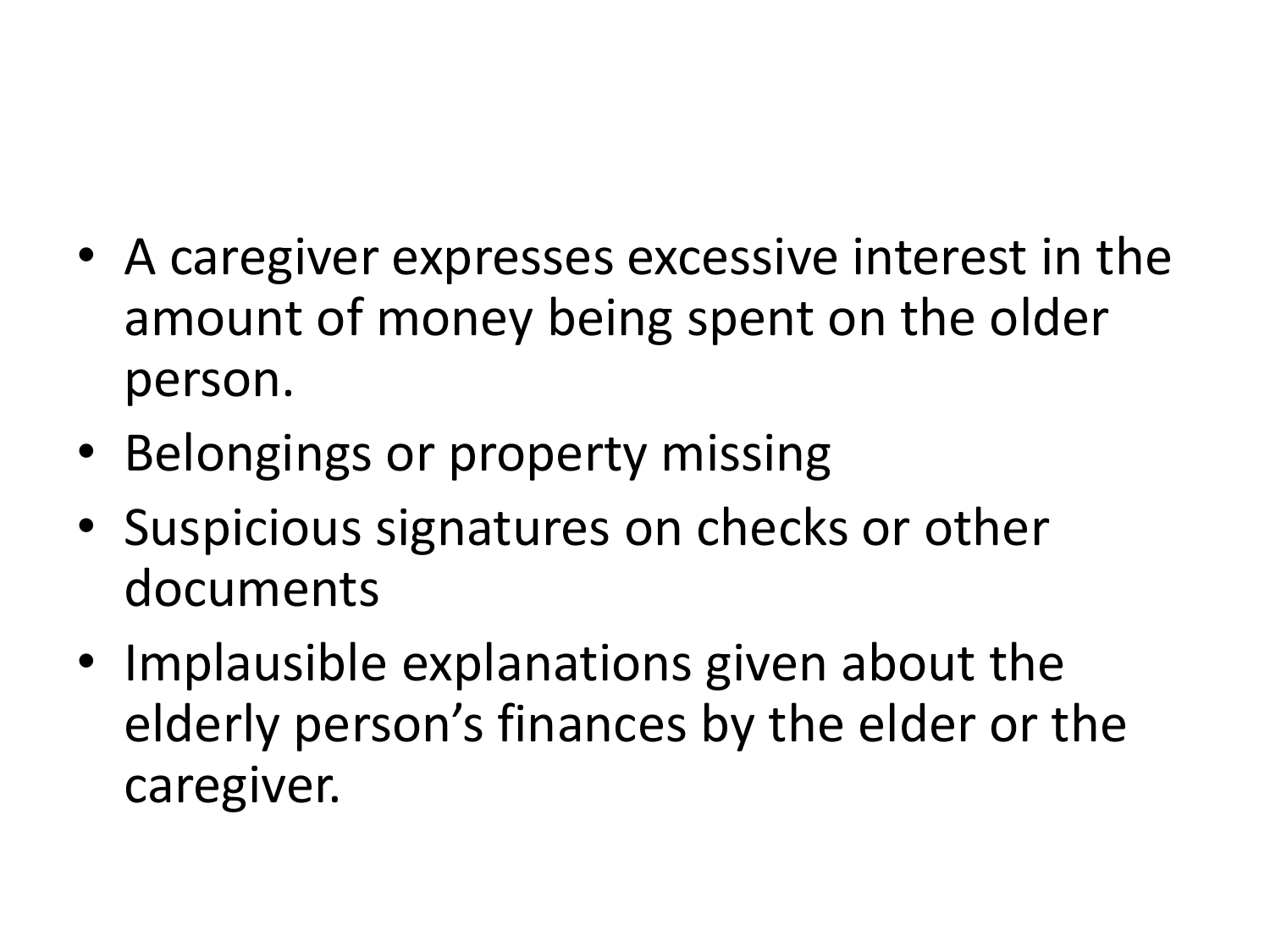- A caregiver expresses excessive interest in the amount of money being spent on the older person.
- Belongings or property missing
- Suspicious signatures on checks or other documents
- Implausible explanations given about the elderly person's finances by the elder or the caregiver.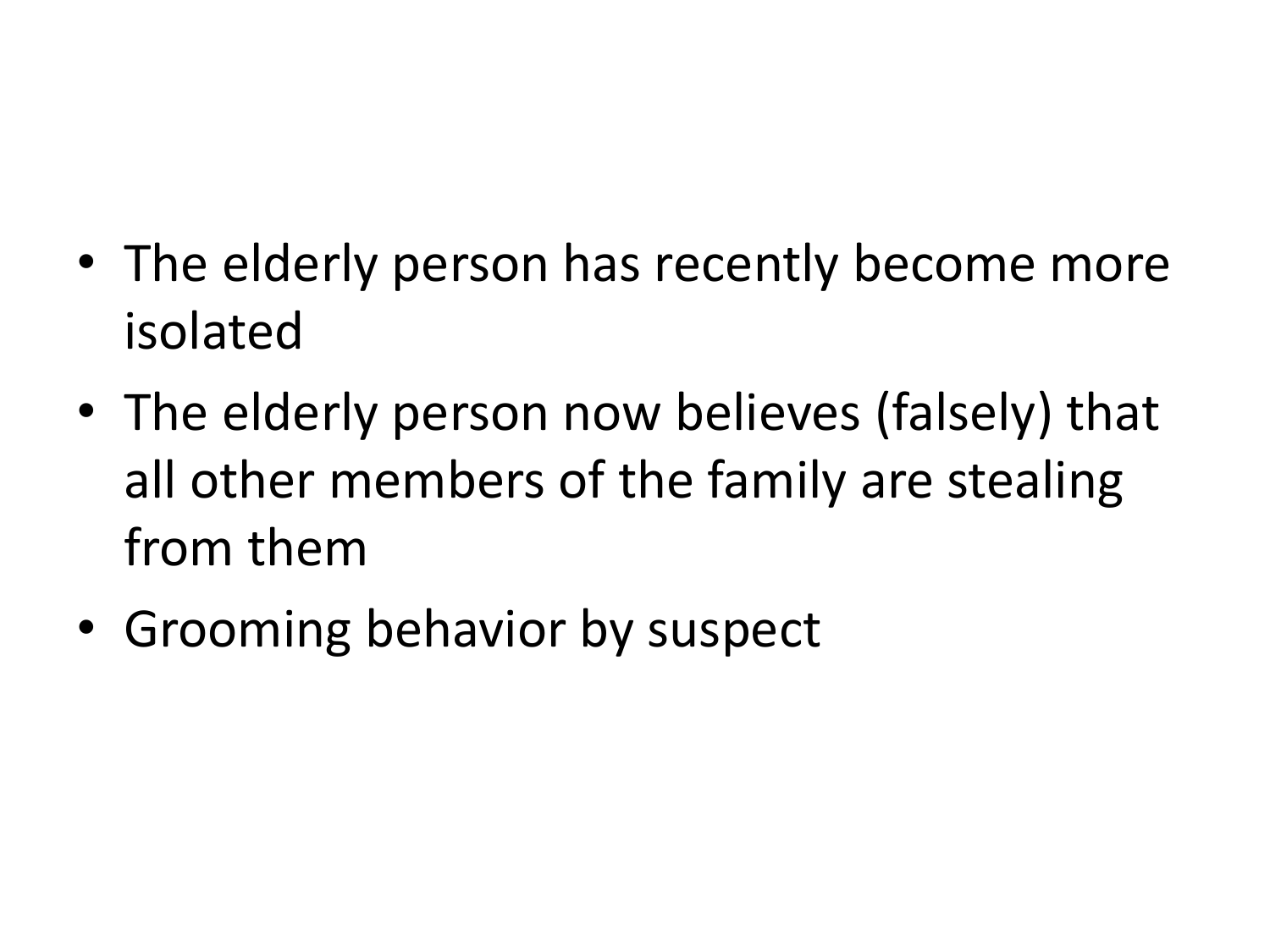- The elderly person has recently become more isolated
- The elderly person now believes (falsely) that all other members of the family are stealing from them
- Grooming behavior by suspect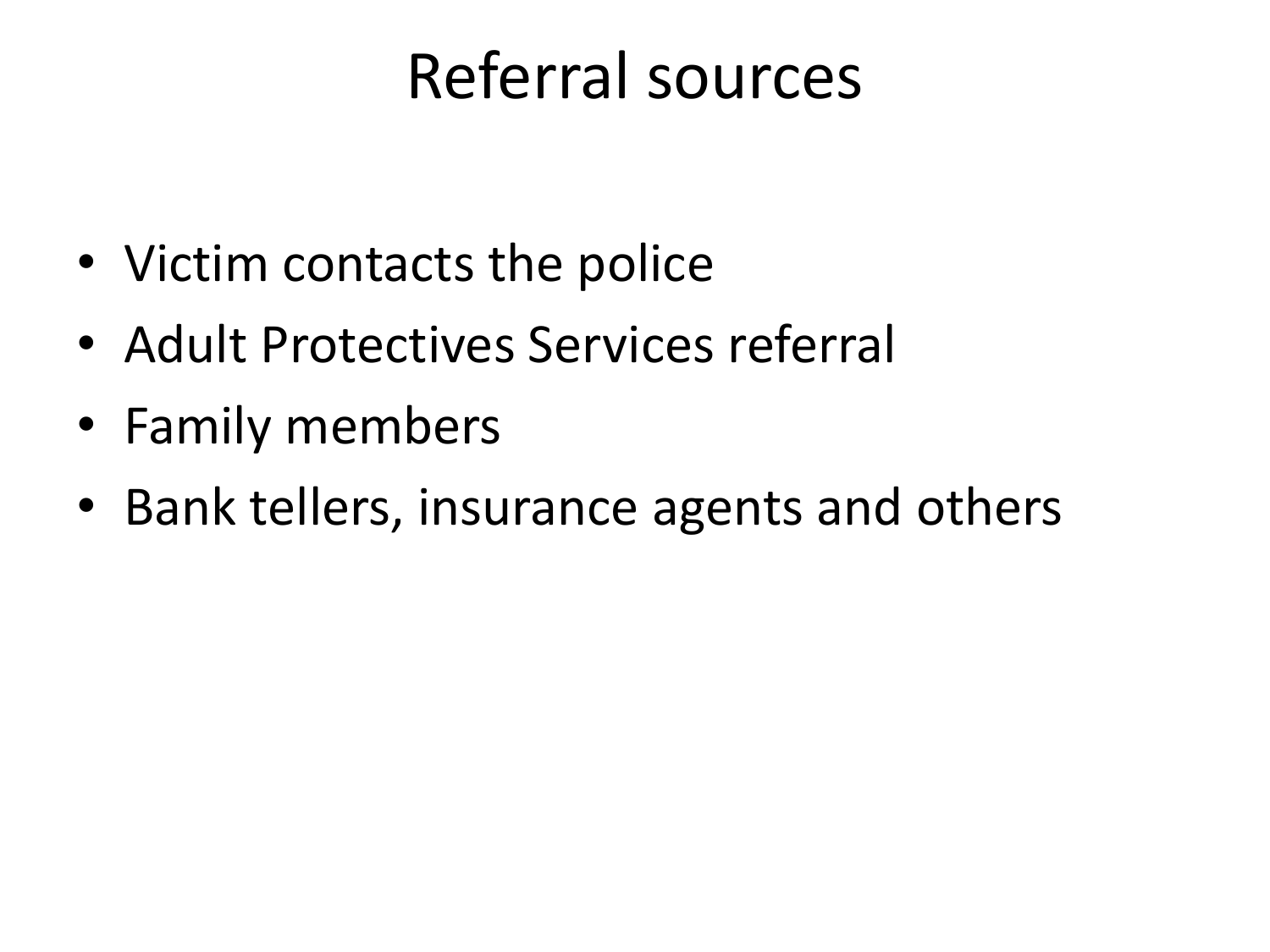#### Referral sources

- Victim contacts the police
- Adult Protectives Services referral
- Family members
- Bank tellers, insurance agents and others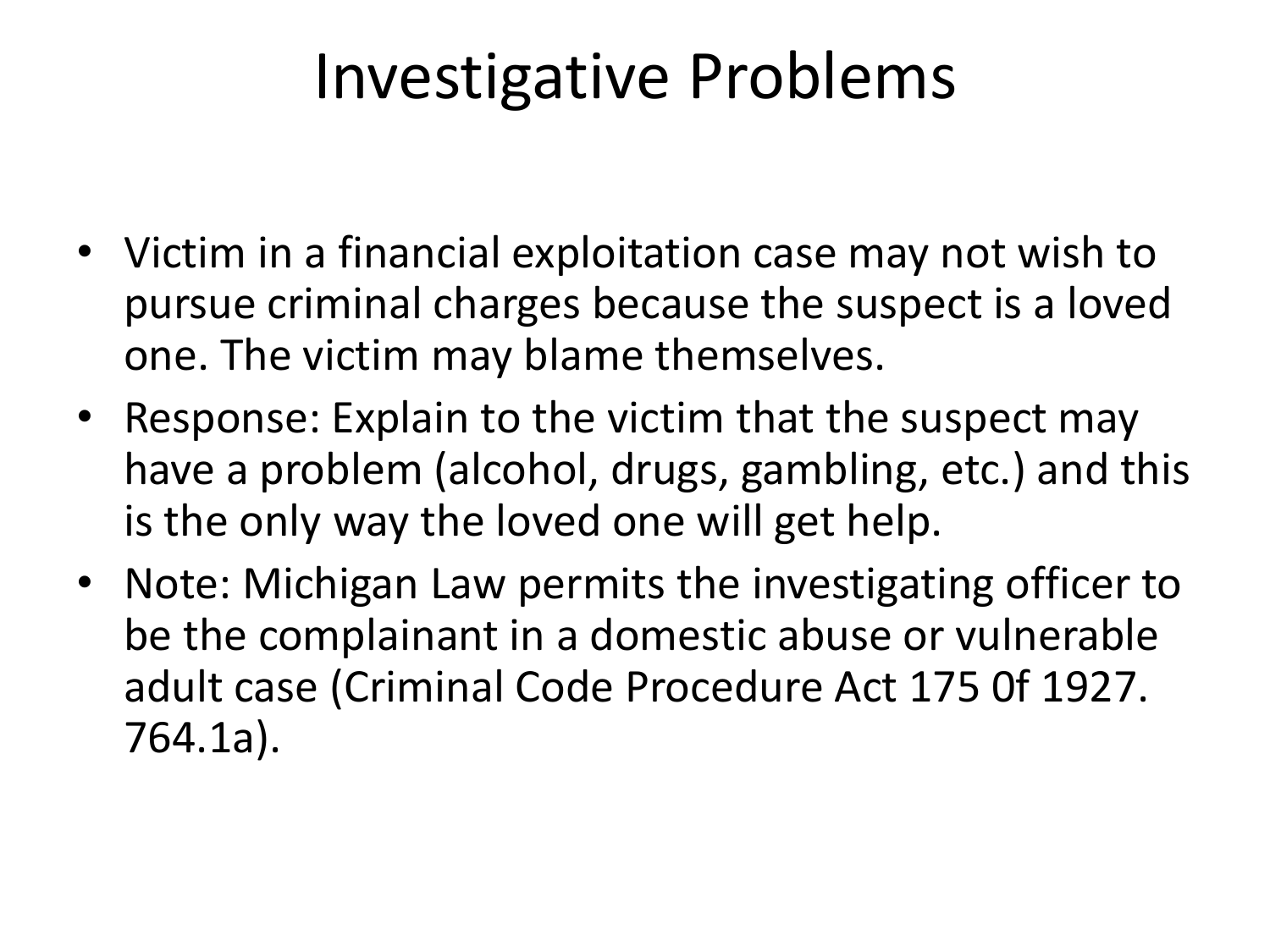#### Investigative Problems

- Victim in a financial exploitation case may not wish to pursue criminal charges because the suspect is a loved one. The victim may blame themselves.
- Response: Explain to the victim that the suspect may have a problem (alcohol, drugs, gambling, etc.) and this is the only way the loved one will get help.
- Note: Michigan Law permits the investigating officer to be the complainant in a domestic abuse or vulnerable adult case (Criminal Code Procedure Act 175 0f 1927. 764.1a).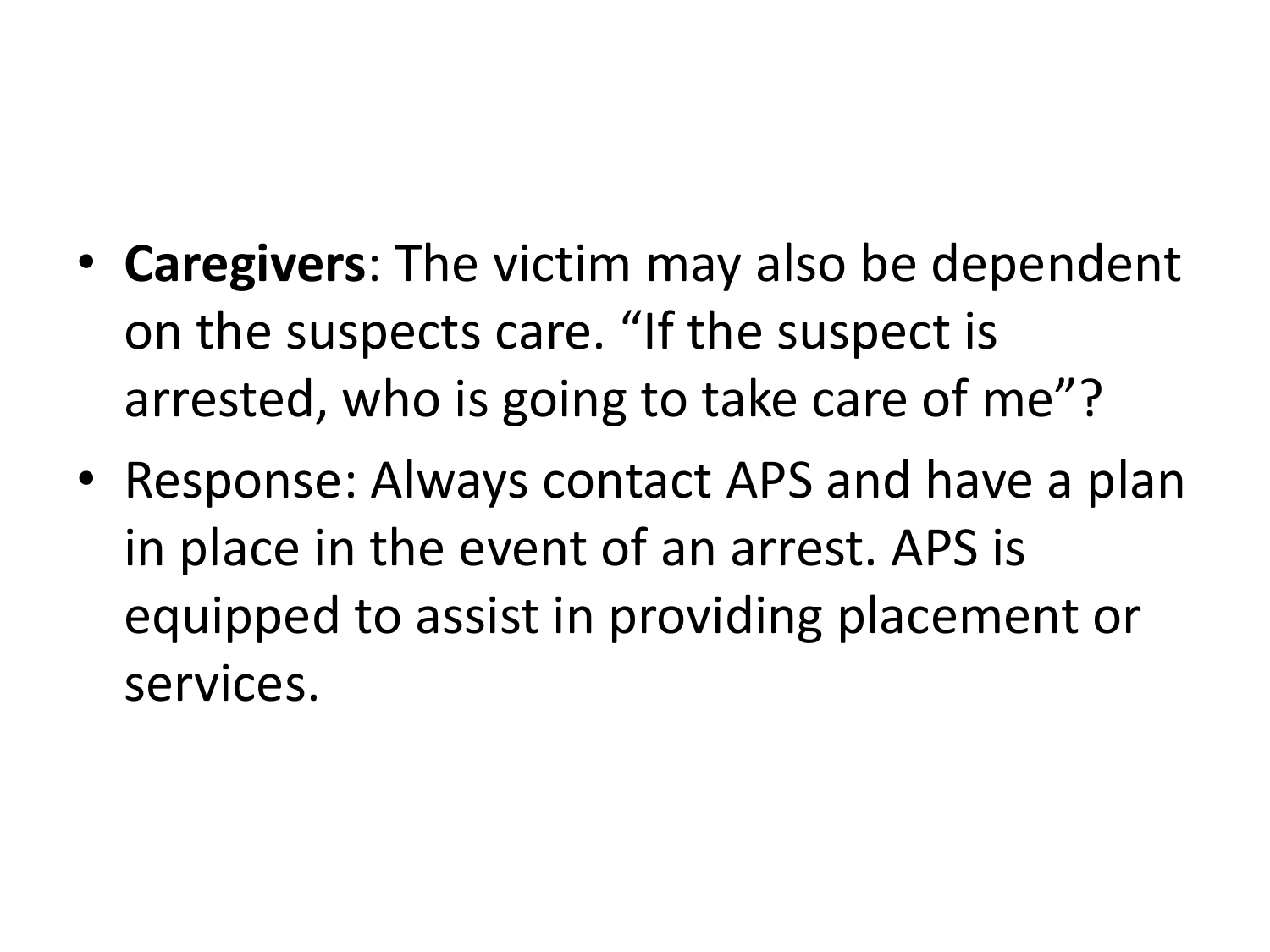- **Caregivers**: The victim may also be dependent on the suspects care. "If the suspect is arrested, who is going to take care of me"?
- Response: Always contact APS and have a plan in place in the event of an arrest. APS is equipped to assist in providing placement or services.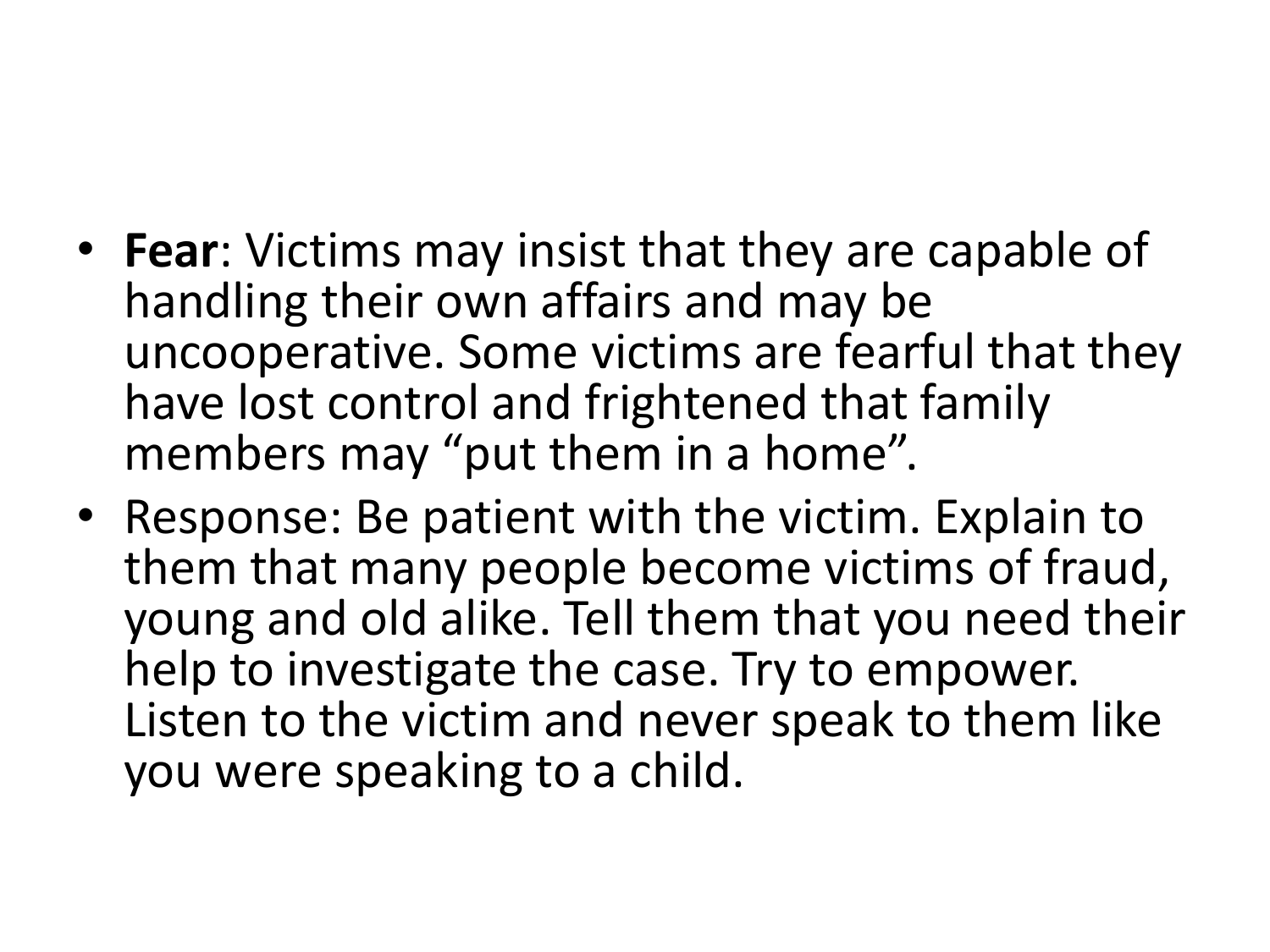- **Fear**: Victims may insist that they are capable of handling their own affairs and may be uncooperative. Some victims are fearful that they have lost control and frightened that family members may "put them in a home".
- Response: Be patient with the victim. Explain to them that many people become victims of fraud, young and old alike. Tell them that you need their help to investigate the case. Try to empower. Listen to the victim and never speak to them like you were speaking to a child.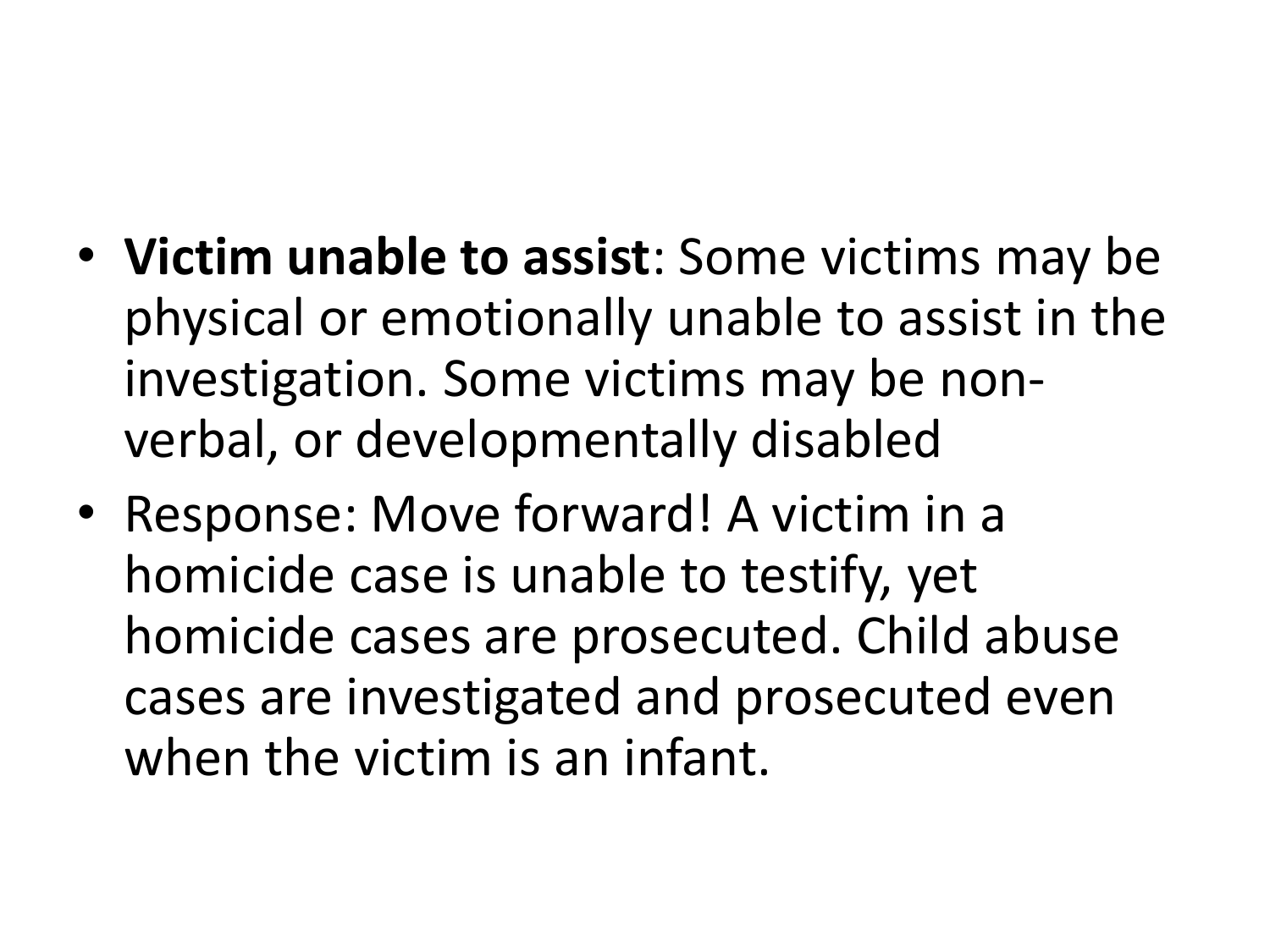- **Victim unable to assist**: Some victims may be physical or emotionally unable to assist in the investigation. Some victims may be nonverbal, or developmentally disabled
- Response: Move forward! A victim in a homicide case is unable to testify, yet homicide cases are prosecuted. Child abuse cases are investigated and prosecuted even when the victim is an infant.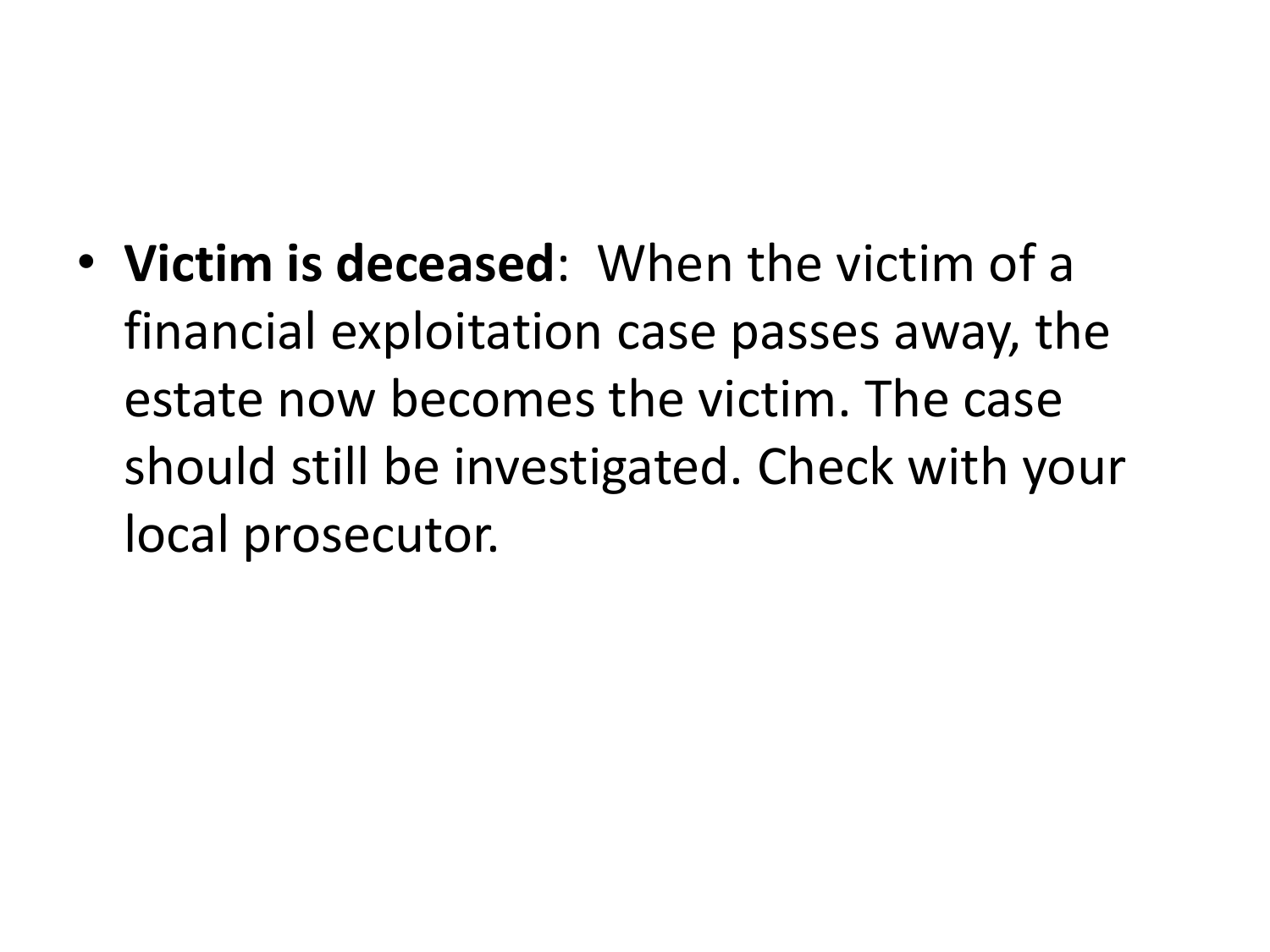• **Victim is deceased**: When the victim of a financial exploitation case passes away, the estate now becomes the victim. The case should still be investigated. Check with your local prosecutor.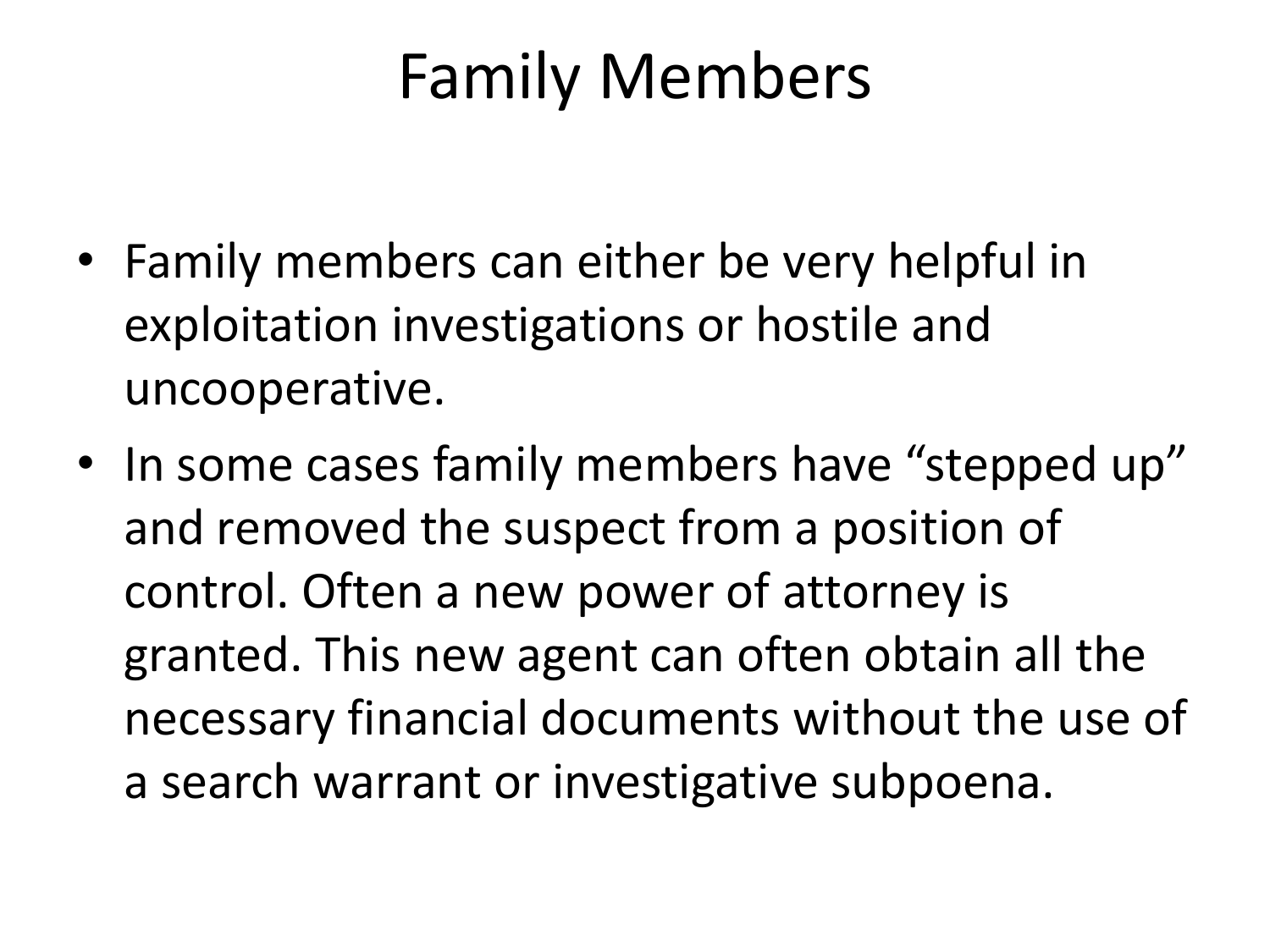## Family Members

- Family members can either be very helpful in exploitation investigations or hostile and uncooperative.
- In some cases family members have "stepped up" and removed the suspect from a position of control. Often a new power of attorney is granted. This new agent can often obtain all the necessary financial documents without the use of a search warrant or investigative subpoena.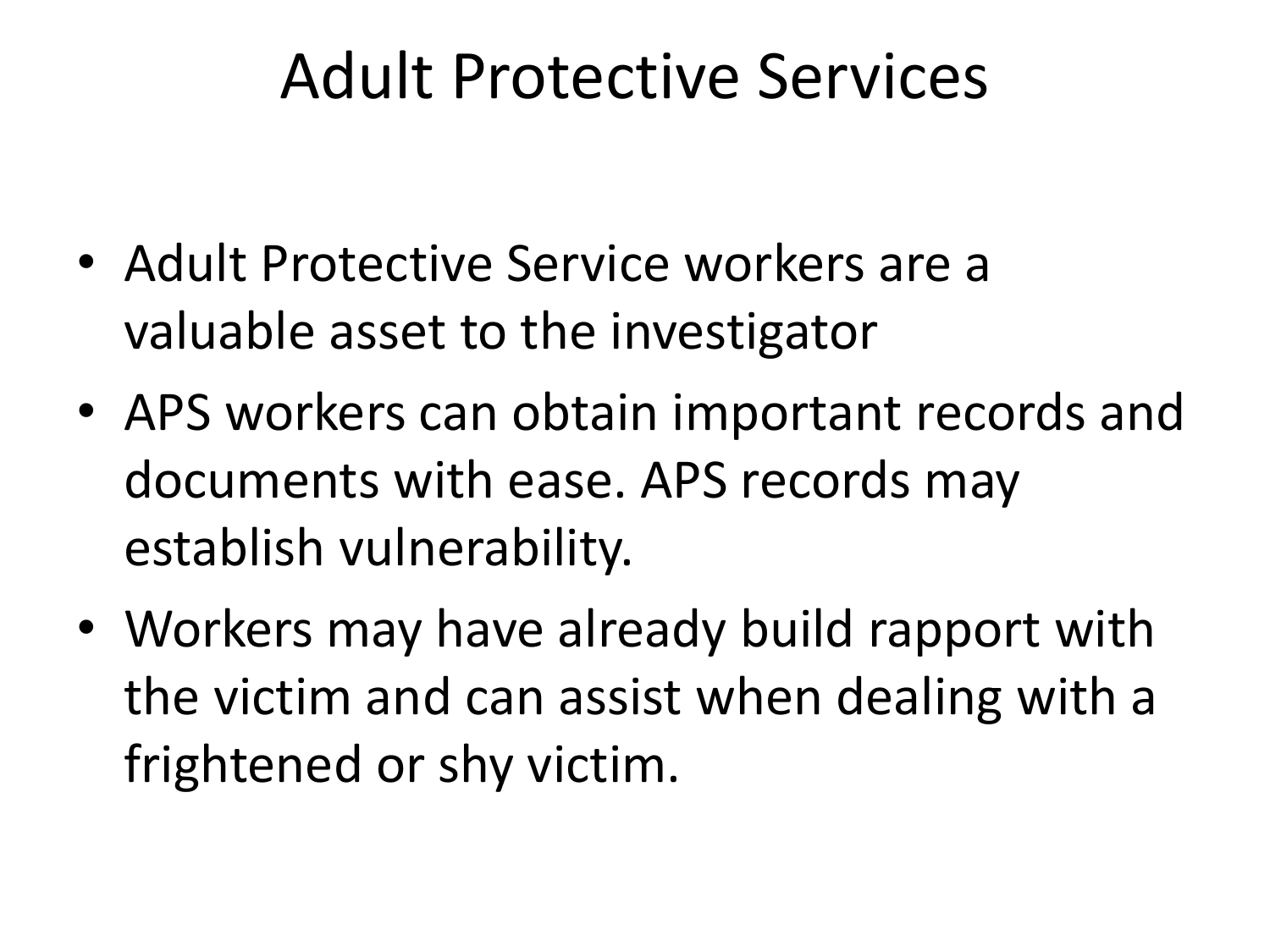#### Adult Protective Services

- Adult Protective Service workers are a valuable asset to the investigator
- APS workers can obtain important records and documents with ease. APS records may establish vulnerability.
- Workers may have already build rapport with the victim and can assist when dealing with a frightened or shy victim.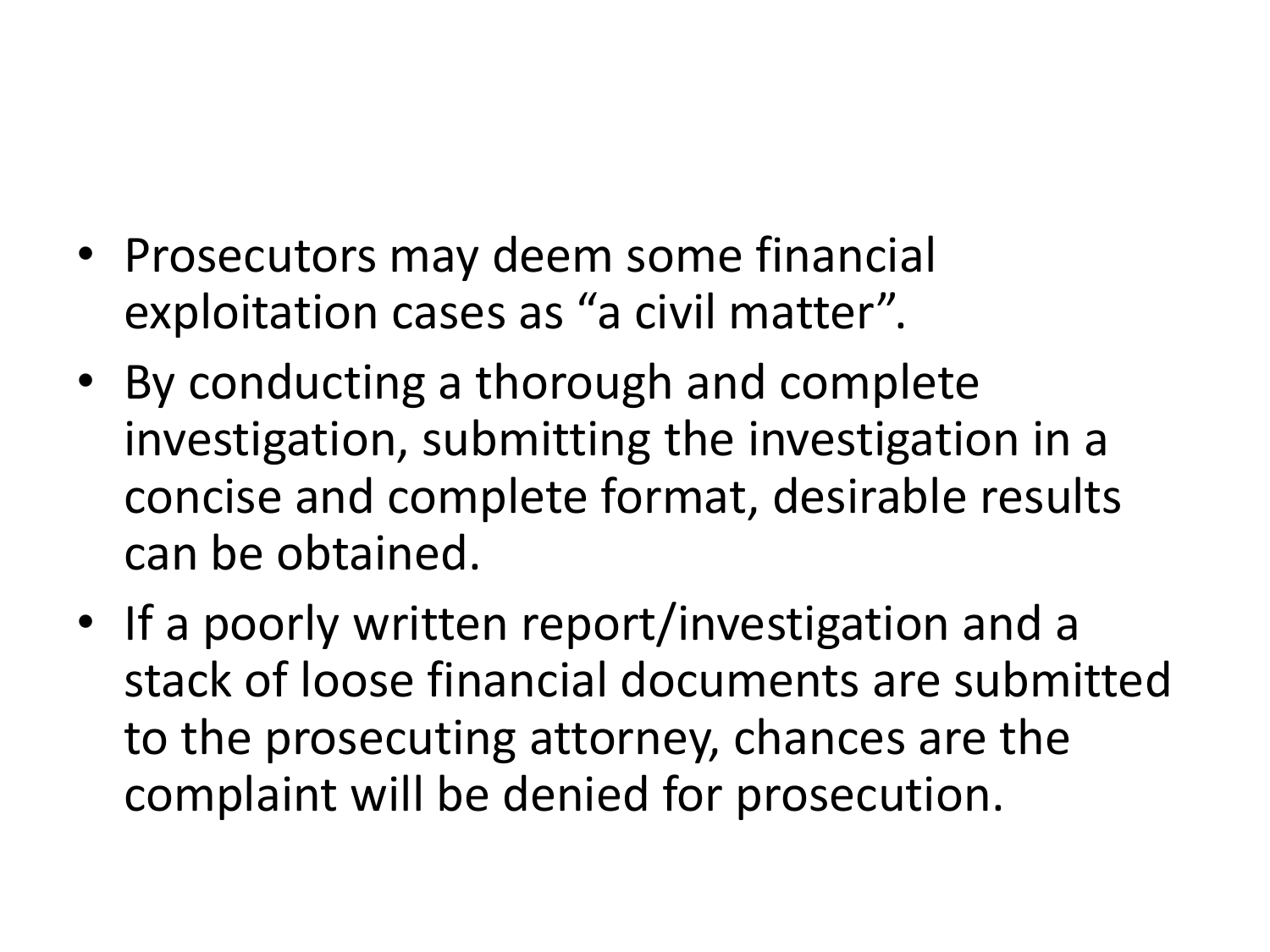- Prosecutors may deem some financial exploitation cases as "a civil matter".
- By conducting a thorough and complete investigation, submitting the investigation in a concise and complete format, desirable results can be obtained.
- If a poorly written report/investigation and a stack of loose financial documents are submitted to the prosecuting attorney, chances are the complaint will be denied for prosecution.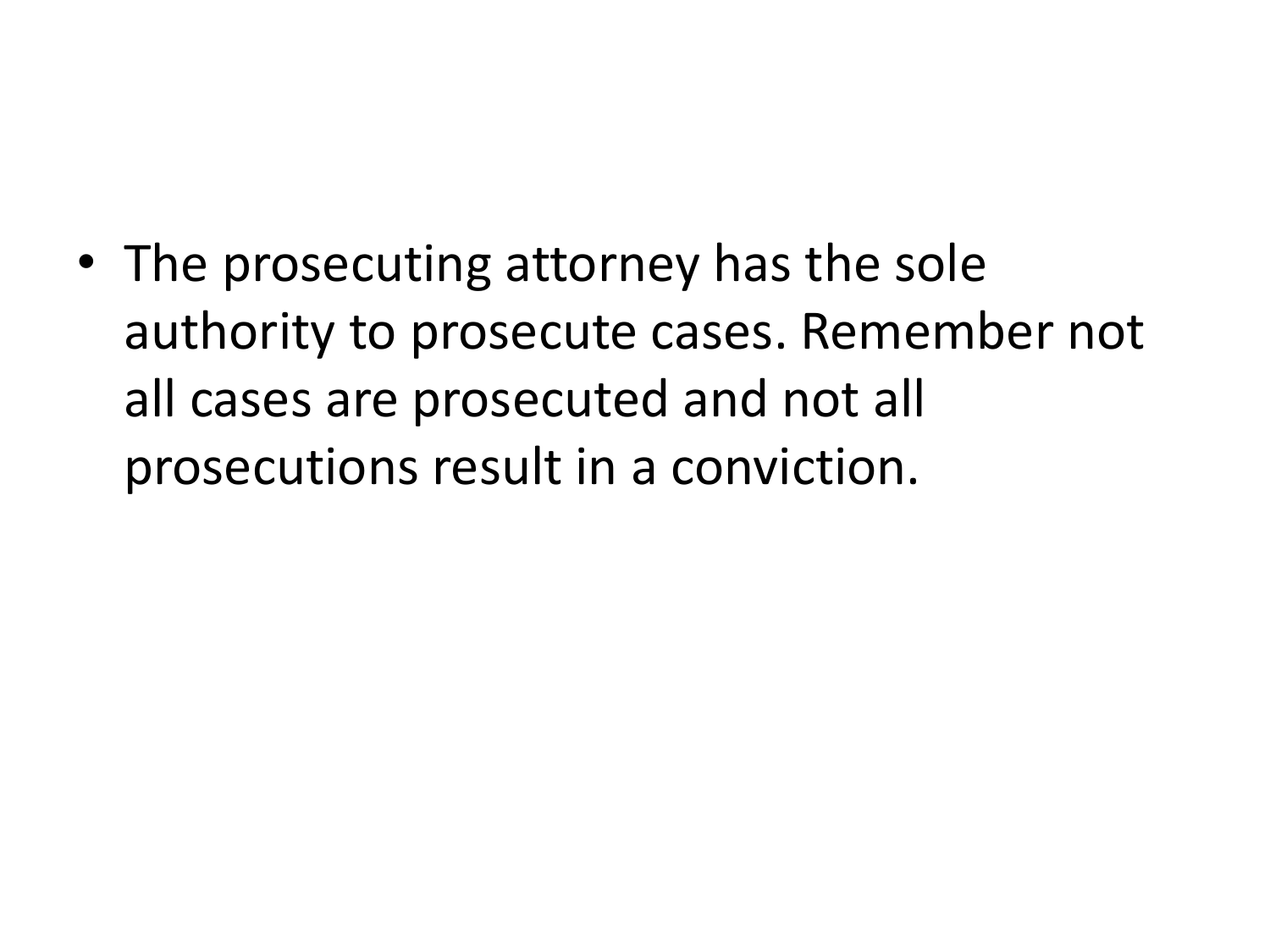• The prosecuting attorney has the sole authority to prosecute cases. Remember not all cases are prosecuted and not all prosecutions result in a conviction.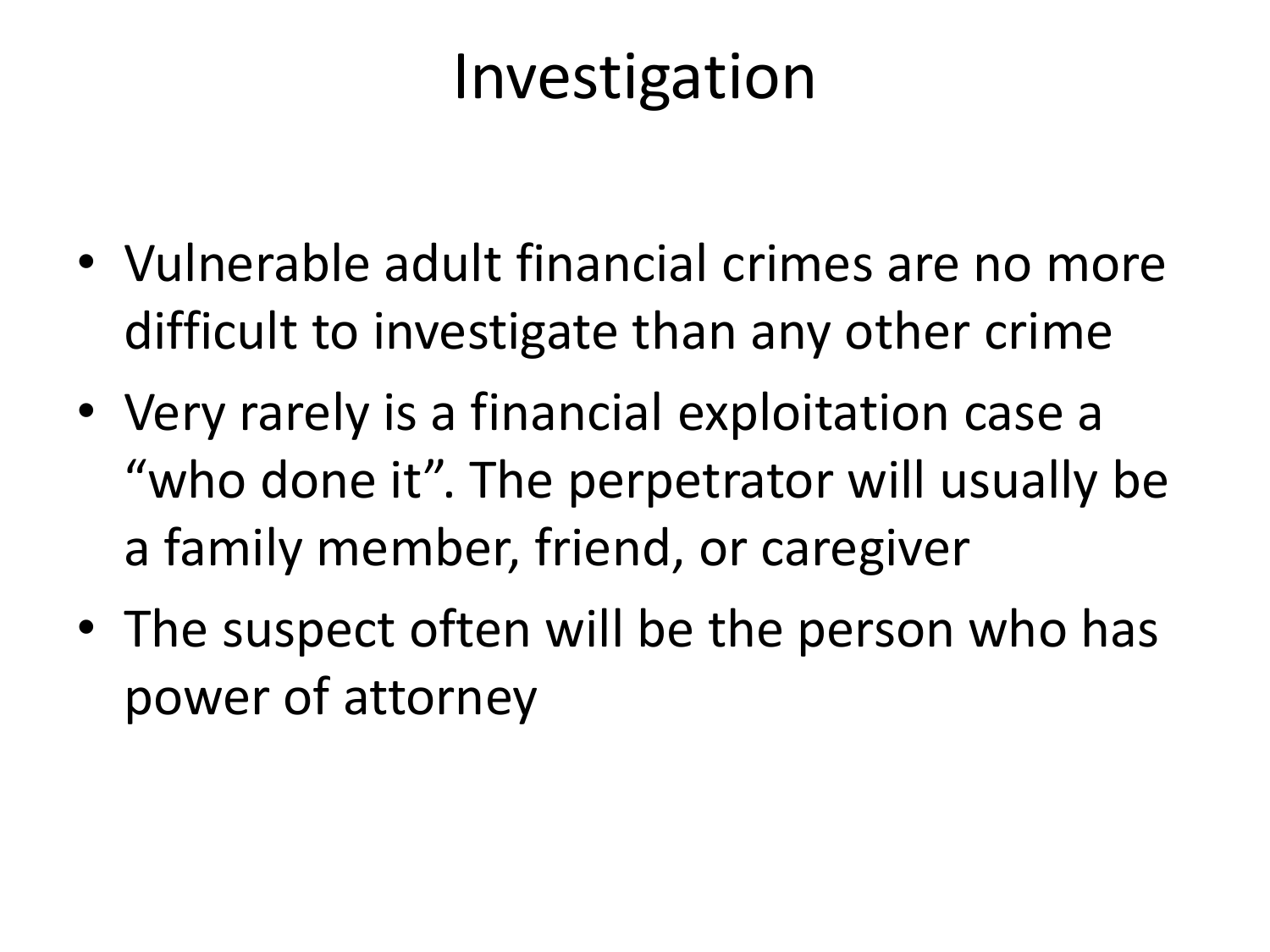#### Investigation

- Vulnerable adult financial crimes are no more difficult to investigate than any other crime
- Very rarely is a financial exploitation case a "who done it". The perpetrator will usually be a family member, friend, or caregiver
- The suspect often will be the person who has power of attorney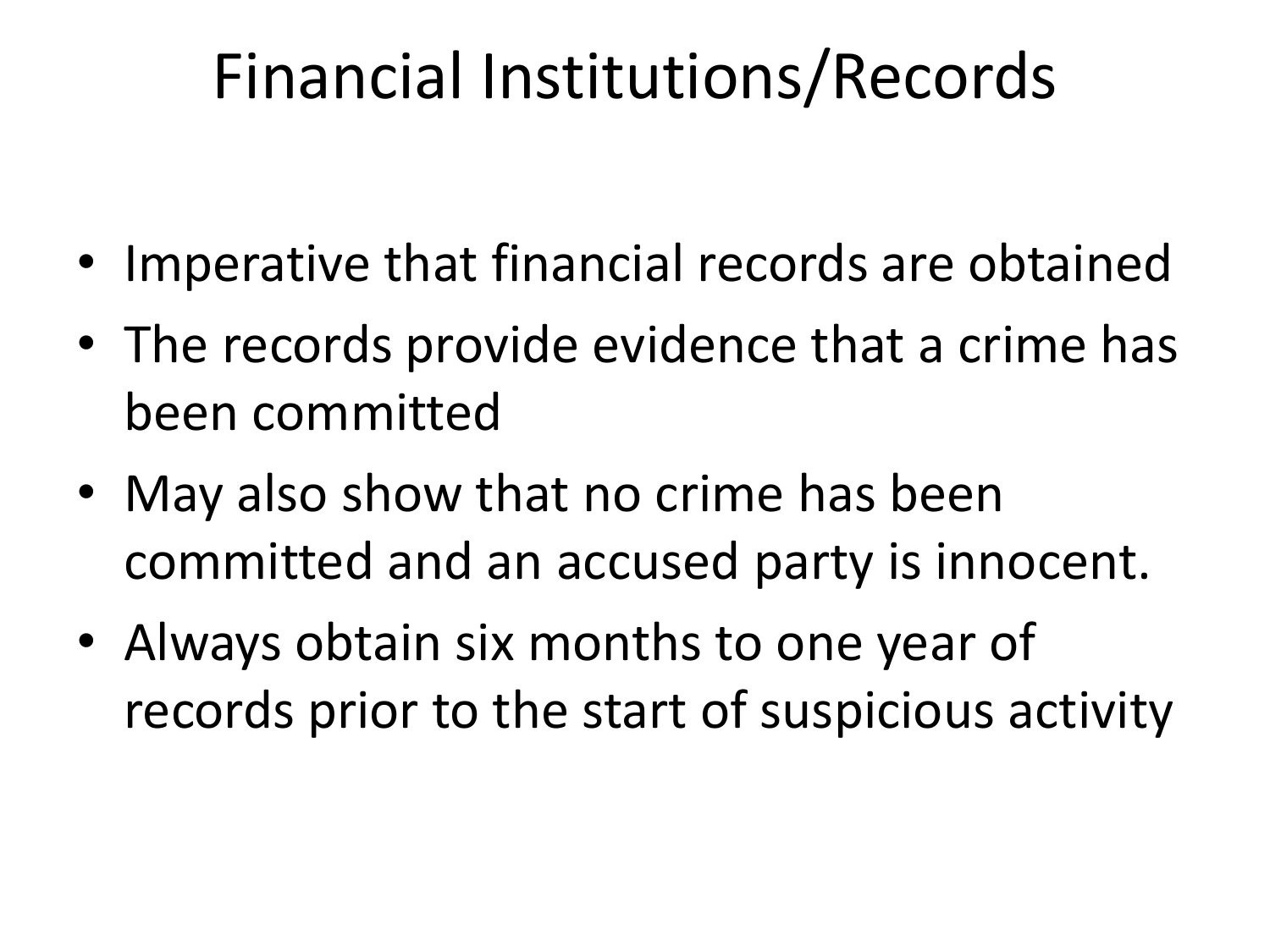### Financial Institutions/Records

- Imperative that financial records are obtained
- The records provide evidence that a crime has been committed
- May also show that no crime has been committed and an accused party is innocent.
- Always obtain six months to one year of records prior to the start of suspicious activity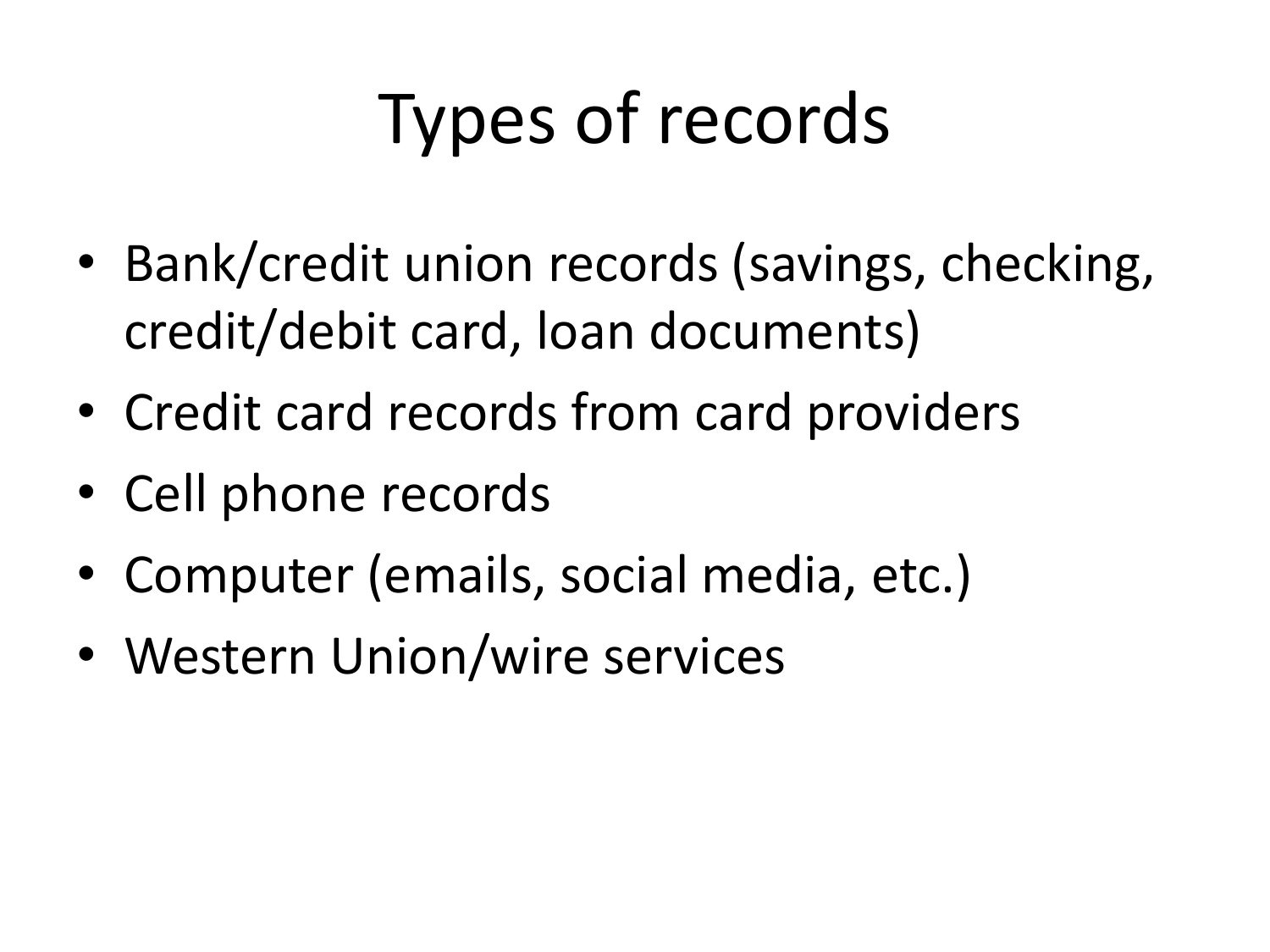# Types of records

- Bank/credit union records (savings, checking, credit/debit card, loan documents)
- Credit card records from card providers
- Cell phone records
- Computer (emails, social media, etc.)
- Western Union/wire services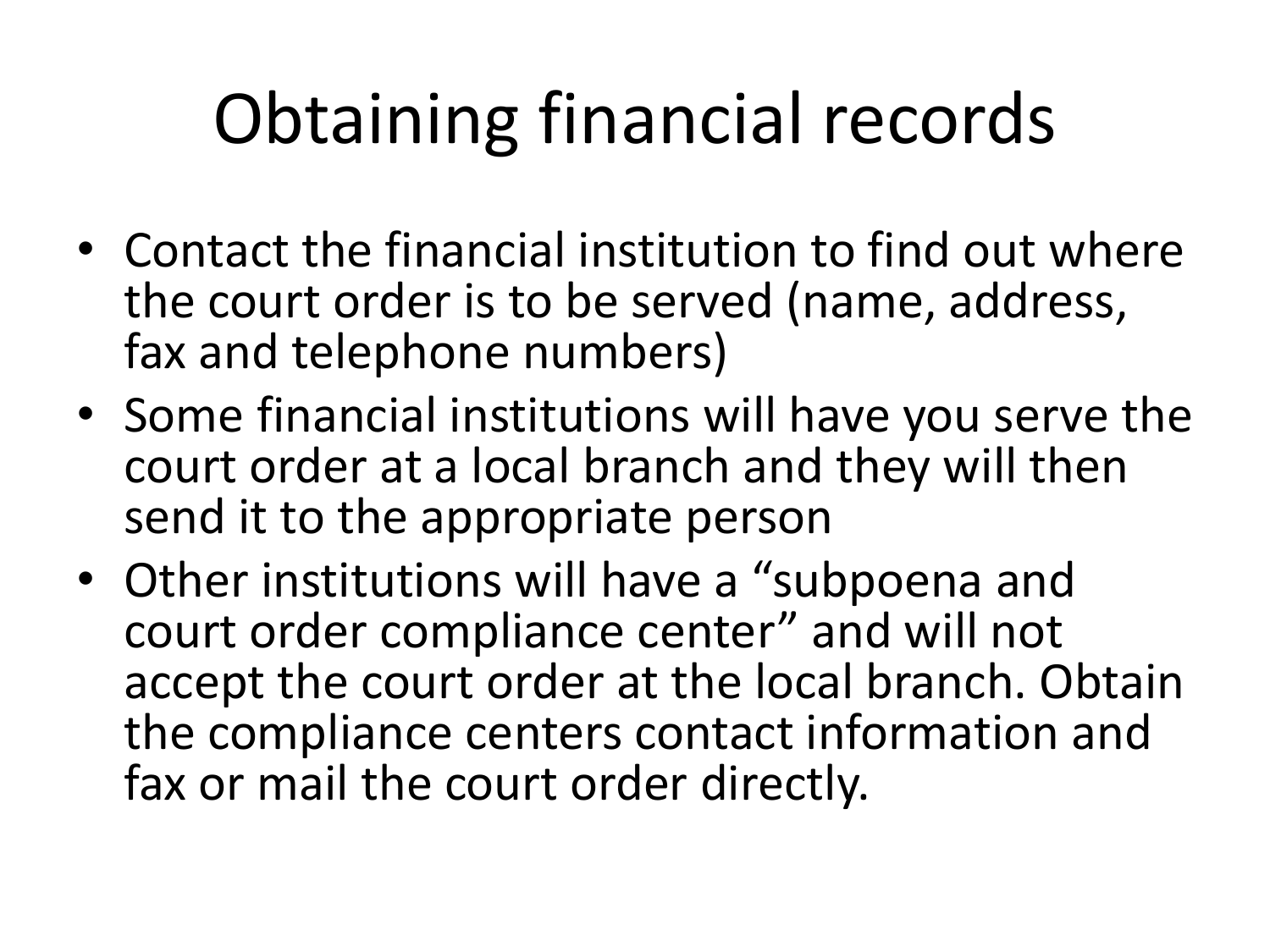# Obtaining financial records

- Contact the financial institution to find out where the court order is to be served (name, address, fax and telephone numbers)
- Some financial institutions will have you serve the court order at a local branch and they will then send it to the appropriate person
- Other institutions will have a "subpoena and court order compliance center" and will not accept the court order at the local branch. Obtain the compliance centers contact information and fax or mail the court order directly.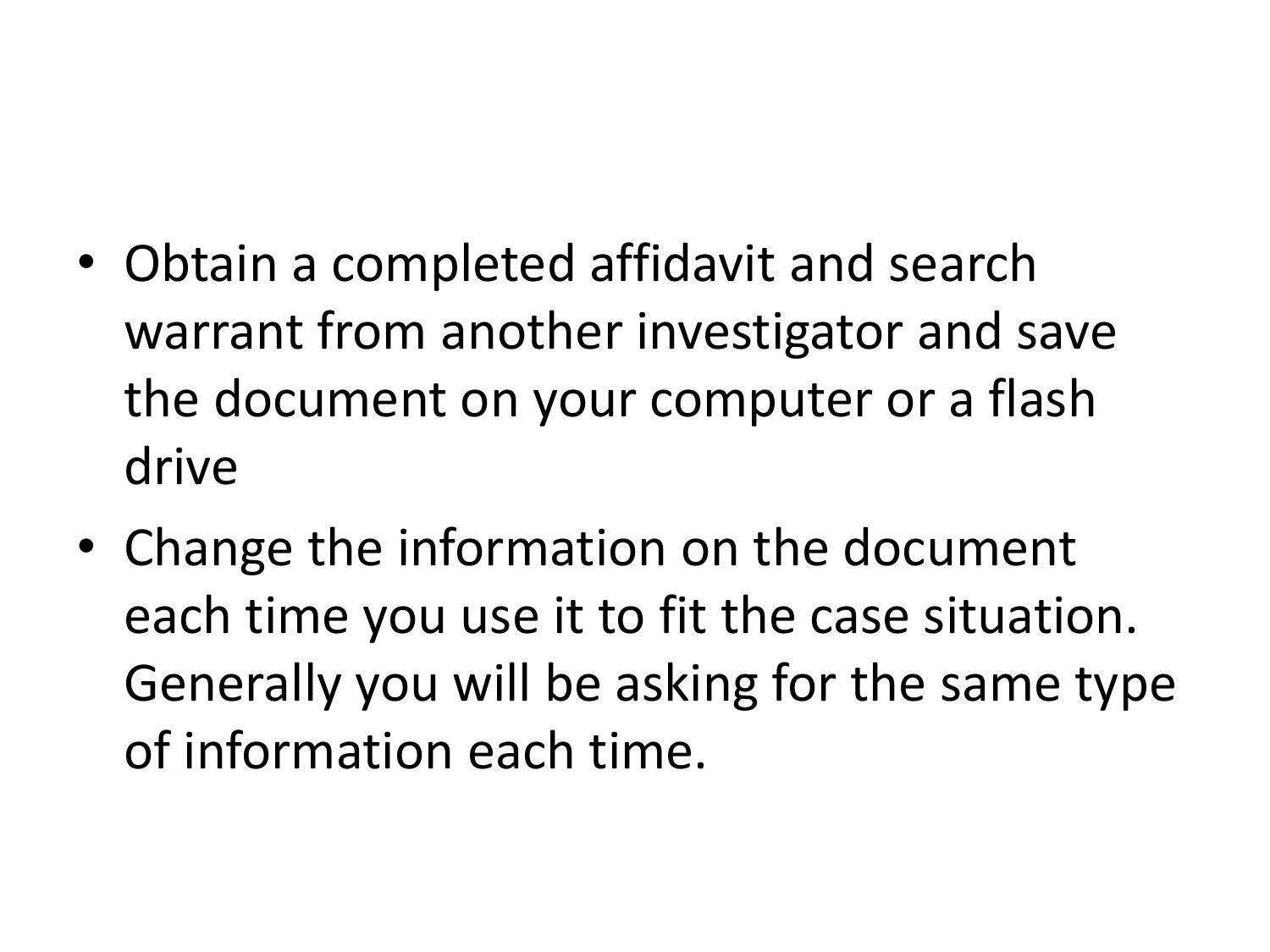- Obtain a completed affidavit and search warrant from another investigator and save the document on your computer or a flash drive
- Change the information on the document each time you use it to fit the case situation. Generally you will be asking for the same type of information each time.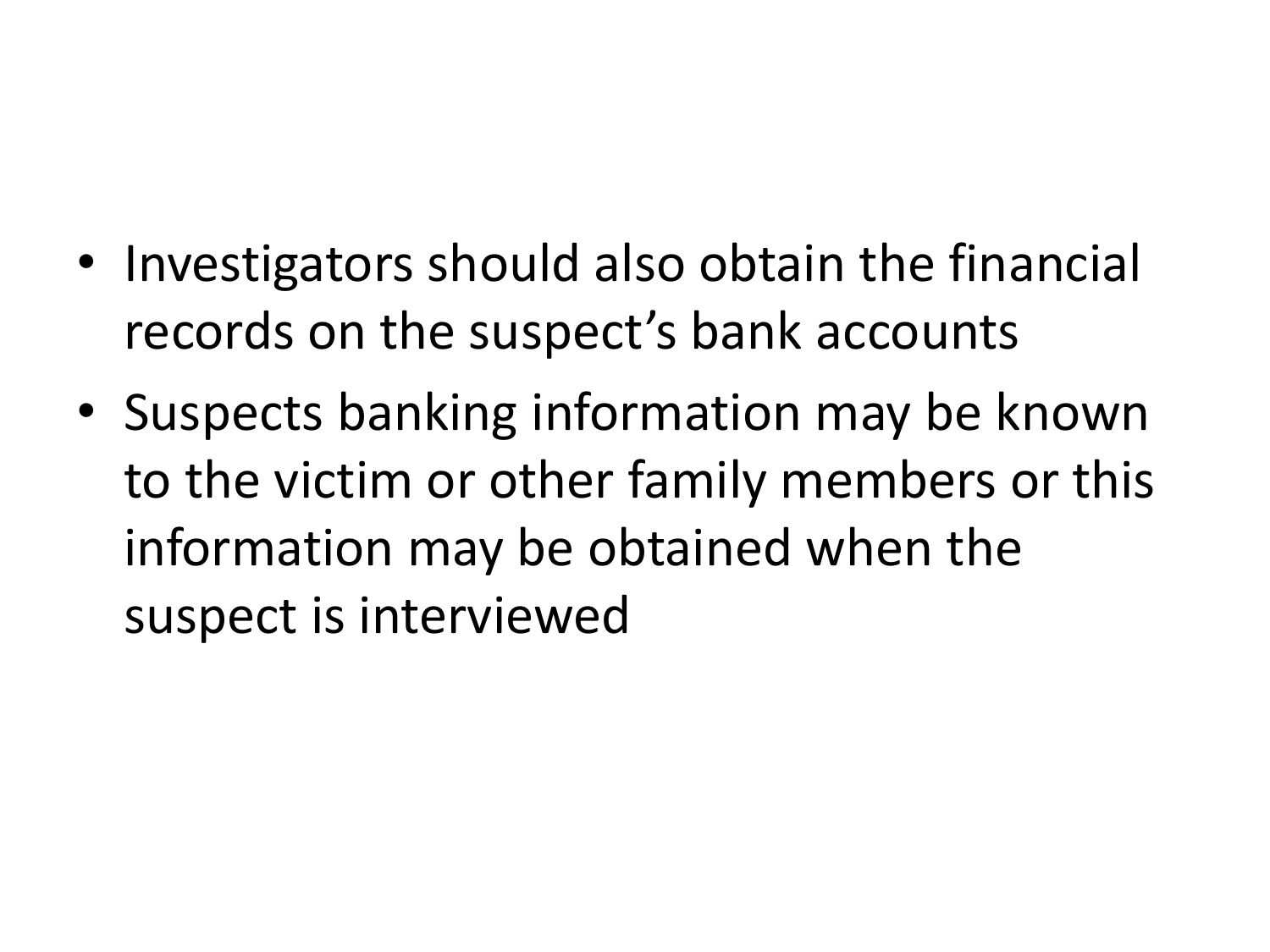- Investigators should also obtain the financial records on the suspect's bank accounts
- Suspects banking information may be known to the victim or other family members or this information may be obtained when the suspect is interviewed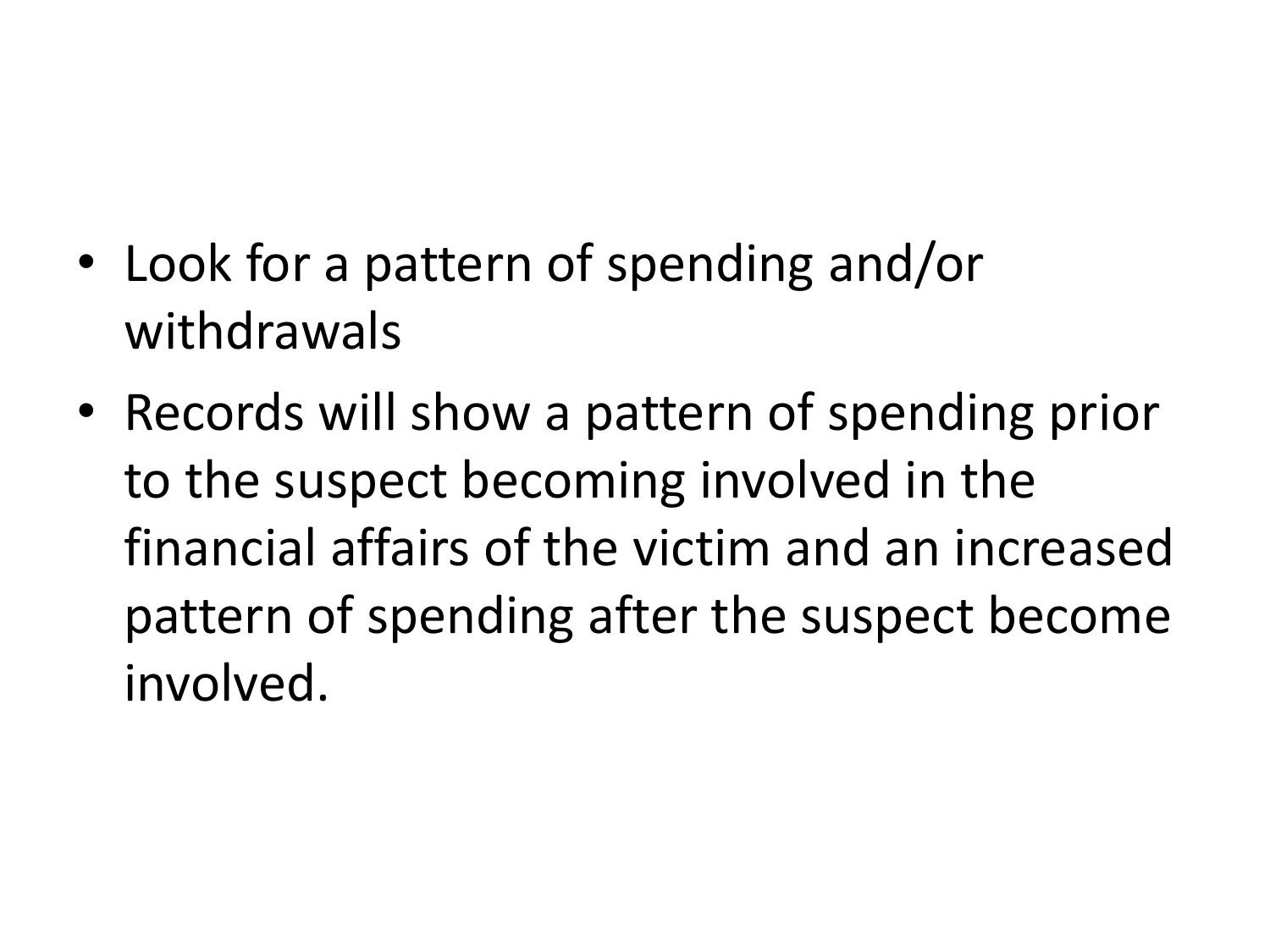- Look for a pattern of spending and/or withdrawals
- Records will show a pattern of spending prior to the suspect becoming involved in the financial affairs of the victim and an increased pattern of spending after the suspect become involved.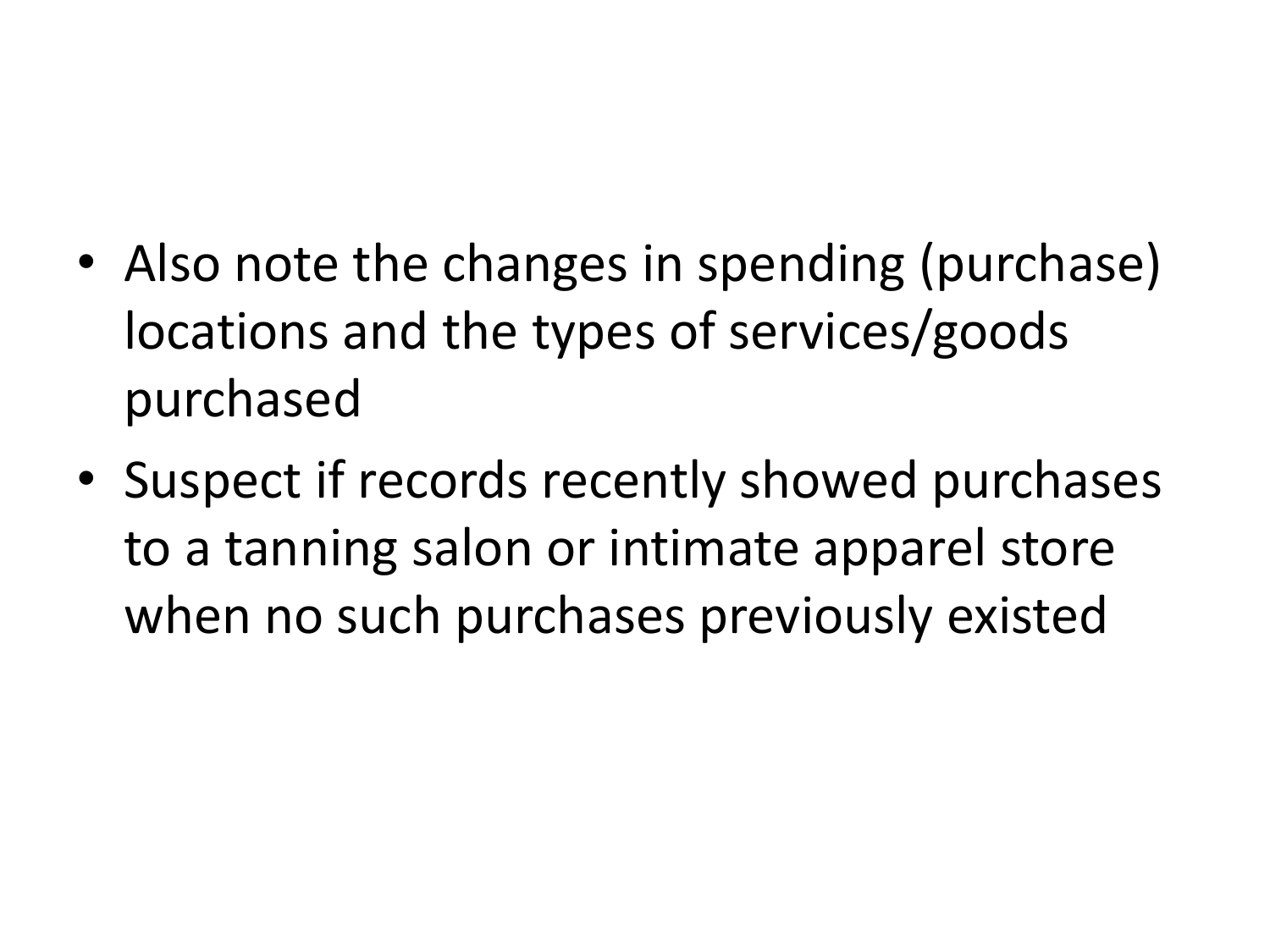- Also note the changes in spending (purchase) locations and the types of services/goods purchased
- Suspect if records recently showed purchases to a tanning salon or intimate apparel store when no such purchases previously existed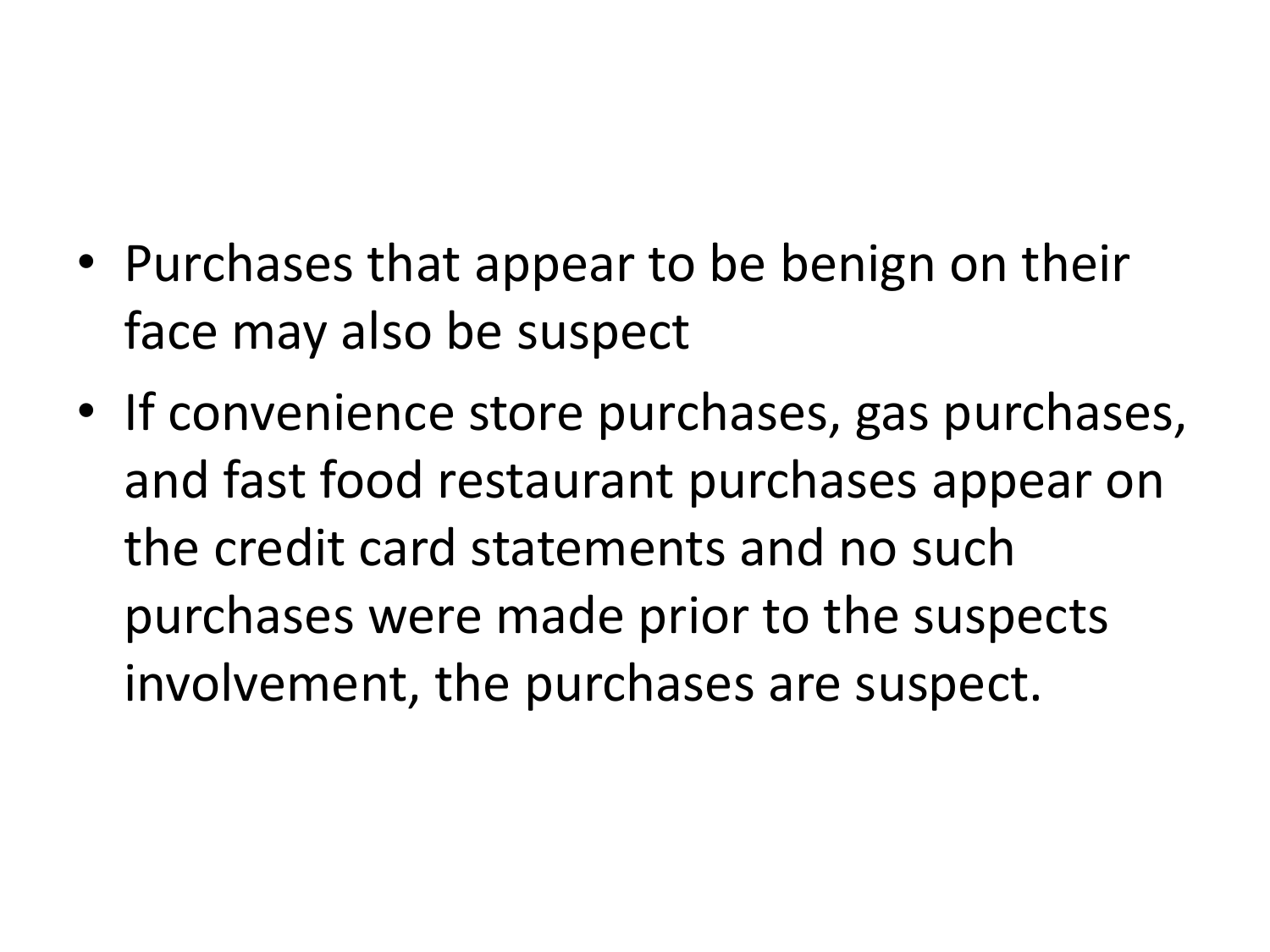- Purchases that appear to be benign on their face may also be suspect
- If convenience store purchases, gas purchases, and fast food restaurant purchases appear on the credit card statements and no such purchases were made prior to the suspects involvement, the purchases are suspect.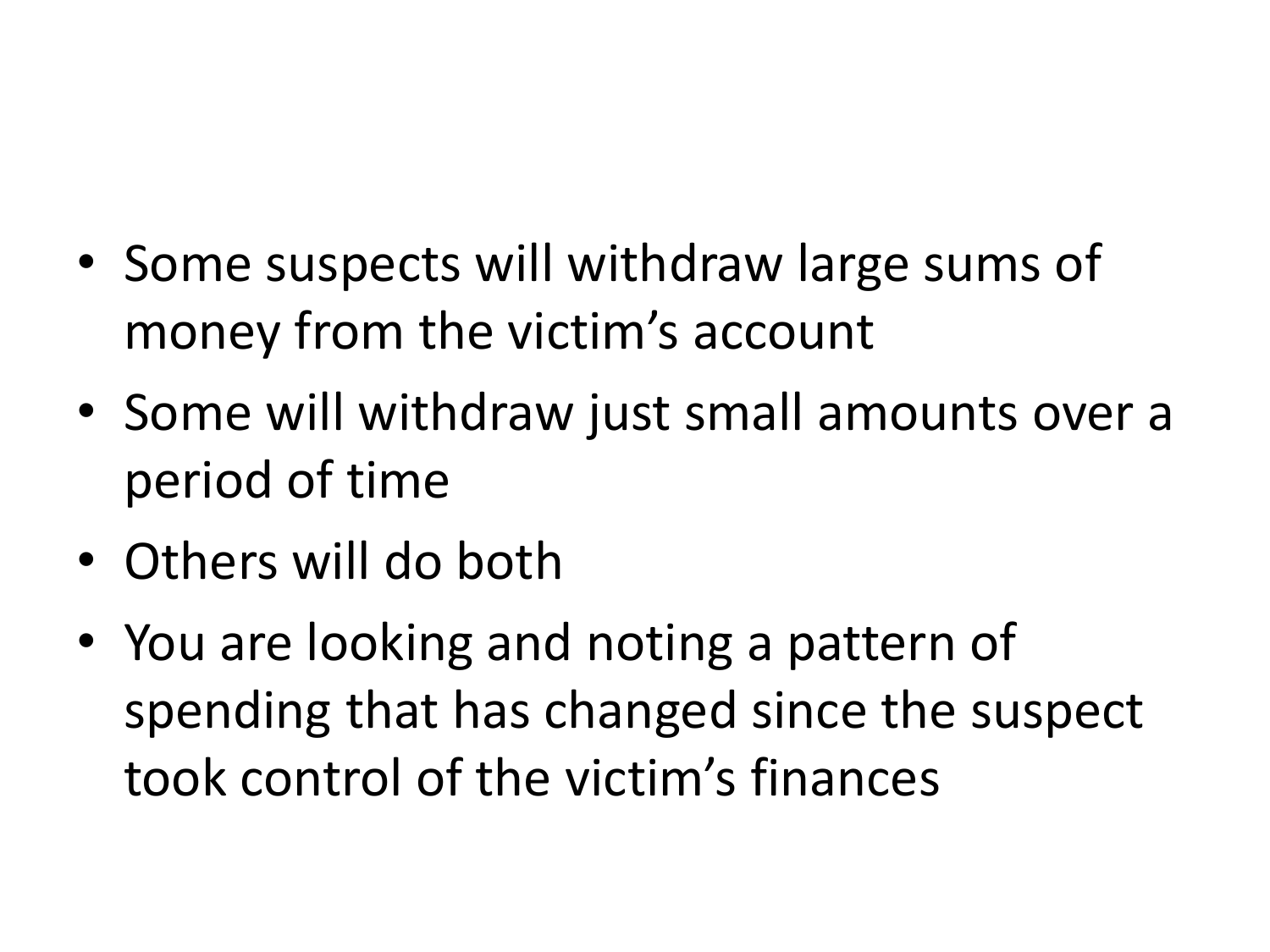- Some suspects will withdraw large sums of money from the victim's account
- Some will withdraw just small amounts over a period of time
- Others will do both
- You are looking and noting a pattern of spending that has changed since the suspect took control of the victim's finances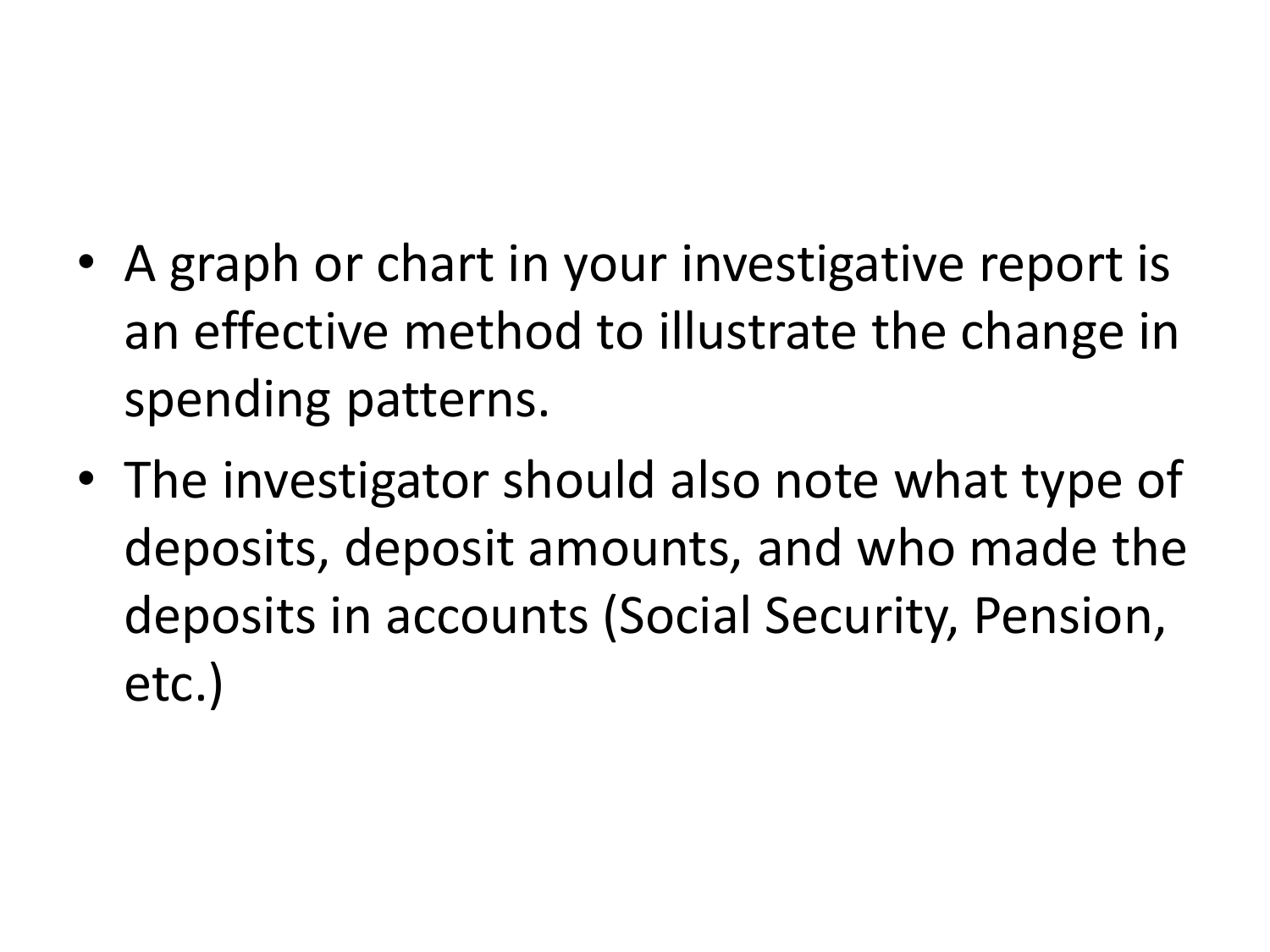- A graph or chart in your investigative report is an effective method to illustrate the change in spending patterns.
- The investigator should also note what type of deposits, deposit amounts, and who made the deposits in accounts (Social Security, Pension, etc.)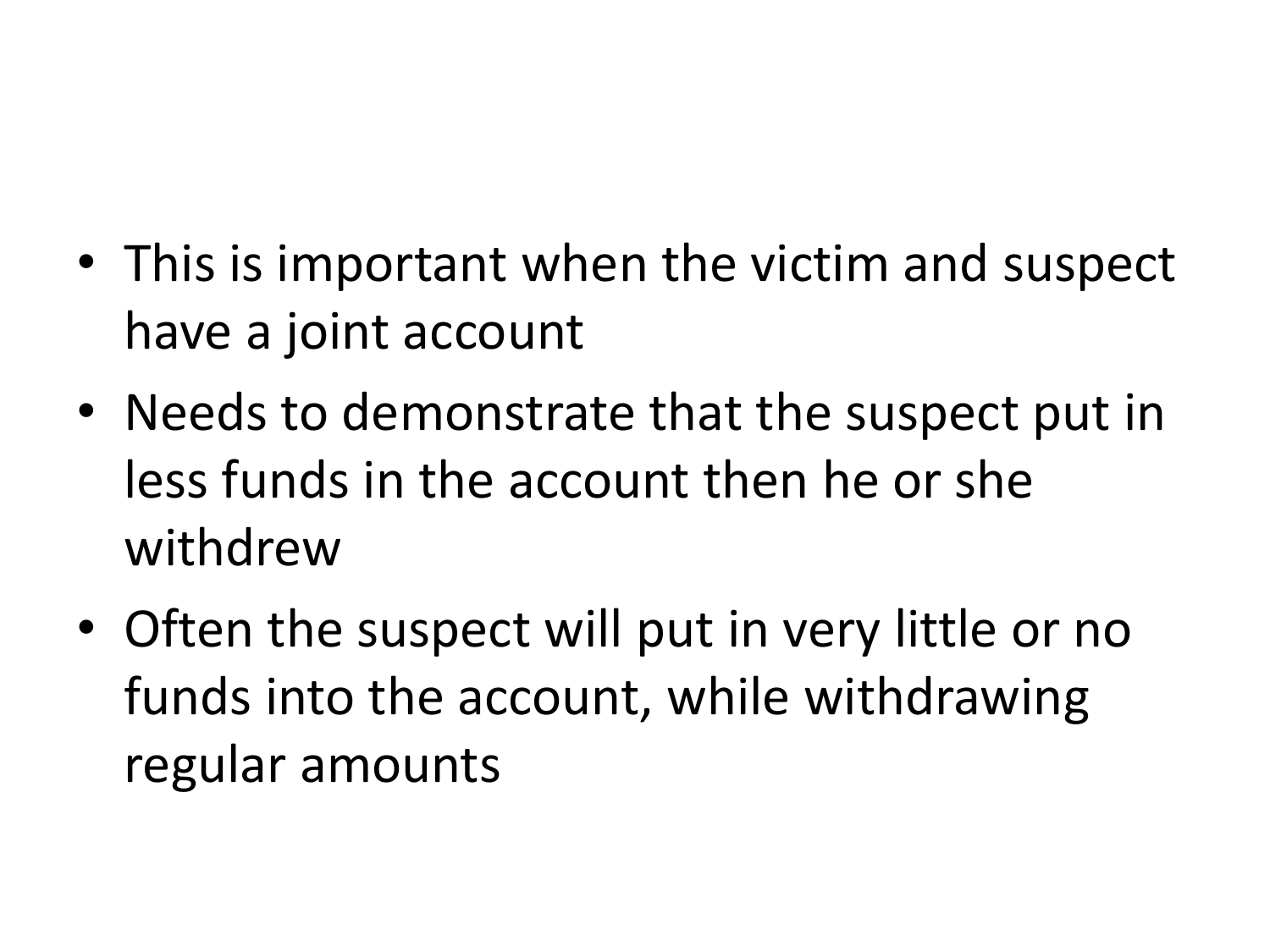- This is important when the victim and suspect have a joint account
- Needs to demonstrate that the suspect put in less funds in the account then he or she withdrew
- Often the suspect will put in very little or no funds into the account, while withdrawing regular amounts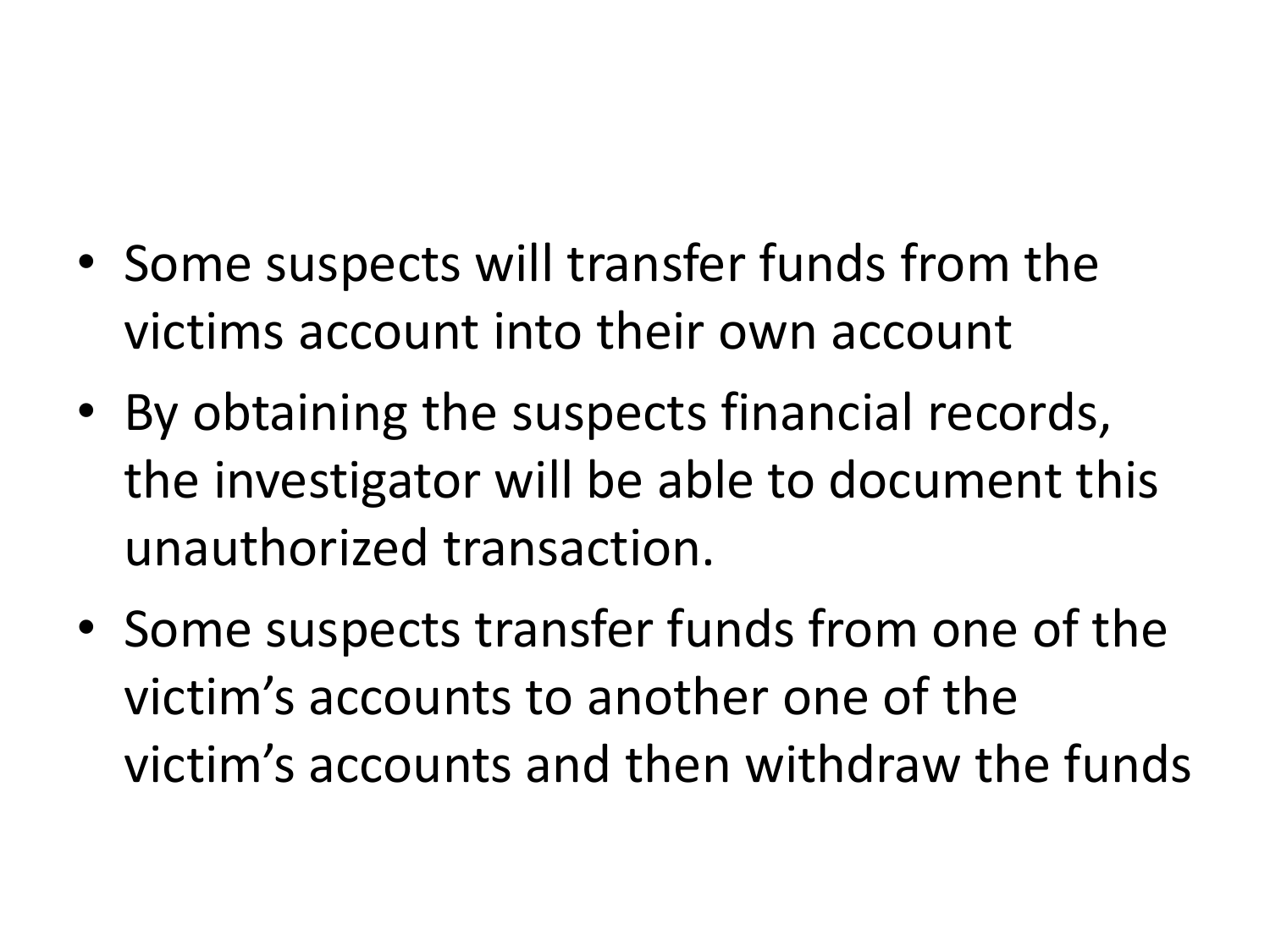- Some suspects will transfer funds from the victims account into their own account
- By obtaining the suspects financial records, the investigator will be able to document this unauthorized transaction.
- Some suspects transfer funds from one of the victim's accounts to another one of the victim's accounts and then withdraw the funds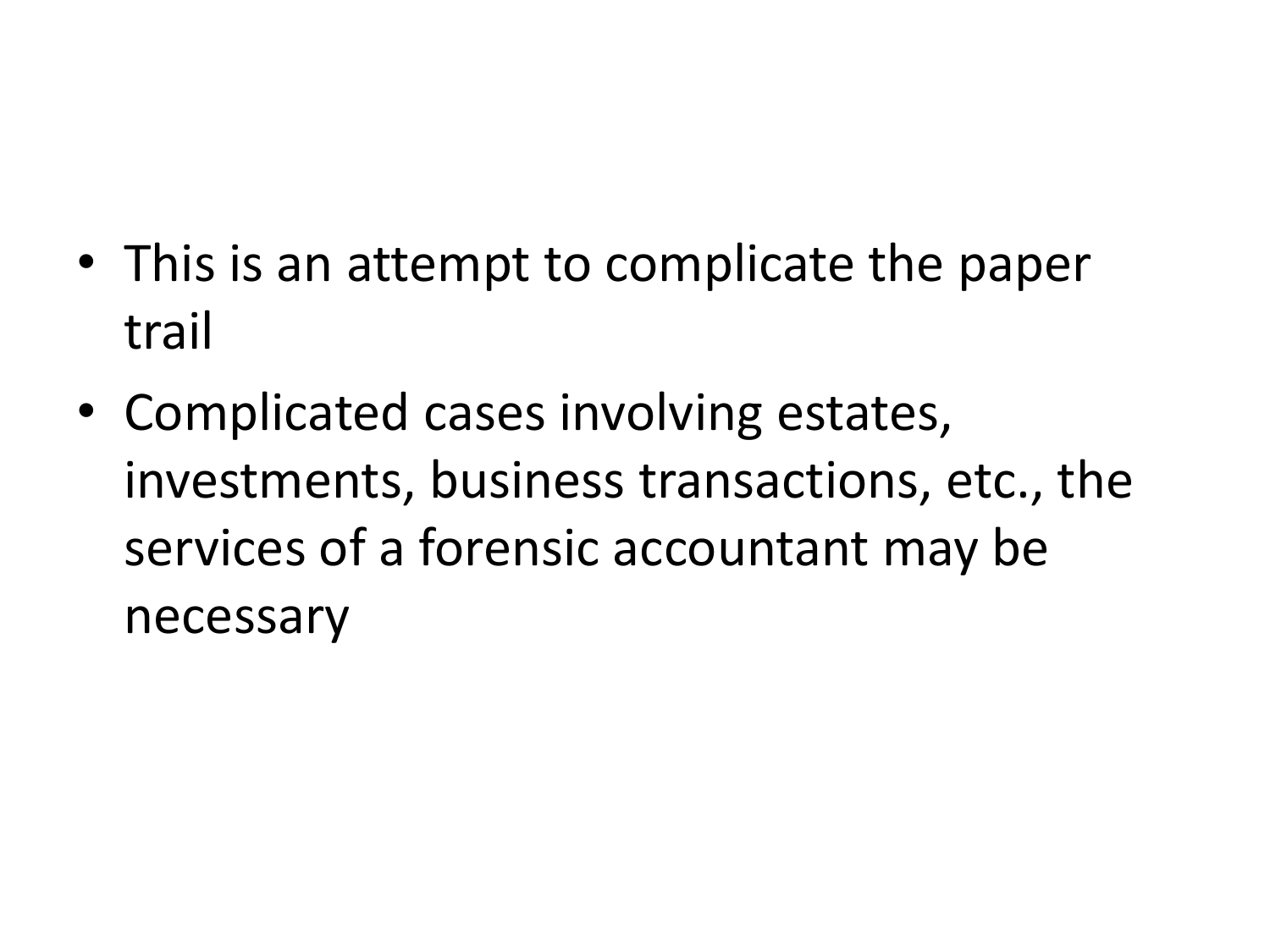- This is an attempt to complicate the paper trail
- Complicated cases involving estates, investments, business transactions, etc., the services of a forensic accountant may be necessary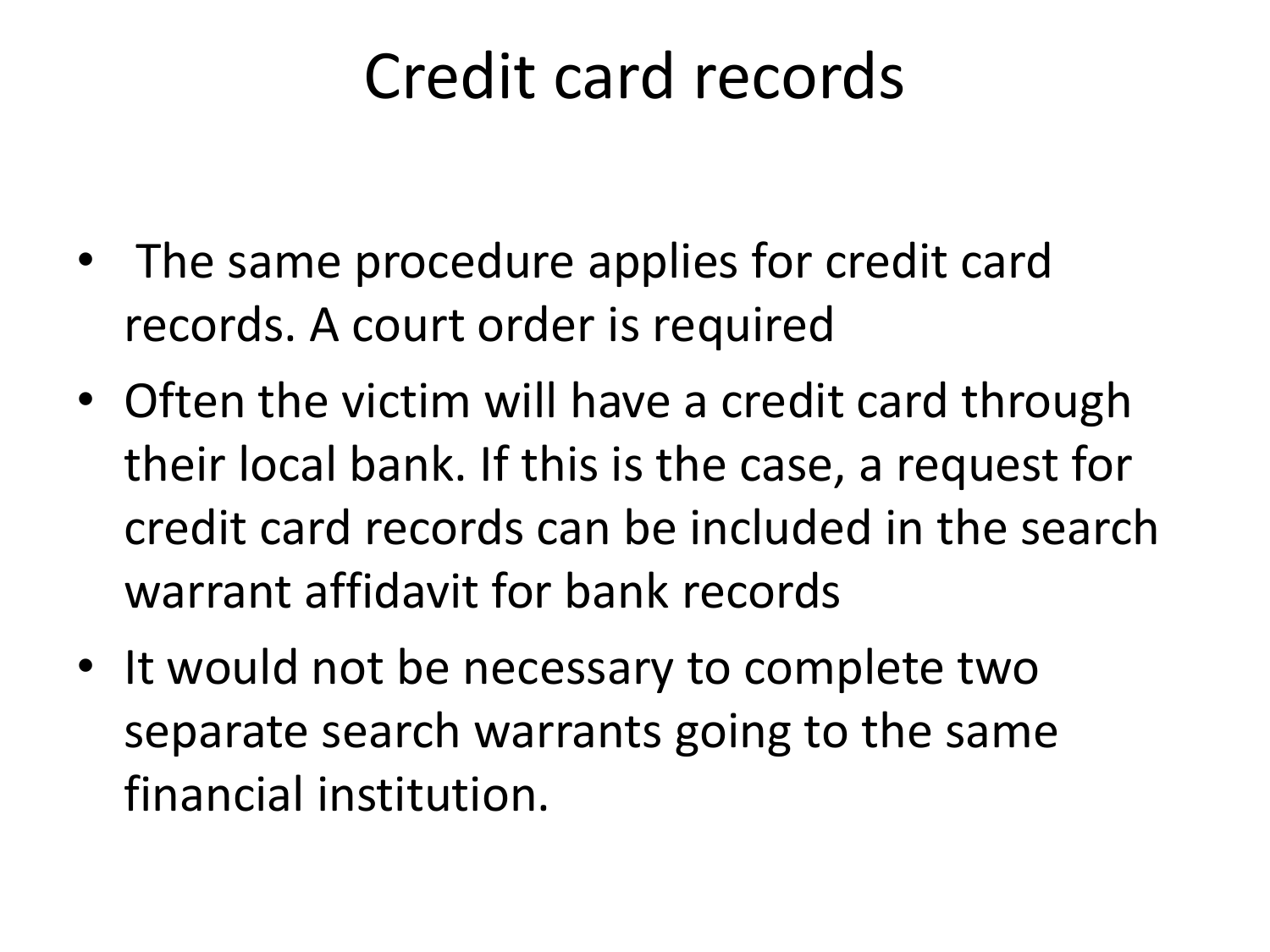#### Credit card records

- The same procedure applies for credit card records. A court order is required
- Often the victim will have a credit card through their local bank. If this is the case, a request for credit card records can be included in the search warrant affidavit for bank records
- It would not be necessary to complete two separate search warrants going to the same financial institution.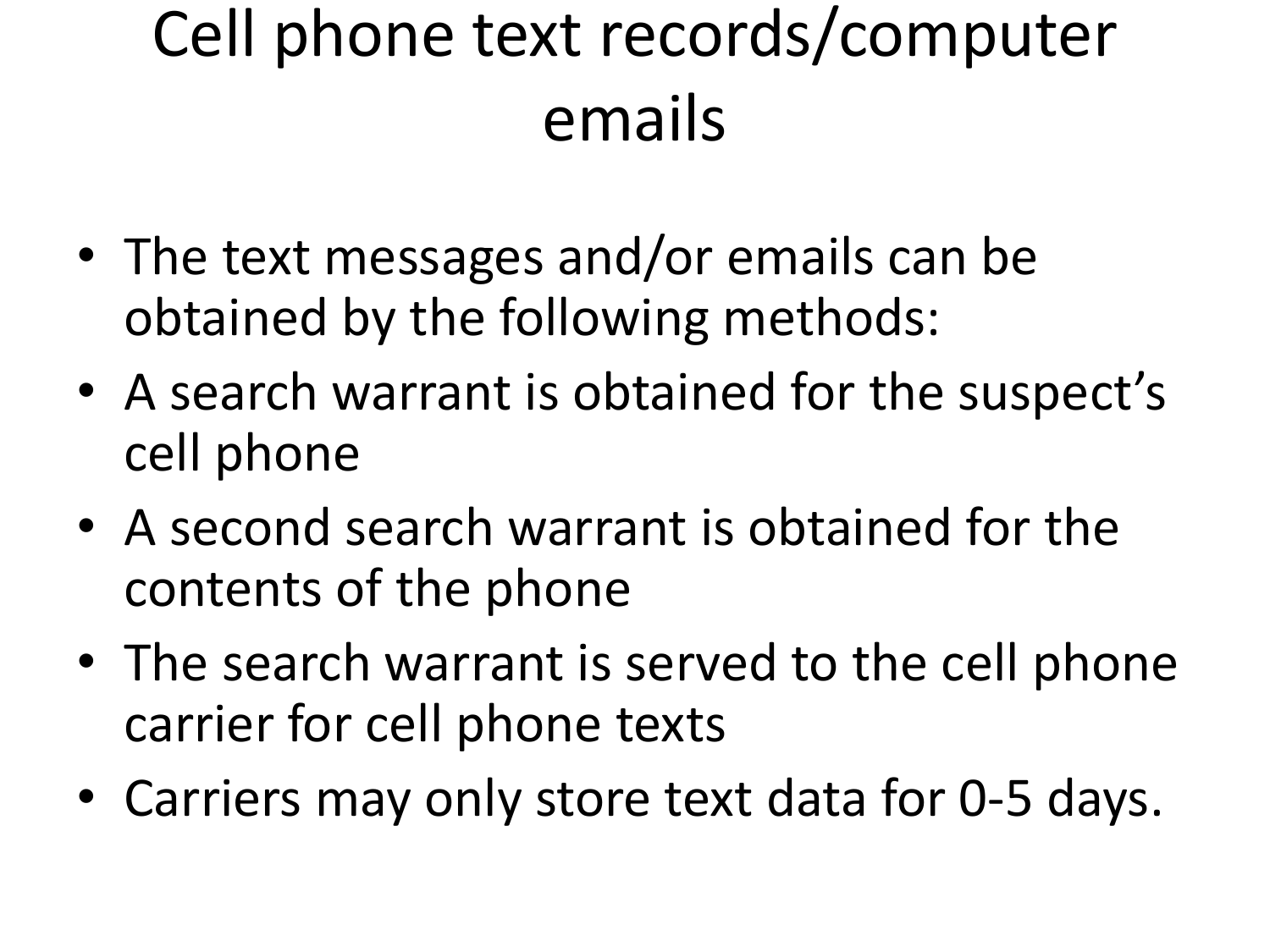### Cell phone text records/computer emails

- The text messages and/or emails can be obtained by the following methods:
- A search warrant is obtained for the suspect's cell phone
- A second search warrant is obtained for the contents of the phone
- The search warrant is served to the cell phone carrier for cell phone texts
- Carriers may only store text data for 0-5 days.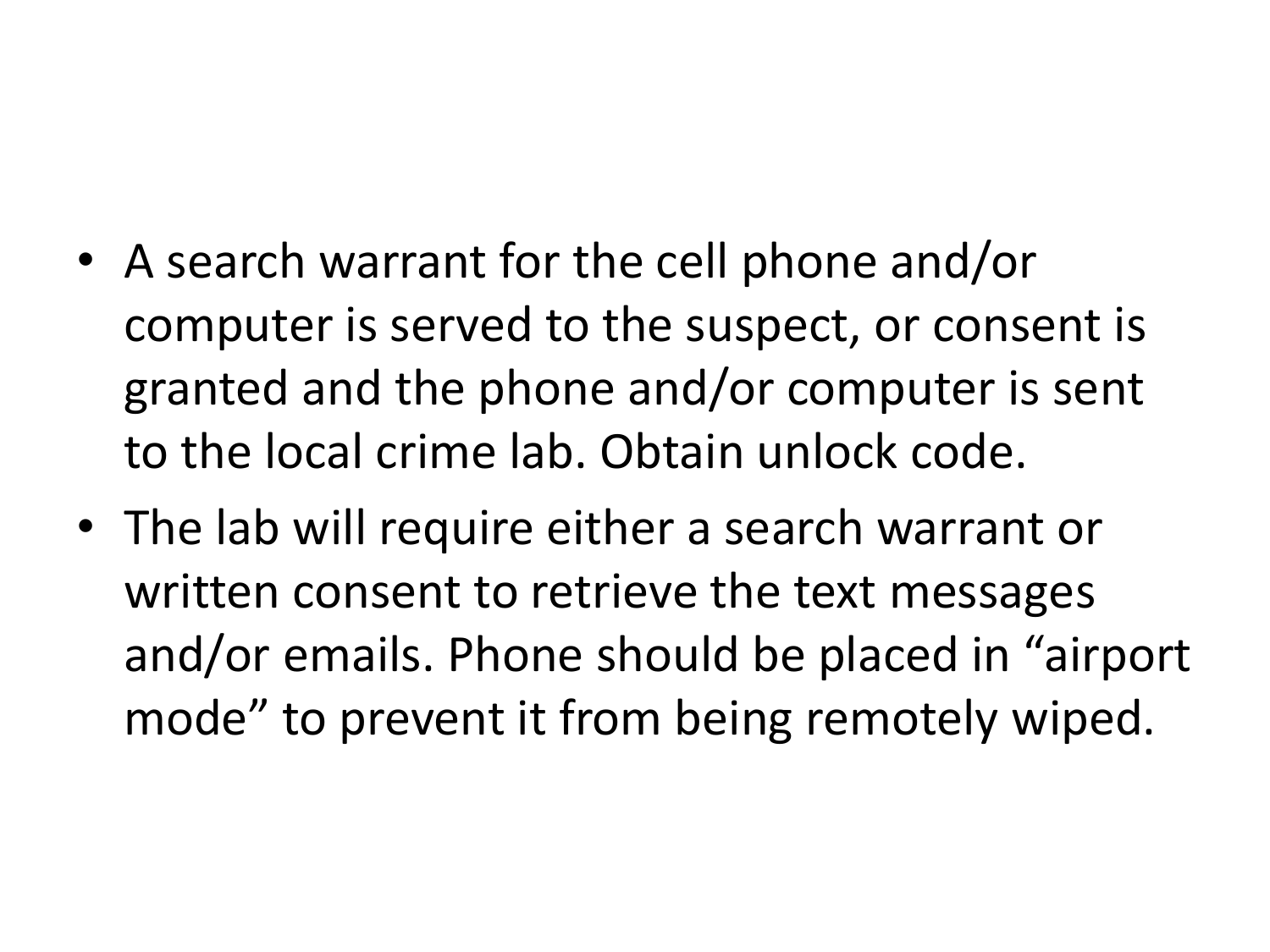- A search warrant for the cell phone and/or computer is served to the suspect, or consent is granted and the phone and/or computer is sent to the local crime lab. Obtain unlock code.
- The lab will require either a search warrant or written consent to retrieve the text messages and/or emails. Phone should be placed in "airport mode" to prevent it from being remotely wiped.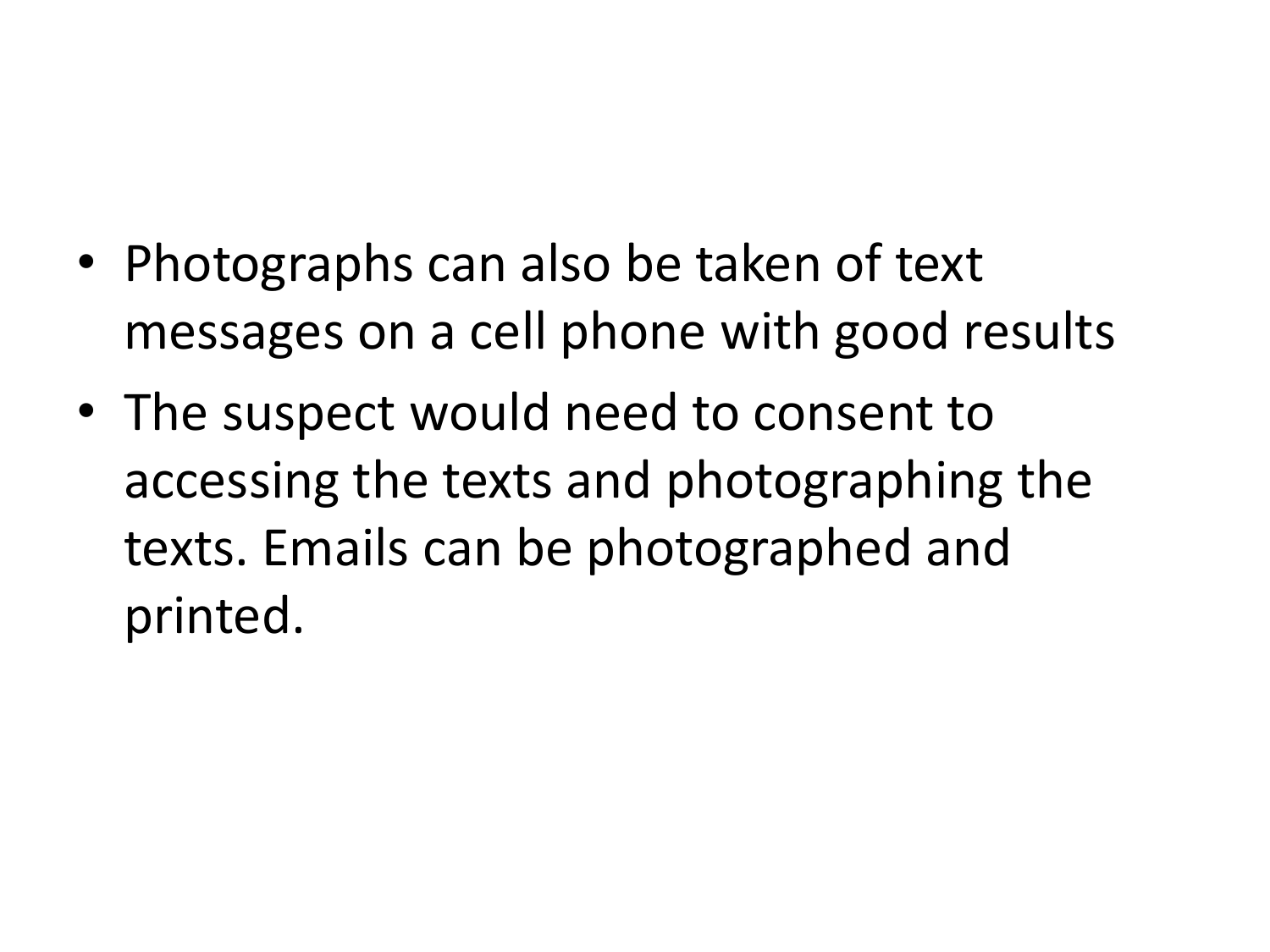- Photographs can also be taken of text messages on a cell phone with good results
- The suspect would need to consent to accessing the texts and photographing the texts. Emails can be photographed and printed.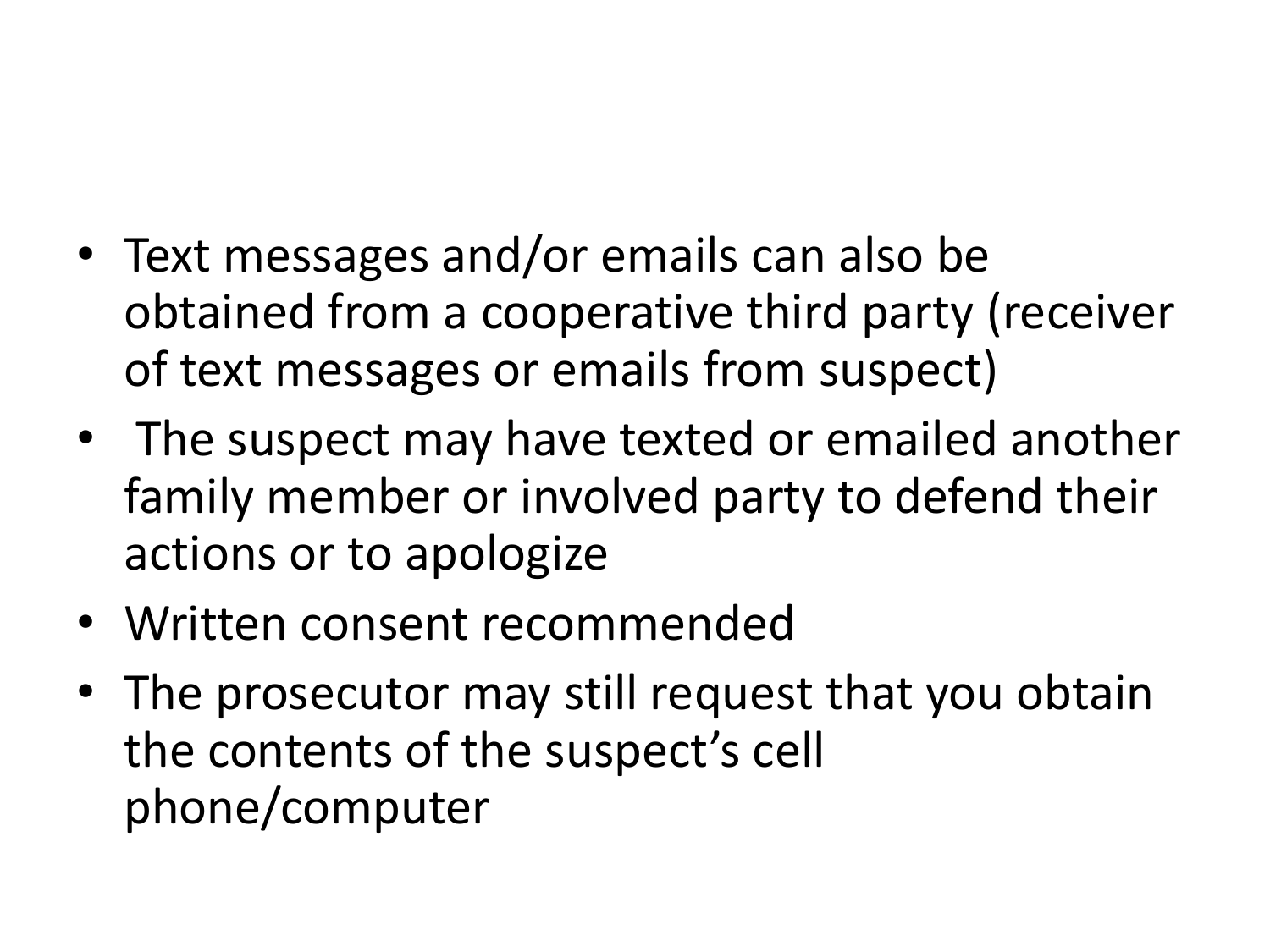- Text messages and/or emails can also be obtained from a cooperative third party (receiver of text messages or emails from suspect)
- The suspect may have texted or emailed another family member or involved party to defend their actions or to apologize
- Written consent recommended
- The prosecutor may still request that you obtain the contents of the suspect's cell phone/computer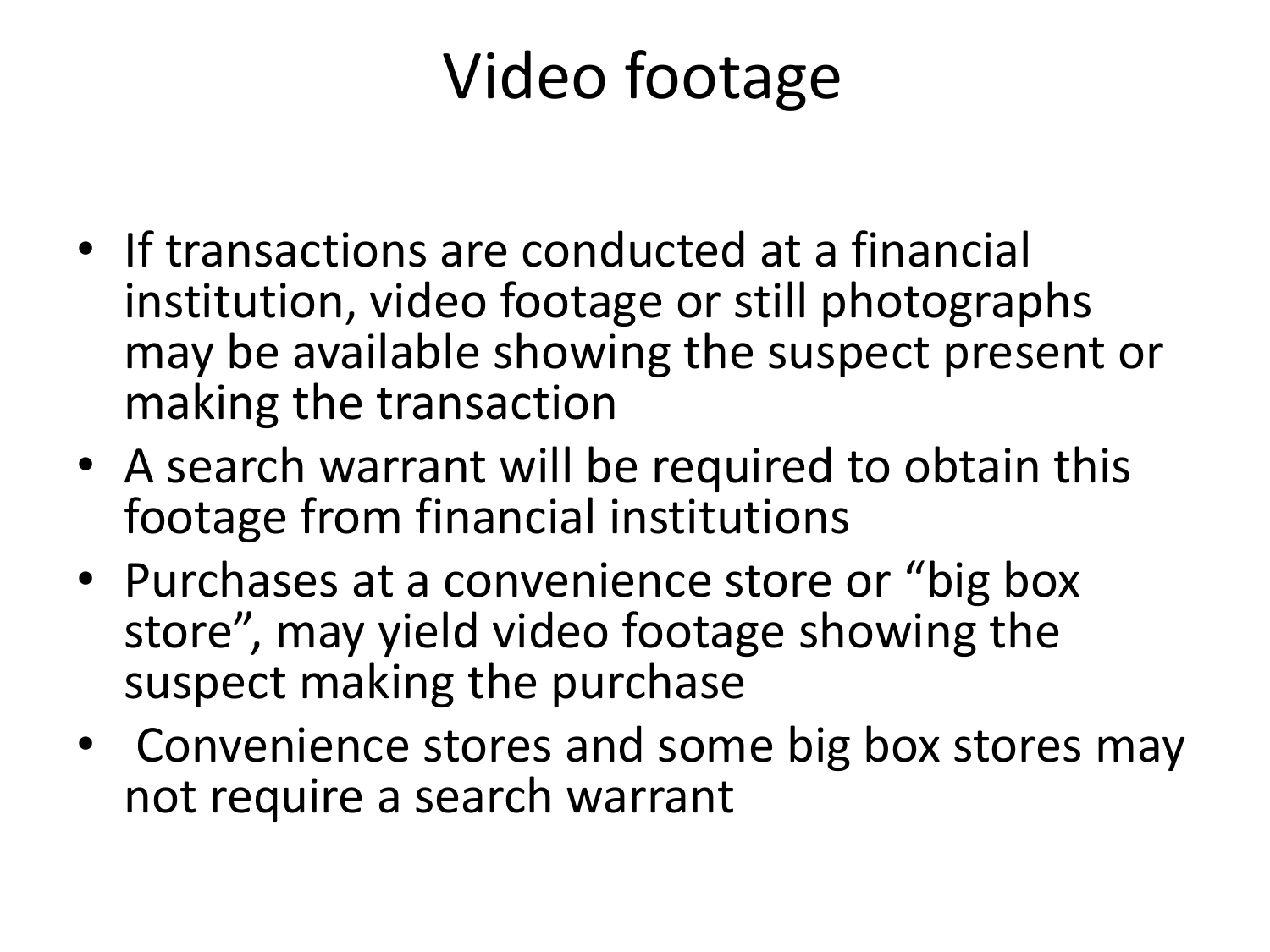### Video footage

- If transactions are conducted at a financial institution, video footage or still photographs may be available showing the suspect present or making the transaction
- A search warrant will be required to obtain this footage from financial institutions
- Purchases at a convenience store or "big box" store", may yield video footage showing the suspect making the purchase
- Convenience stores and some big box stores may not require a search warrant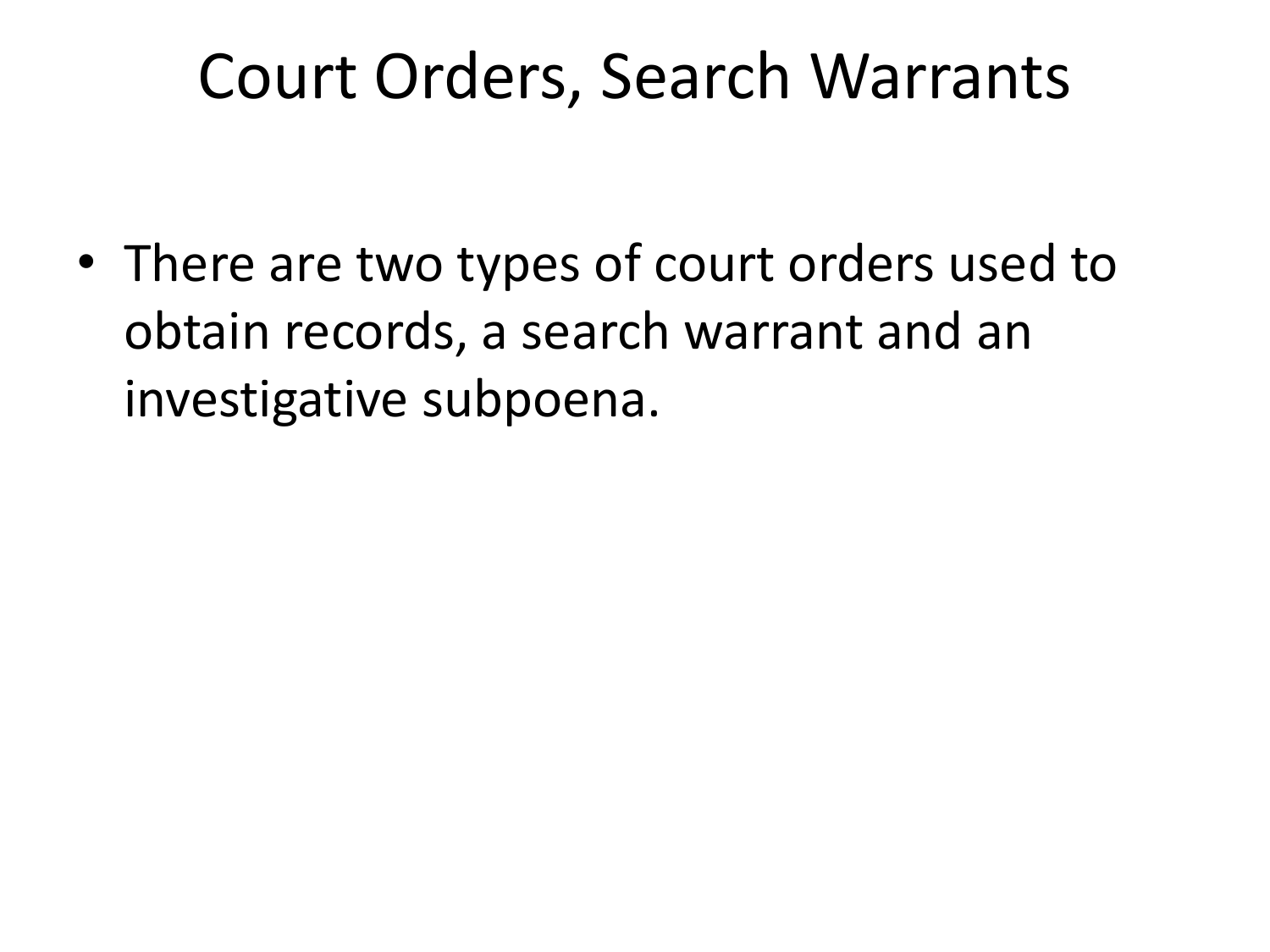#### Court Orders, Search Warrants

• There are two types of court orders used to obtain records, a search warrant and an investigative subpoena.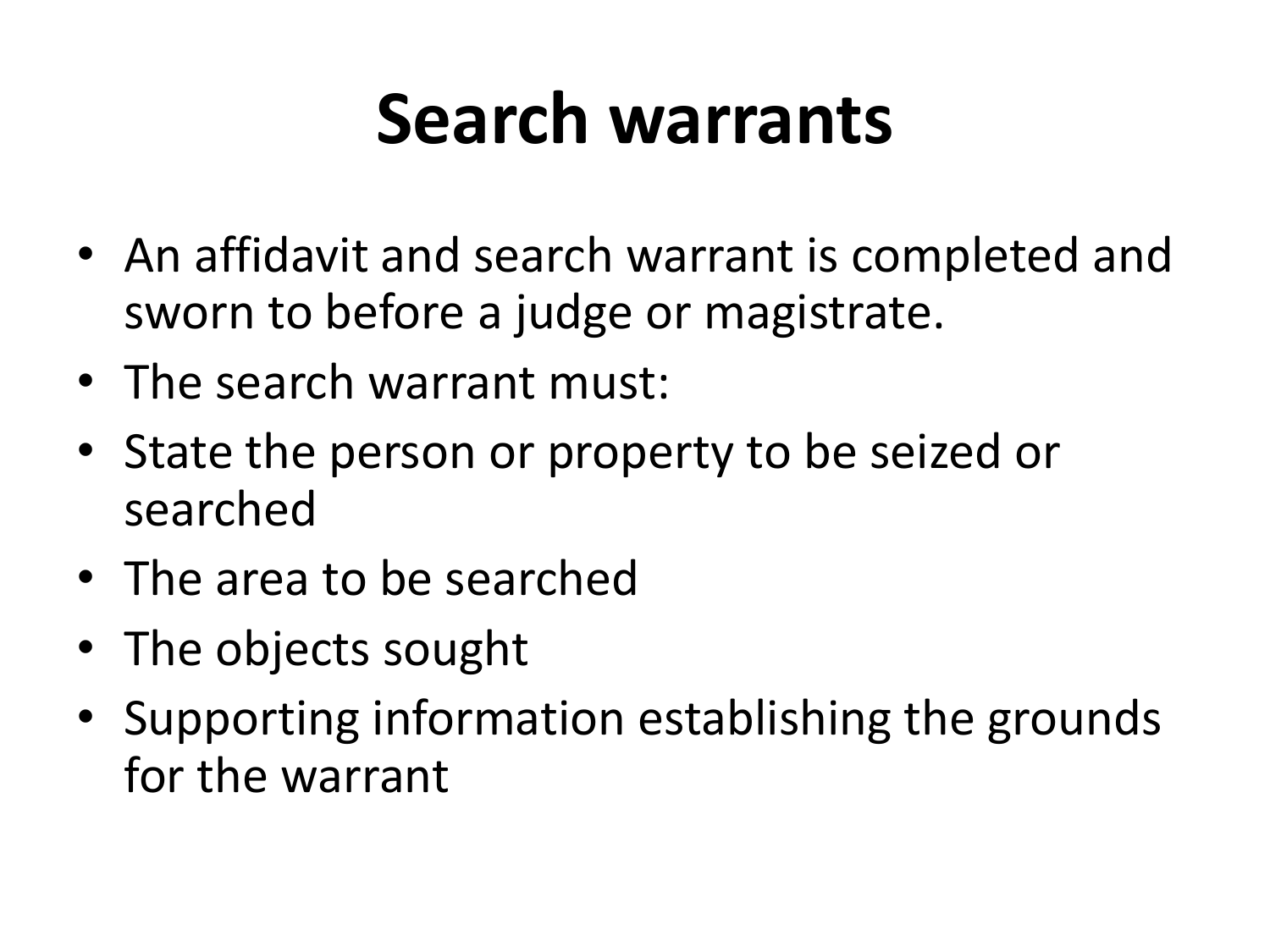## **Search warrants**

- An affidavit and search warrant is completed and sworn to before a judge or magistrate.
- The search warrant must:
- State the person or property to be seized or searched
- The area to be searched
- The objects sought
- Supporting information establishing the grounds for the warrant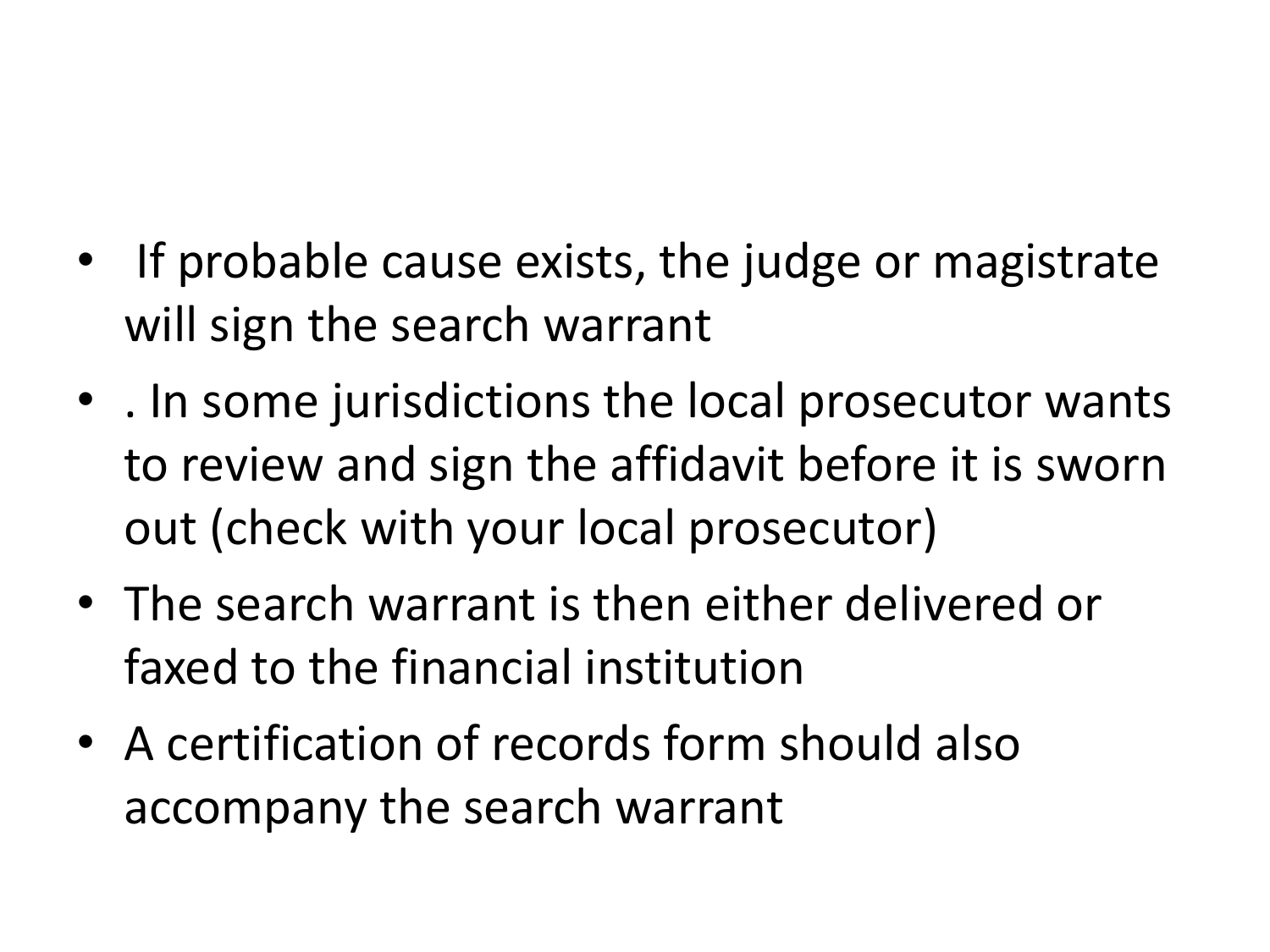- If probable cause exists, the judge or magistrate will sign the search warrant
- . In some jurisdictions the local prosecutor wants to review and sign the affidavit before it is sworn out (check with your local prosecutor)
- The search warrant is then either delivered or faxed to the financial institution
- A certification of records form should also accompany the search warrant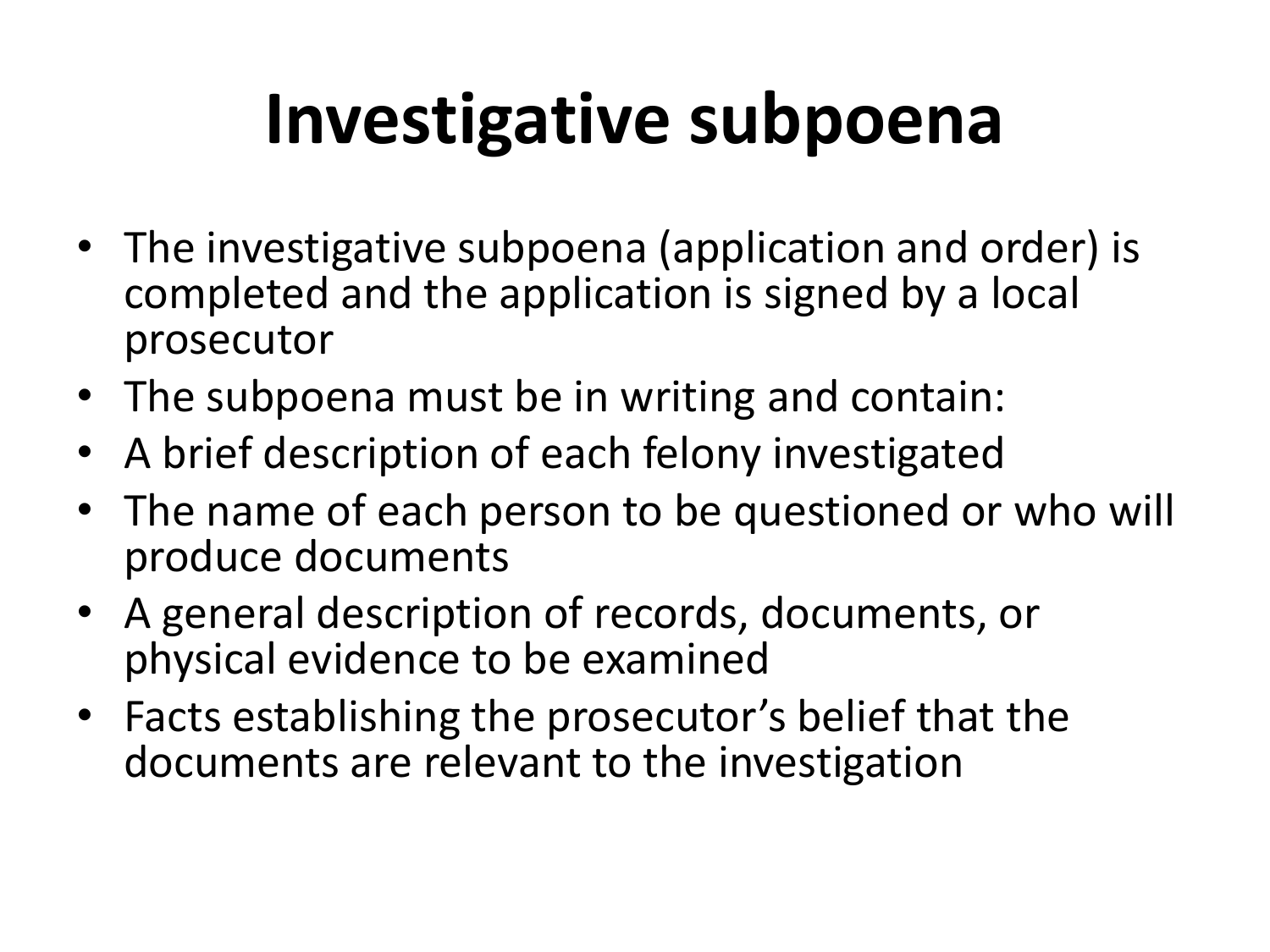# **Investigative subpoena**

- The investigative subpoena (application and order) is completed and the application is signed by a local prosecutor
- The subpoena must be in writing and contain:
- A brief description of each felony investigated
- The name of each person to be questioned or who will produce documents
- A general description of records, documents, or physical evidence to be examined
- Facts establishing the prosecutor's belief that the documents are relevant to the investigation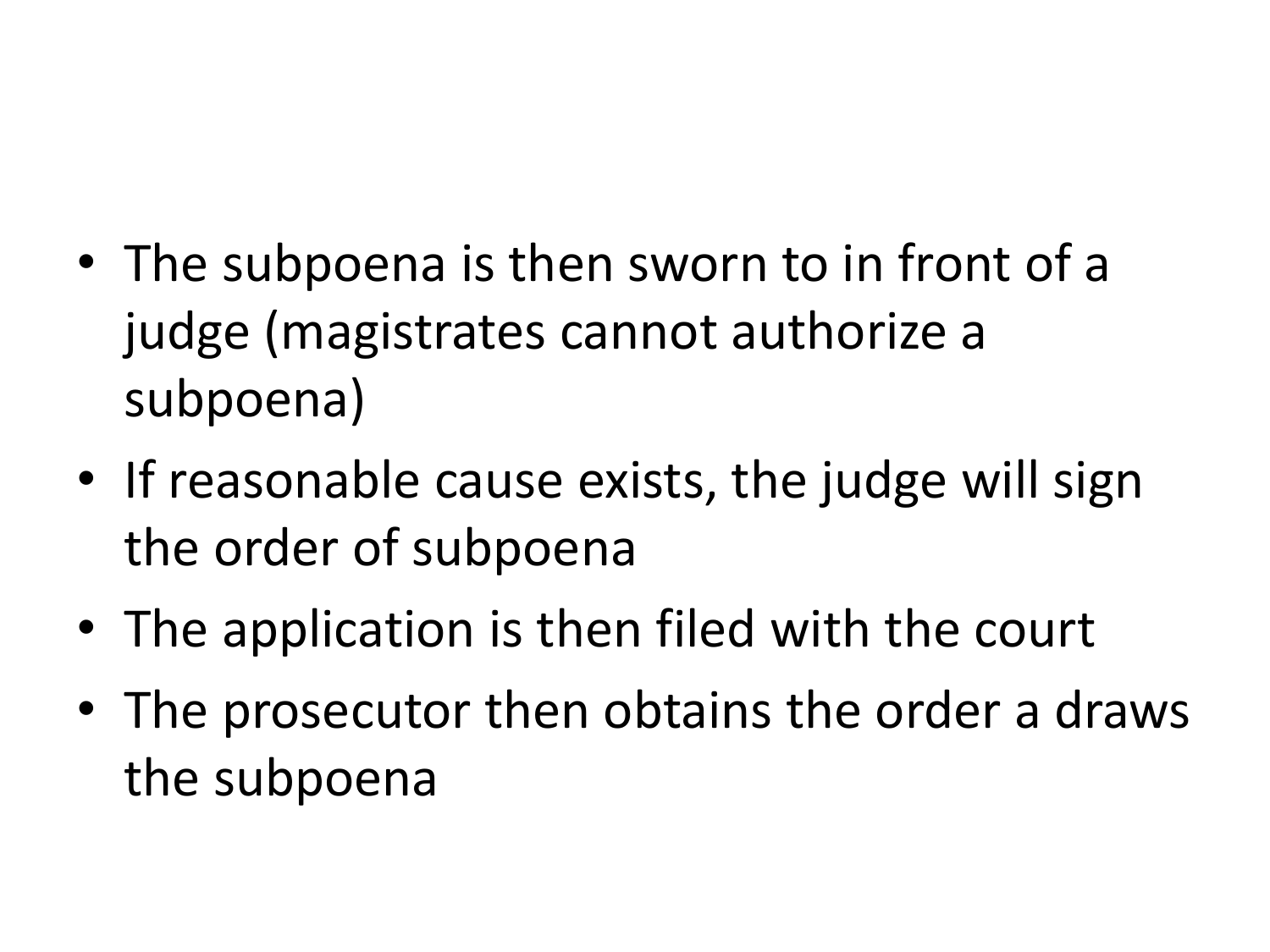- The subpoena is then sworn to in front of a judge (magistrates cannot authorize a subpoena)
- If reasonable cause exists, the judge will sign the order of subpoena
- The application is then filed with the court
- The prosecutor then obtains the order a draws the subpoena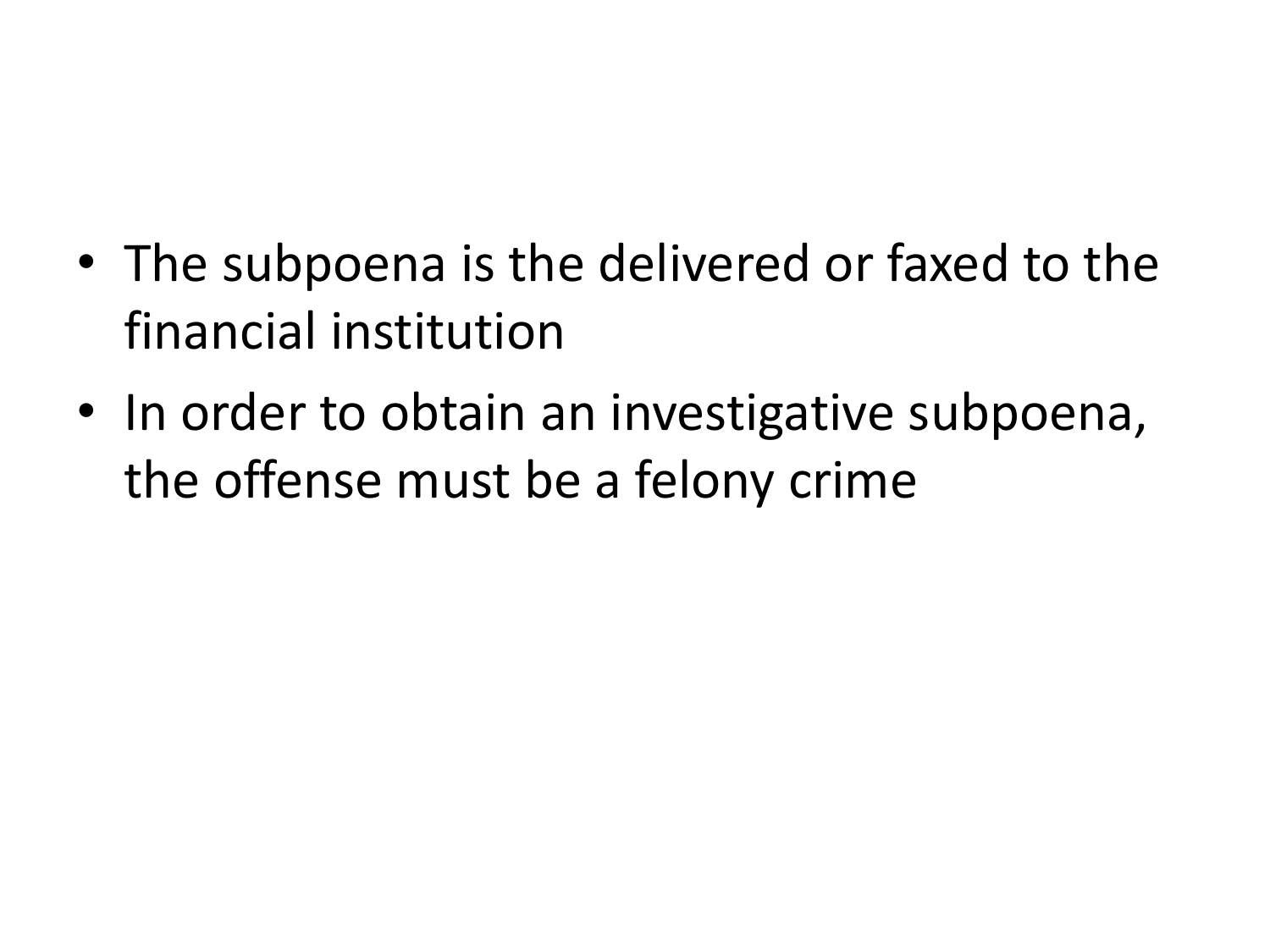- The subpoena is the delivered or faxed to the financial institution
- In order to obtain an investigative subpoena, the offense must be a felony crime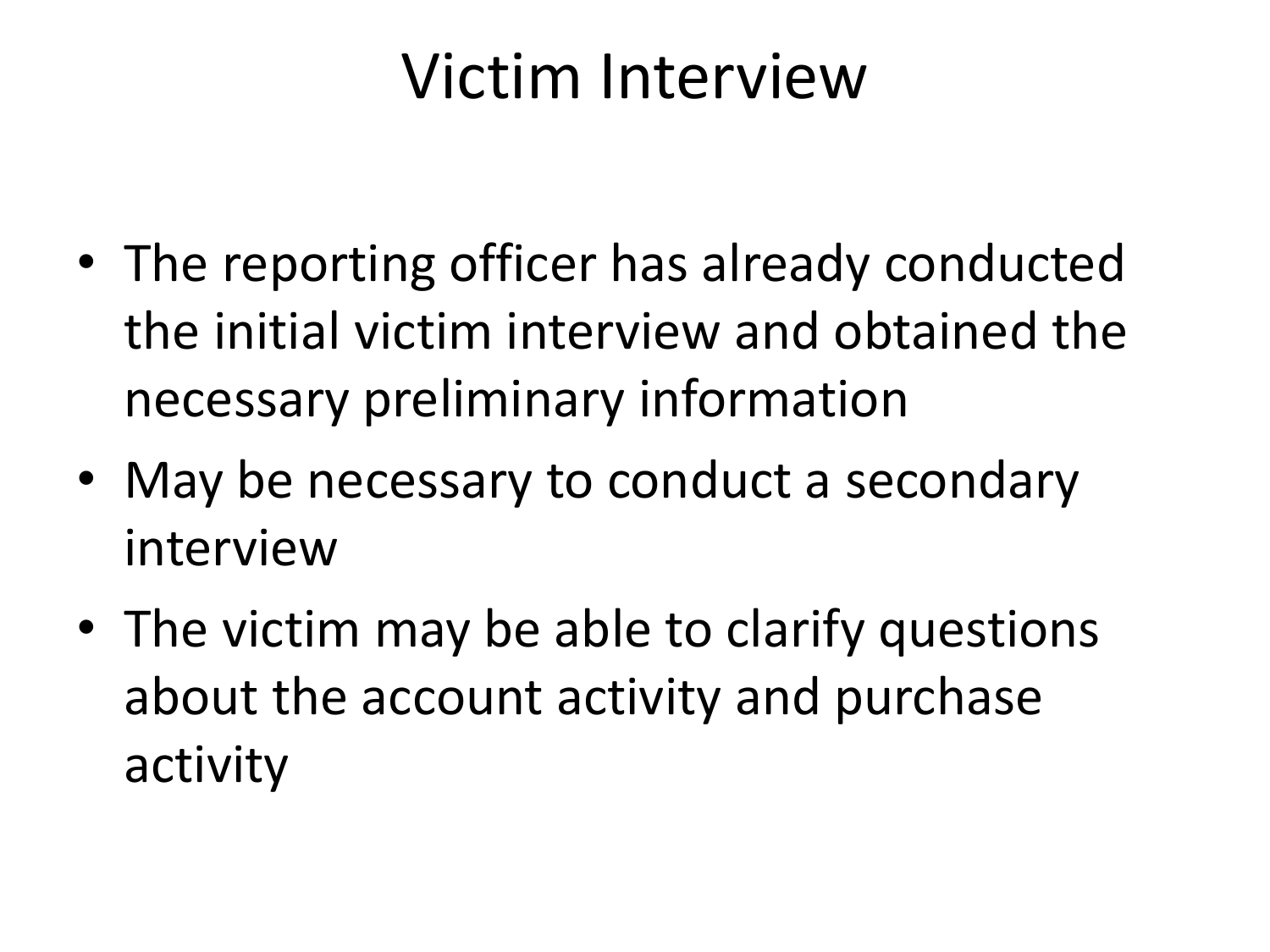#### Victim Interview

- The reporting officer has already conducted the initial victim interview and obtained the necessary preliminary information
- May be necessary to conduct a secondary interview
- The victim may be able to clarify questions about the account activity and purchase activity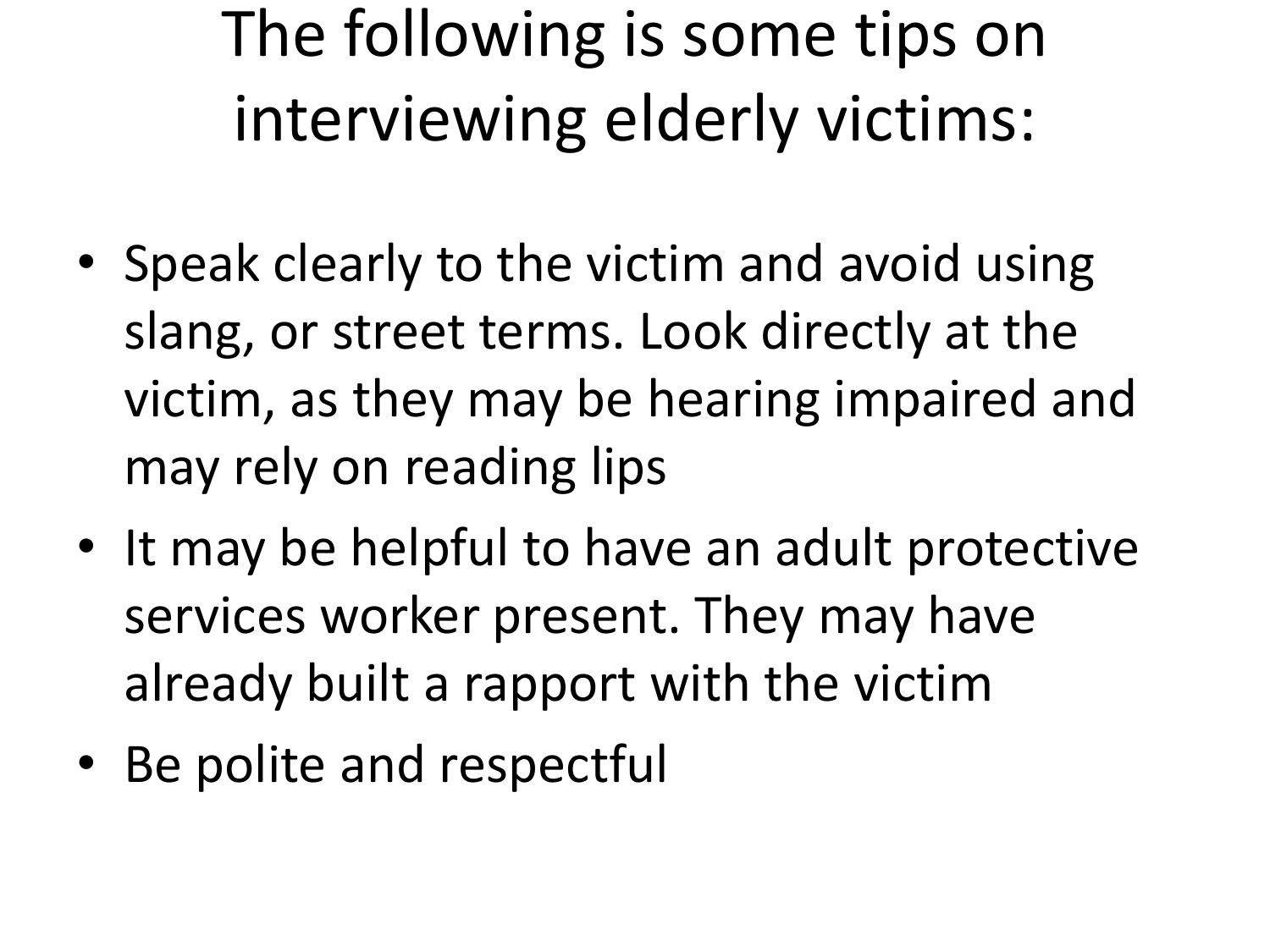## The following is some tips on interviewing elderly victims:

- Speak clearly to the victim and avoid using slang, or street terms. Look directly at the victim, as they may be hearing impaired and may rely on reading lips
- It may be helpful to have an adult protective services worker present. They may have already built a rapport with the victim
- Be polite and respectful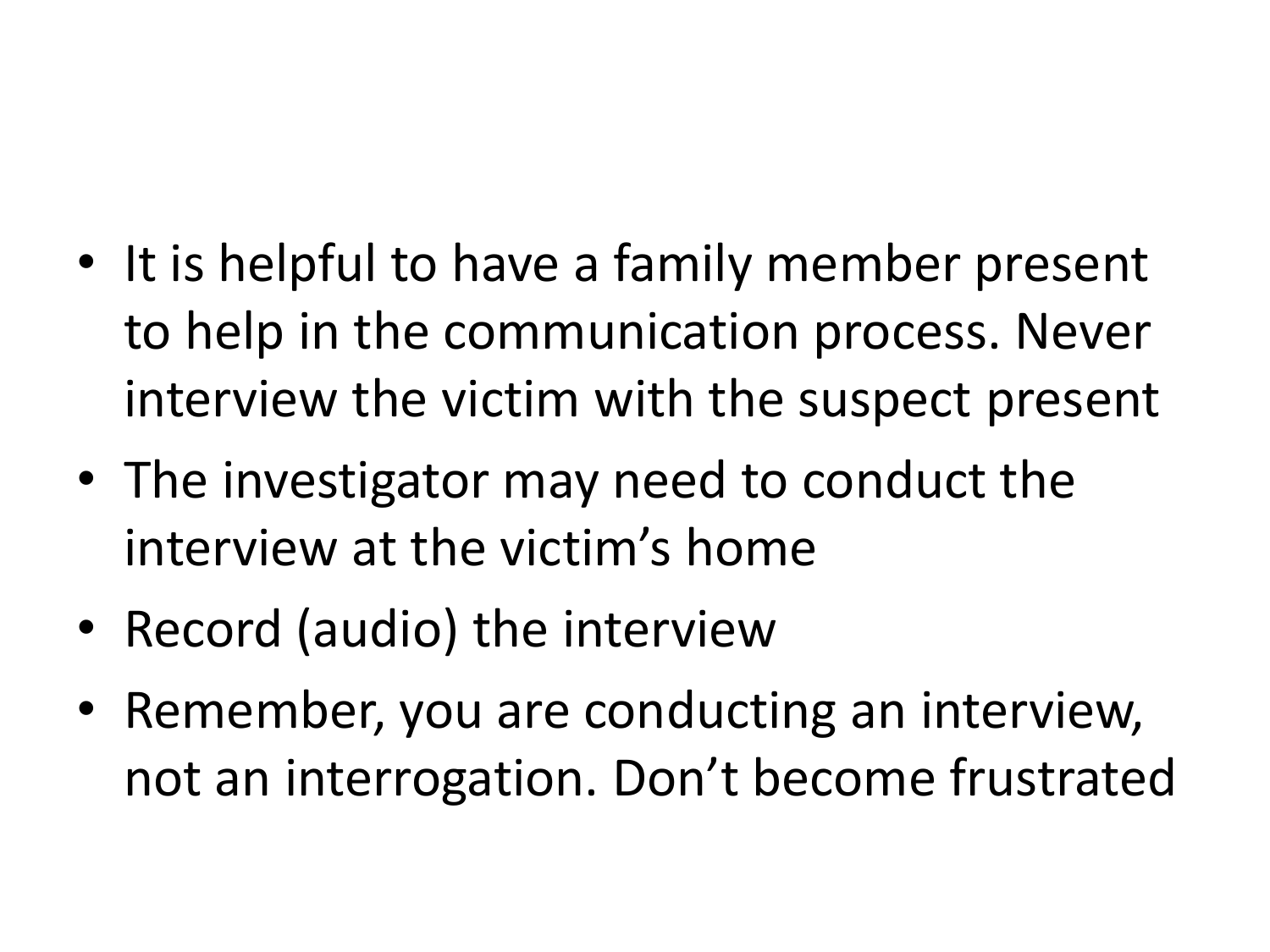- It is helpful to have a family member present to help in the communication process. Never interview the victim with the suspect present
- The investigator may need to conduct the interview at the victim's home
- Record (audio) the interview
- Remember, you are conducting an interview, not an interrogation. Don't become frustrated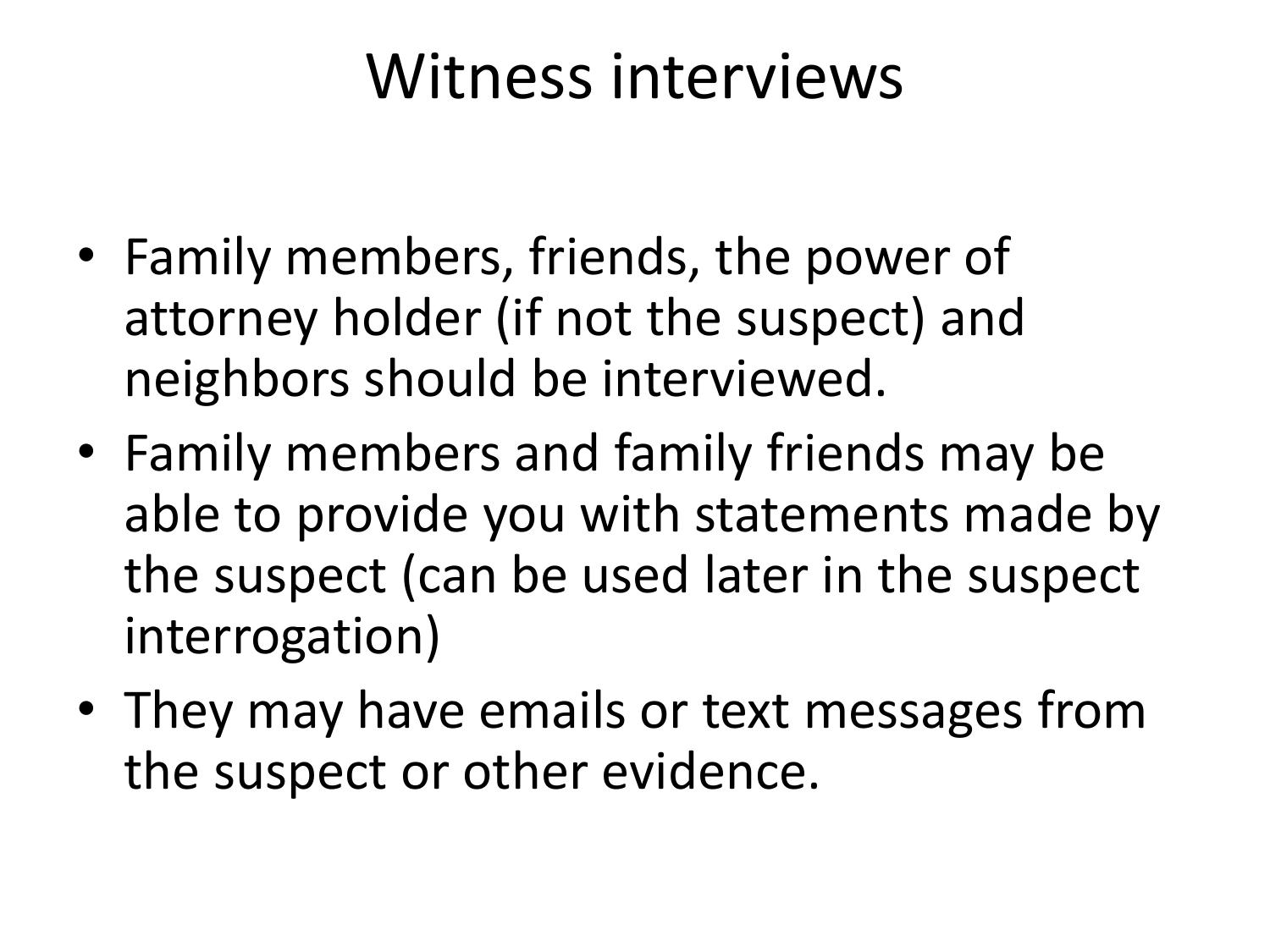#### Witness interviews

- Family members, friends, the power of attorney holder (if not the suspect) and neighbors should be interviewed.
- Family members and family friends may be able to provide you with statements made by the suspect (can be used later in the suspect interrogation)
- They may have emails or text messages from the suspect or other evidence.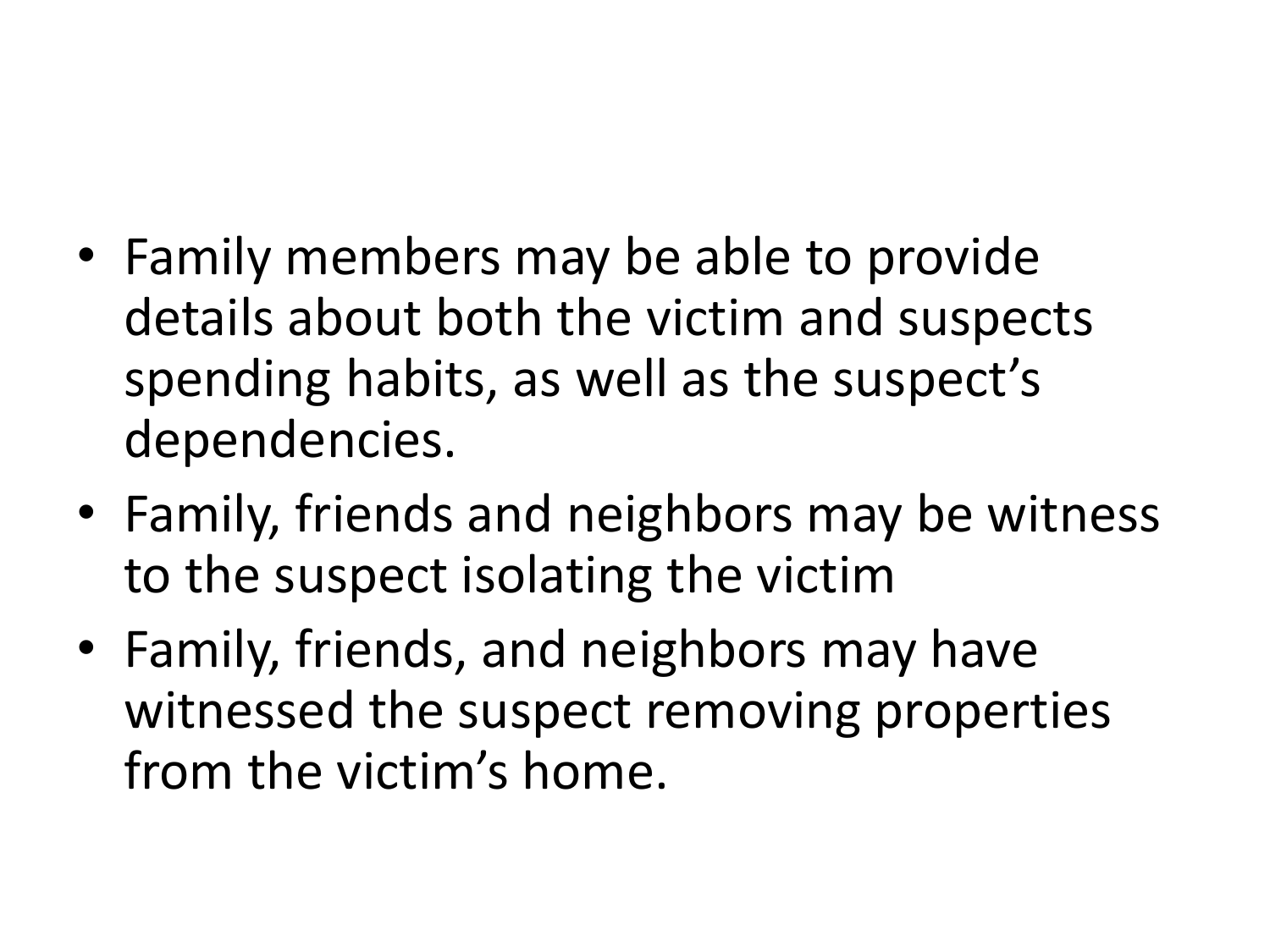- Family members may be able to provide details about both the victim and suspects spending habits, as well as the suspect's dependencies.
- Family, friends and neighbors may be witness to the suspect isolating the victim
- Family, friends, and neighbors may have witnessed the suspect removing properties from the victim's home.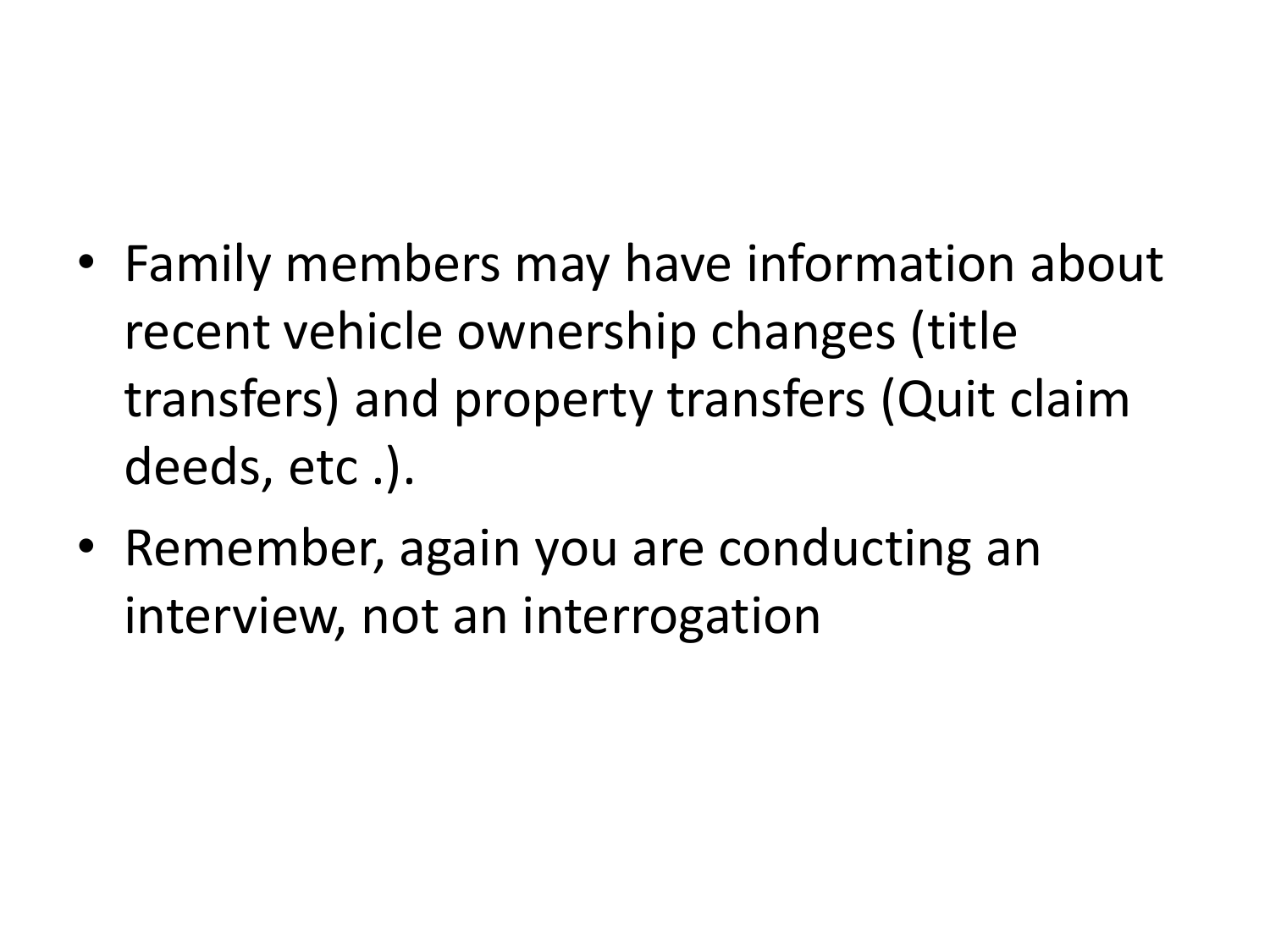- Family members may have information about recent vehicle ownership changes (title transfers) and property transfers (Quit claim deeds, etc .).
- Remember, again you are conducting an interview, not an interrogation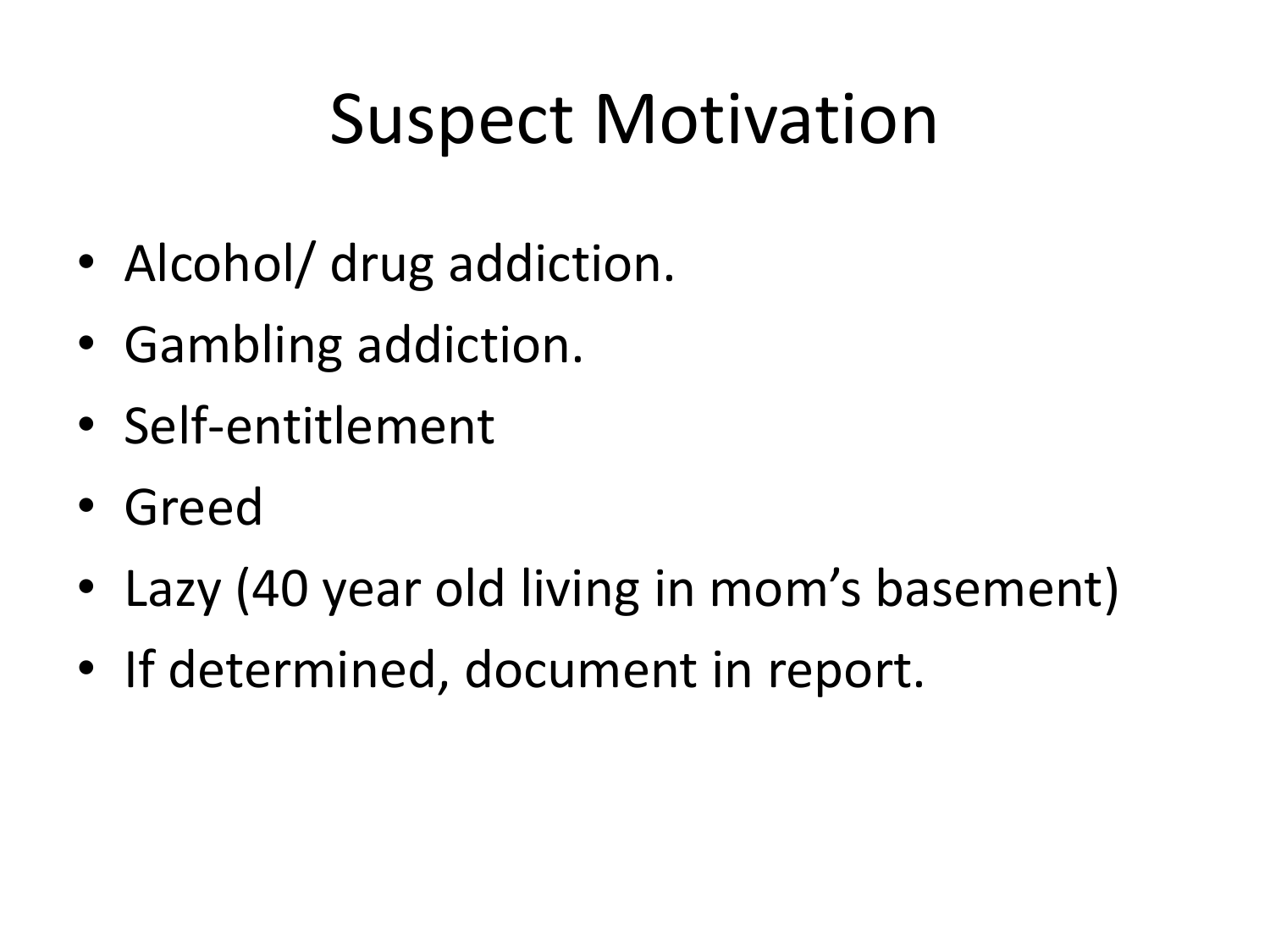## Suspect Motivation

- Alcohol/ drug addiction.
- Gambling addiction.
- Self-entitlement
- Greed
- Lazy (40 year old living in mom's basement)
- If determined, document in report.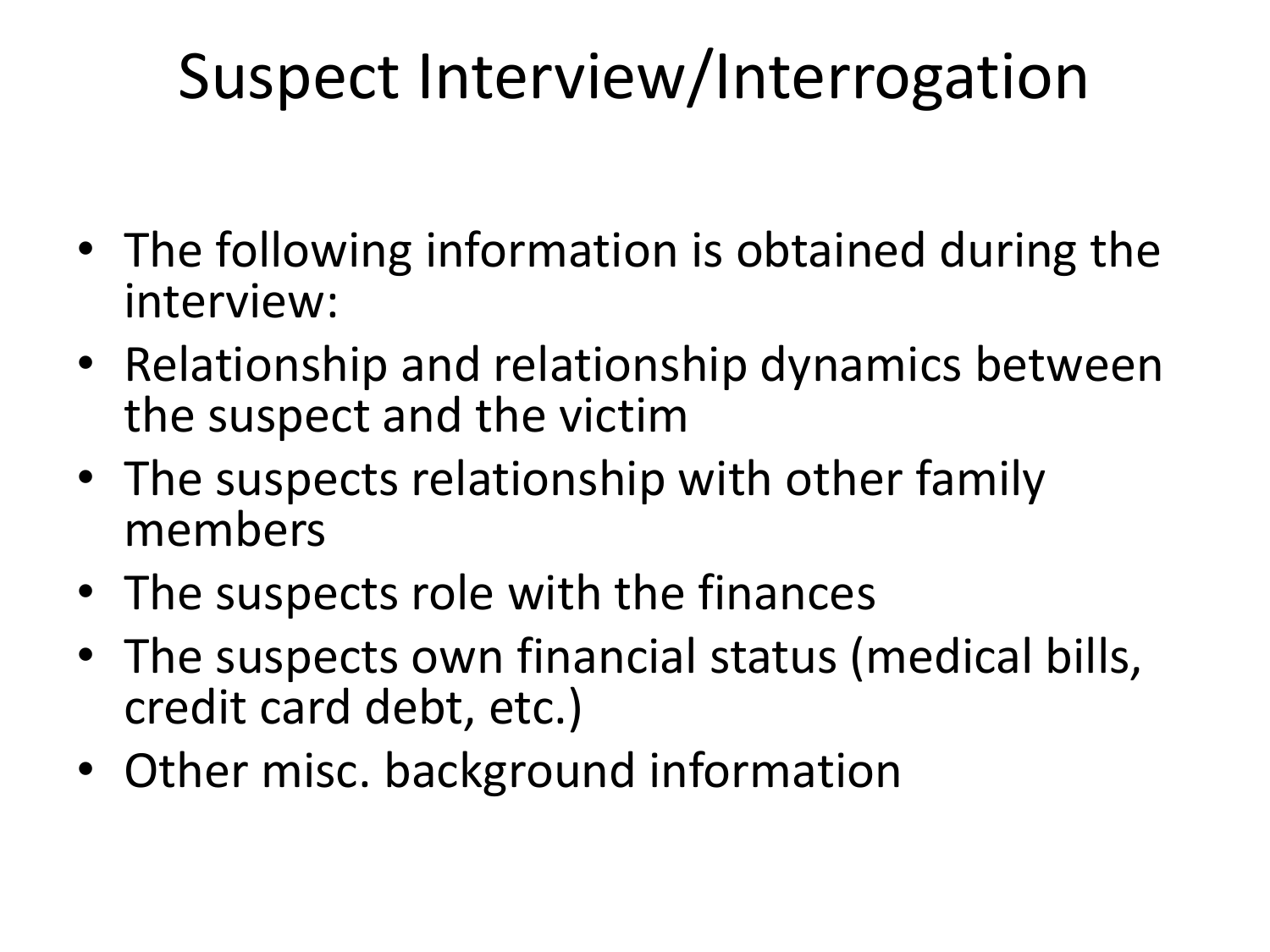## Suspect Interview/Interrogation

- The following information is obtained during the interview:
- Relationship and relationship dynamics between the suspect and the victim
- The suspects relationship with other family members
- The suspects role with the finances
- The suspects own financial status (medical bills, credit card debt, etc.)
- Other misc. background information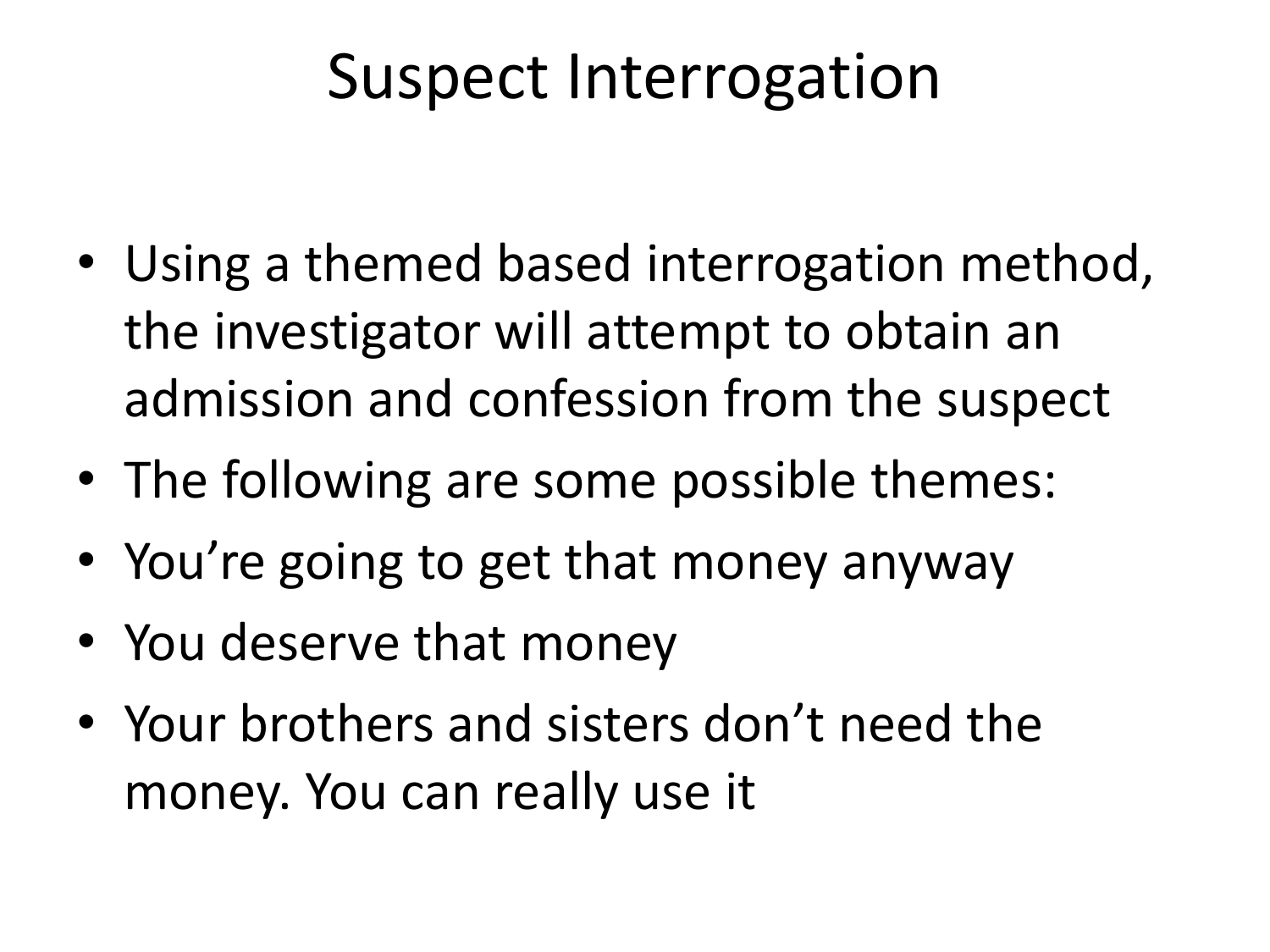### Suspect Interrogation

- Using a themed based interrogation method, the investigator will attempt to obtain an admission and confession from the suspect
- The following are some possible themes:
- You're going to get that money anyway
- You deserve that money
- Your brothers and sisters don't need the money. You can really use it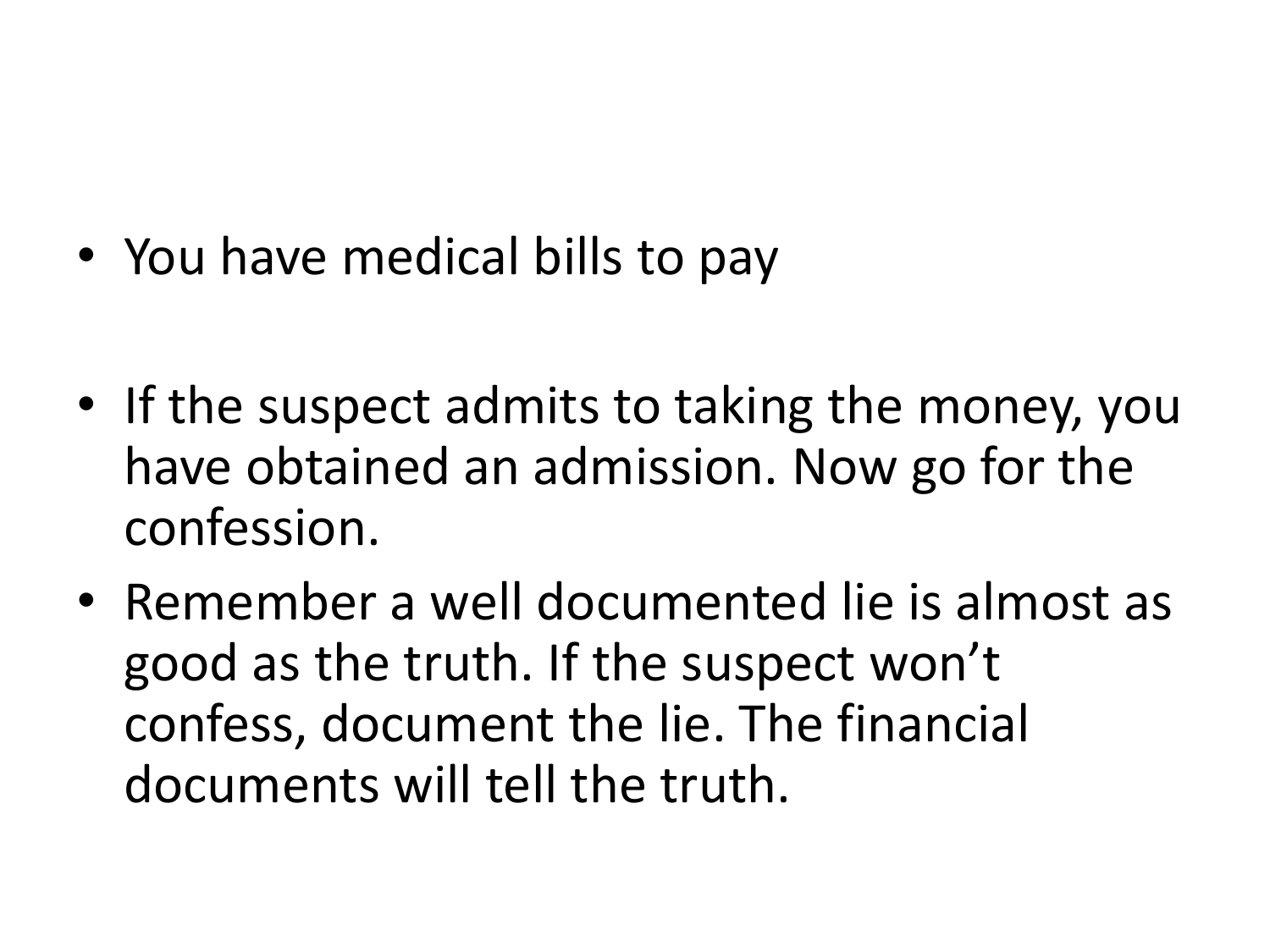- You have medical bills to pay
- If the suspect admits to taking the money, you have obtained an admission. Now go for the confession.
- Remember a well documented lie is almost as good as the truth. If the suspect won't confess, document the lie. The financial documents will tell the truth.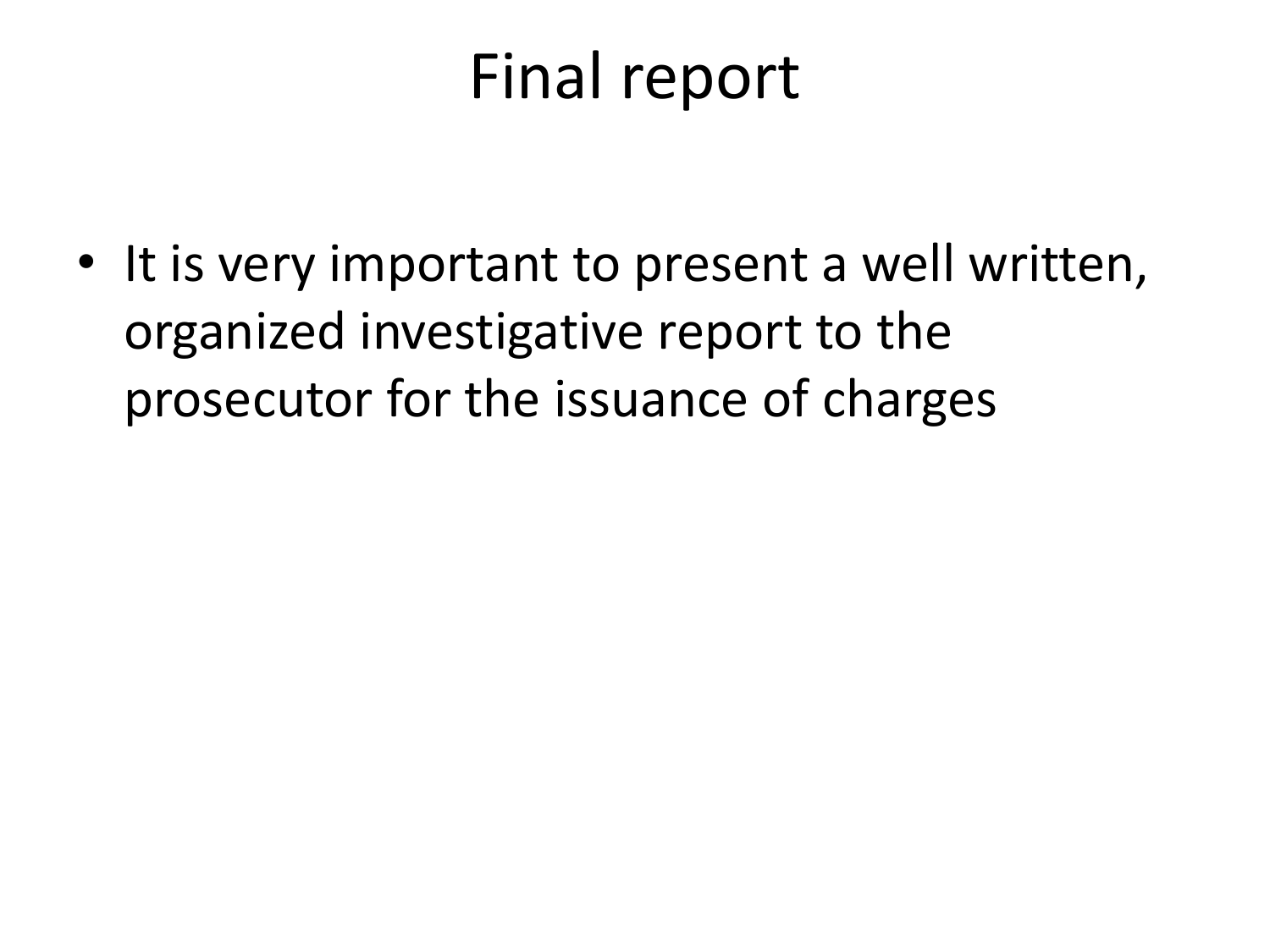### Final report

• It is very important to present a well written, organized investigative report to the prosecutor for the issuance of charges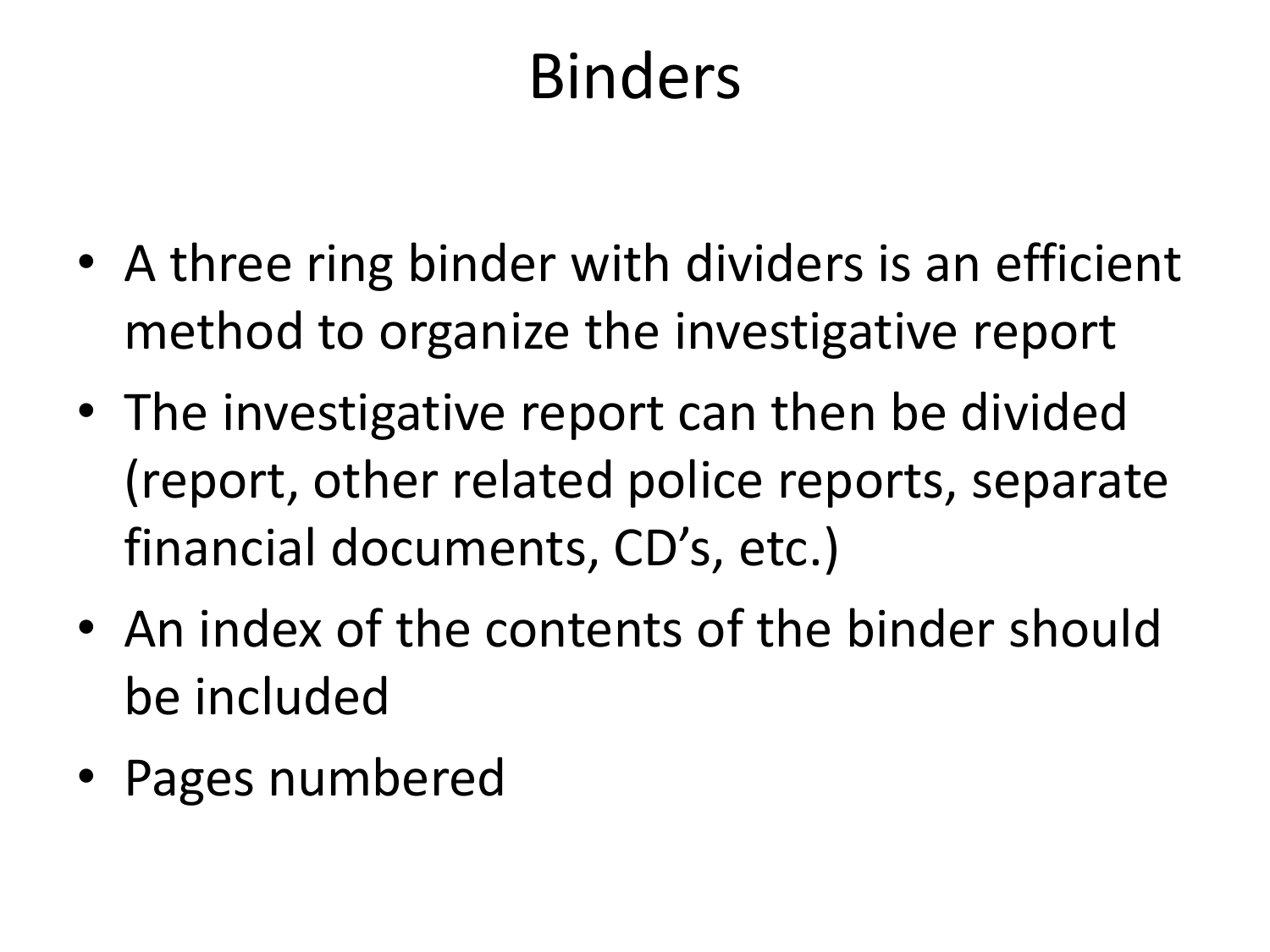## Binders

- A three ring binder with dividers is an efficient method to organize the investigative report
- The investigative report can then be divided (report, other related police reports, separate financial documents, CD's, etc.)
- An index of the contents of the binder should be included
- Pages numbered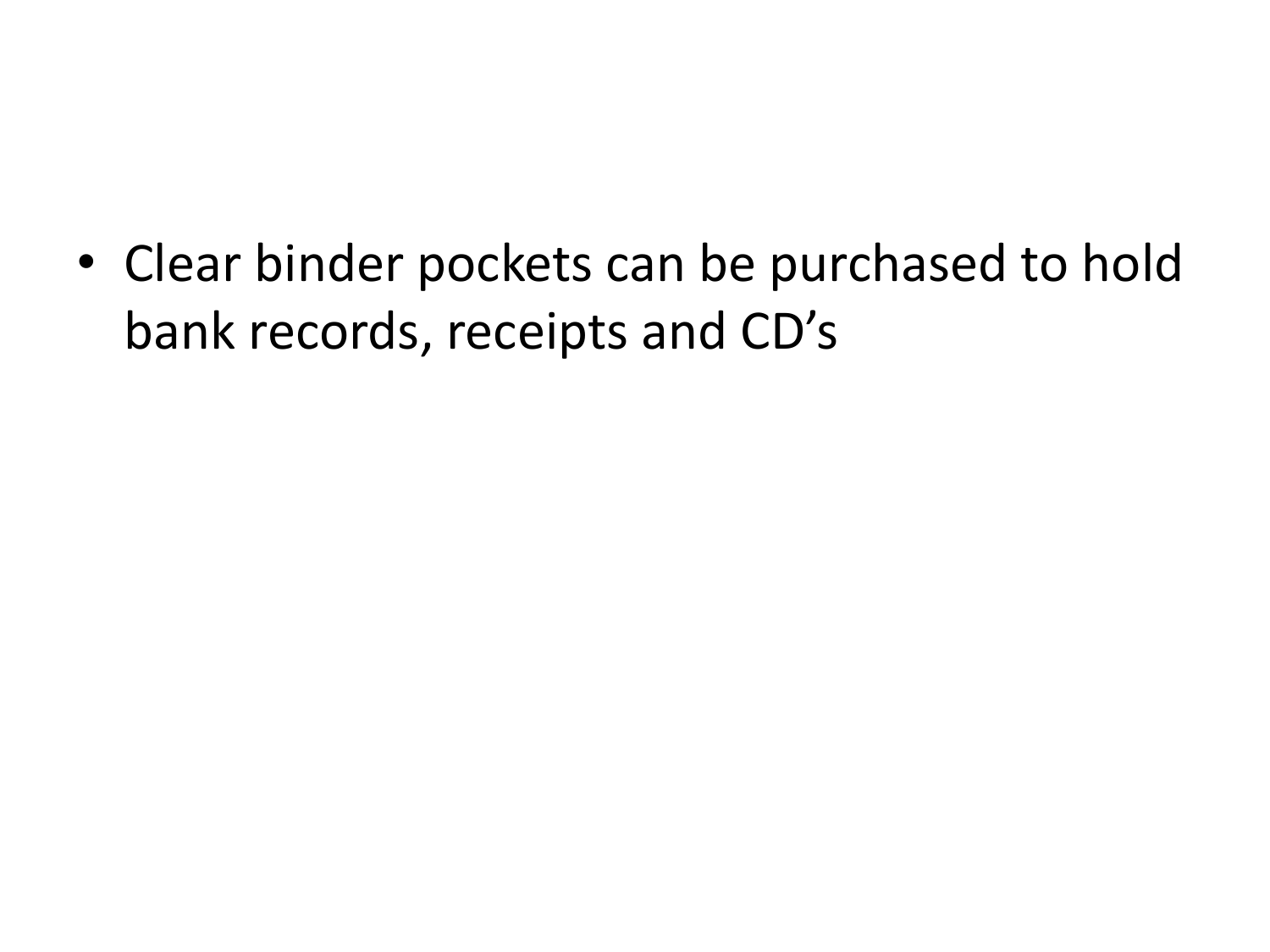• Clear binder pockets can be purchased to hold bank records, receipts and CD's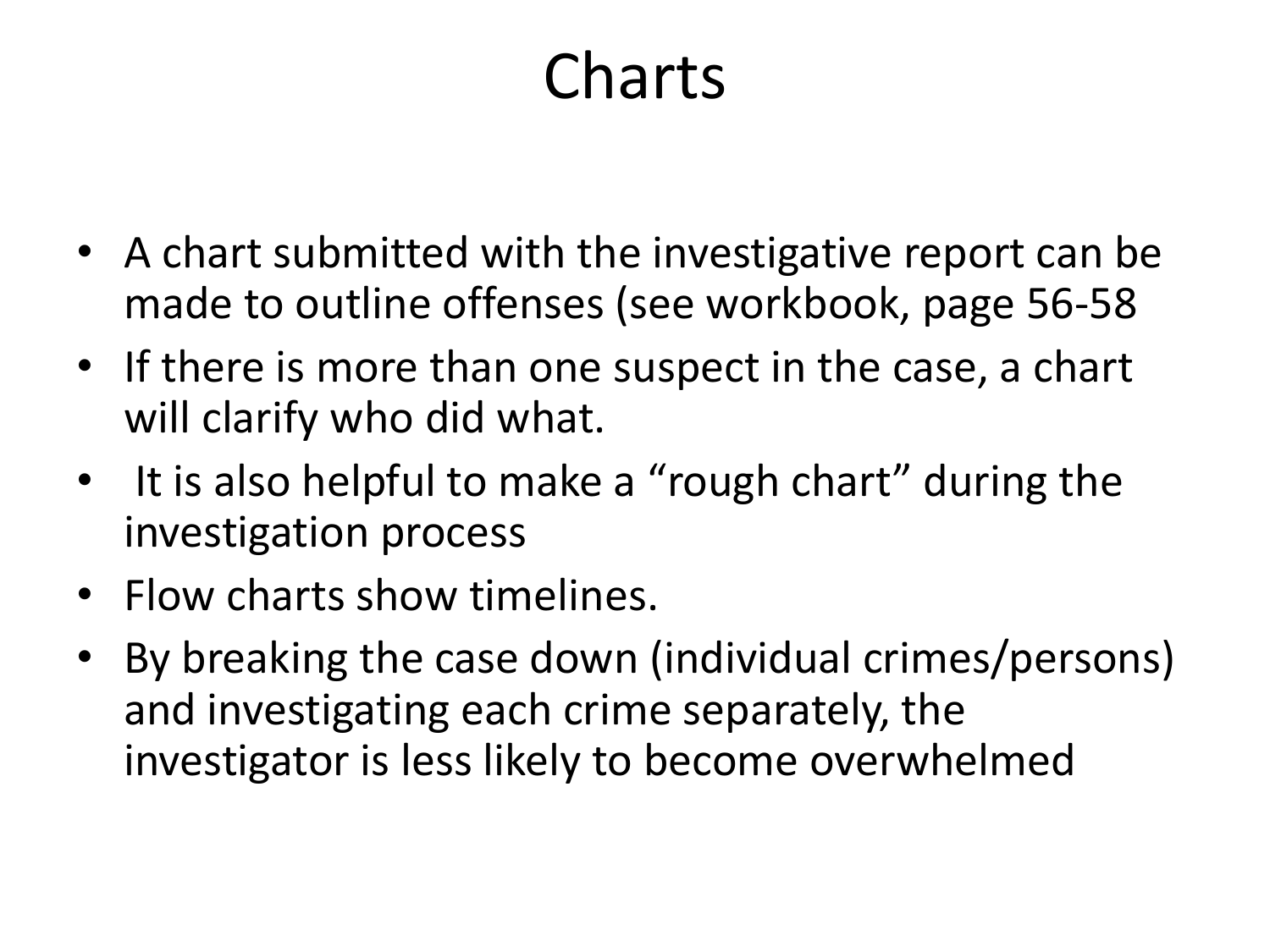## Charts

- A chart submitted with the investigative report can be made to outline offenses (see workbook, page 56-58
- If there is more than one suspect in the case, a chart will clarify who did what.
- It is also helpful to make a "rough chart" during the investigation process
- Flow charts show timelines.
- By breaking the case down (individual crimes/persons) and investigating each crime separately, the investigator is less likely to become overwhelmed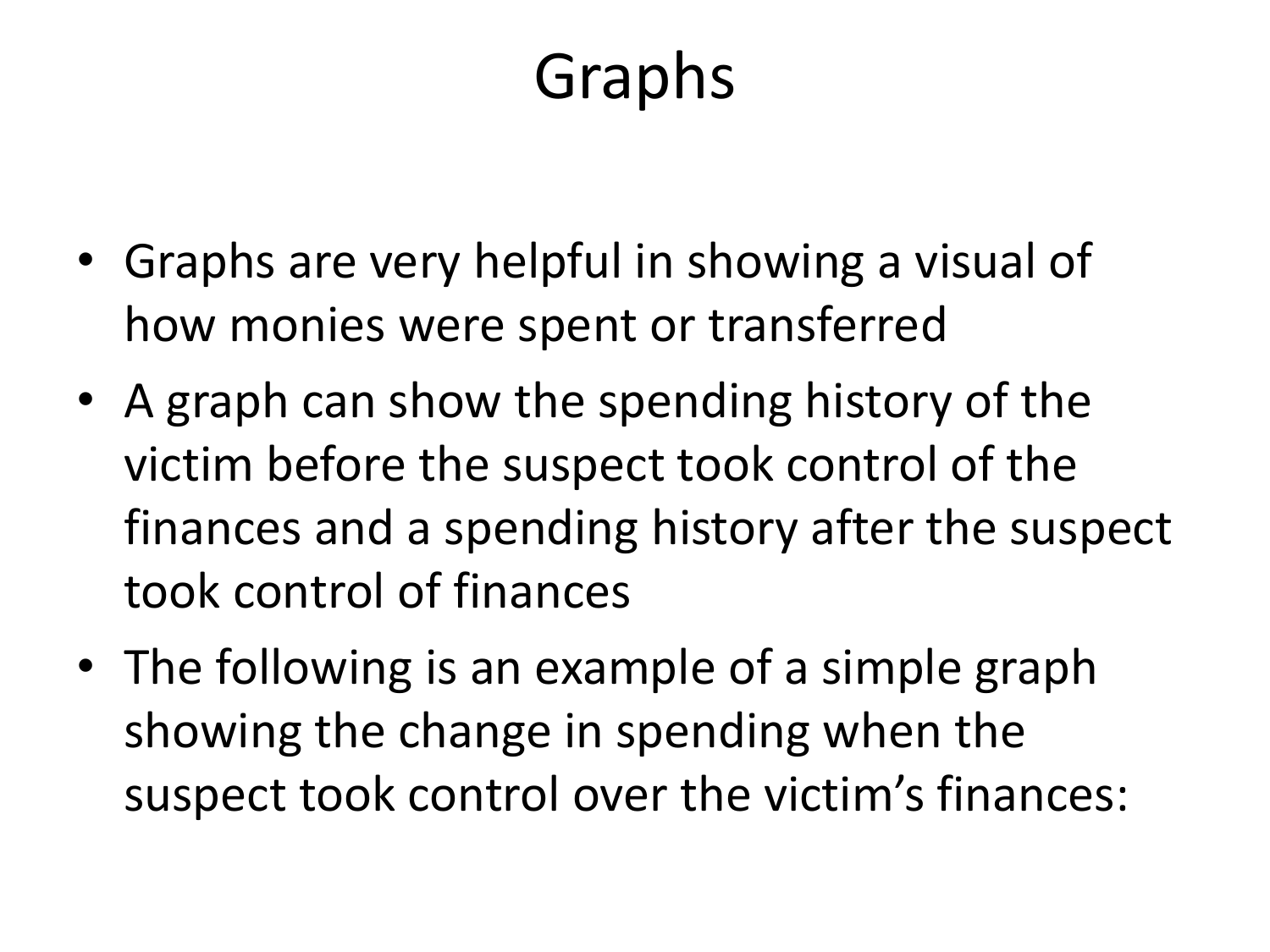## Graphs

- Graphs are very helpful in showing a visual of how monies were spent or transferred
- A graph can show the spending history of the victim before the suspect took control of the finances and a spending history after the suspect took control of finances
- The following is an example of a simple graph showing the change in spending when the suspect took control over the victim's finances: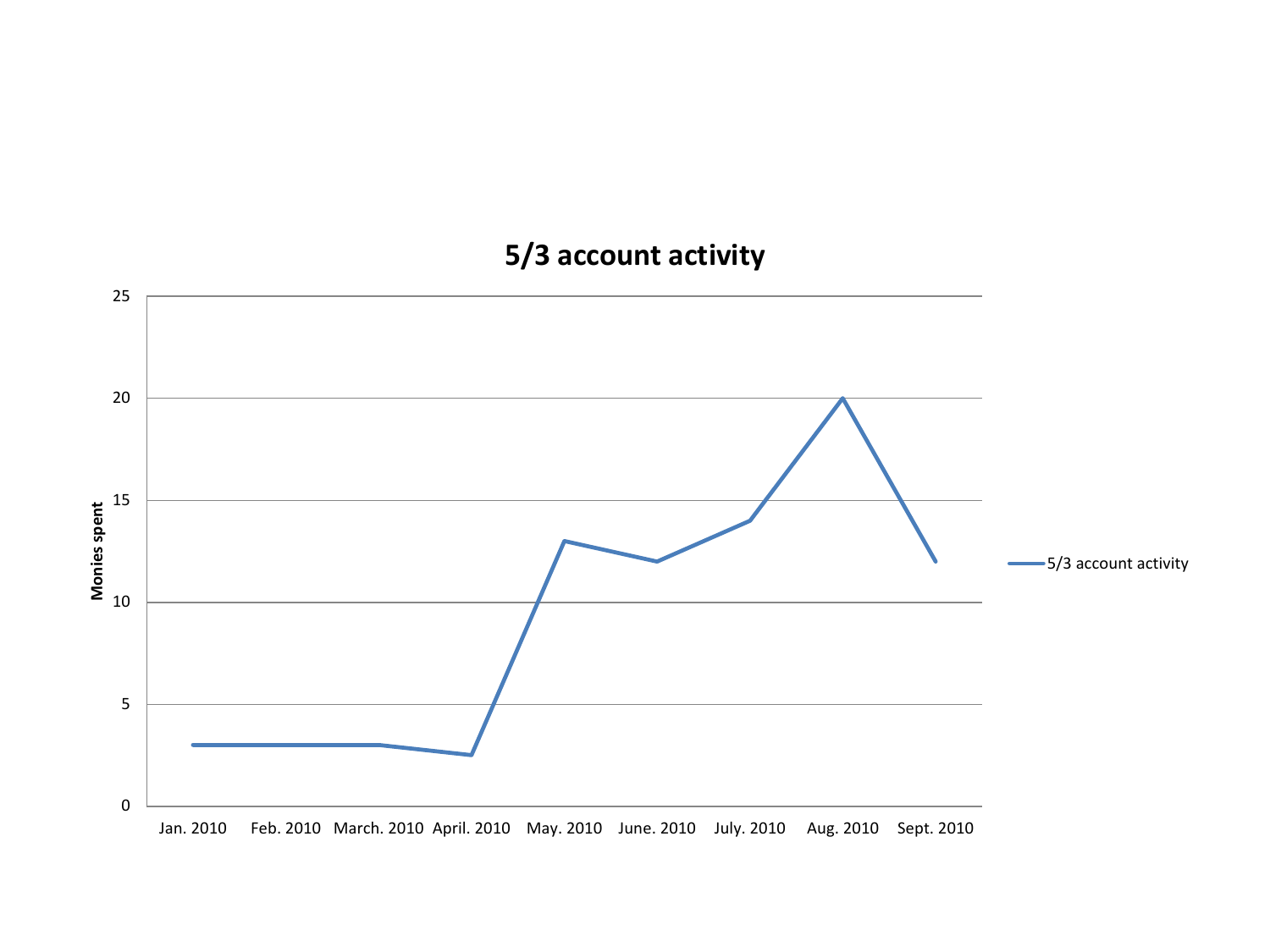#### **5/3 account activity**

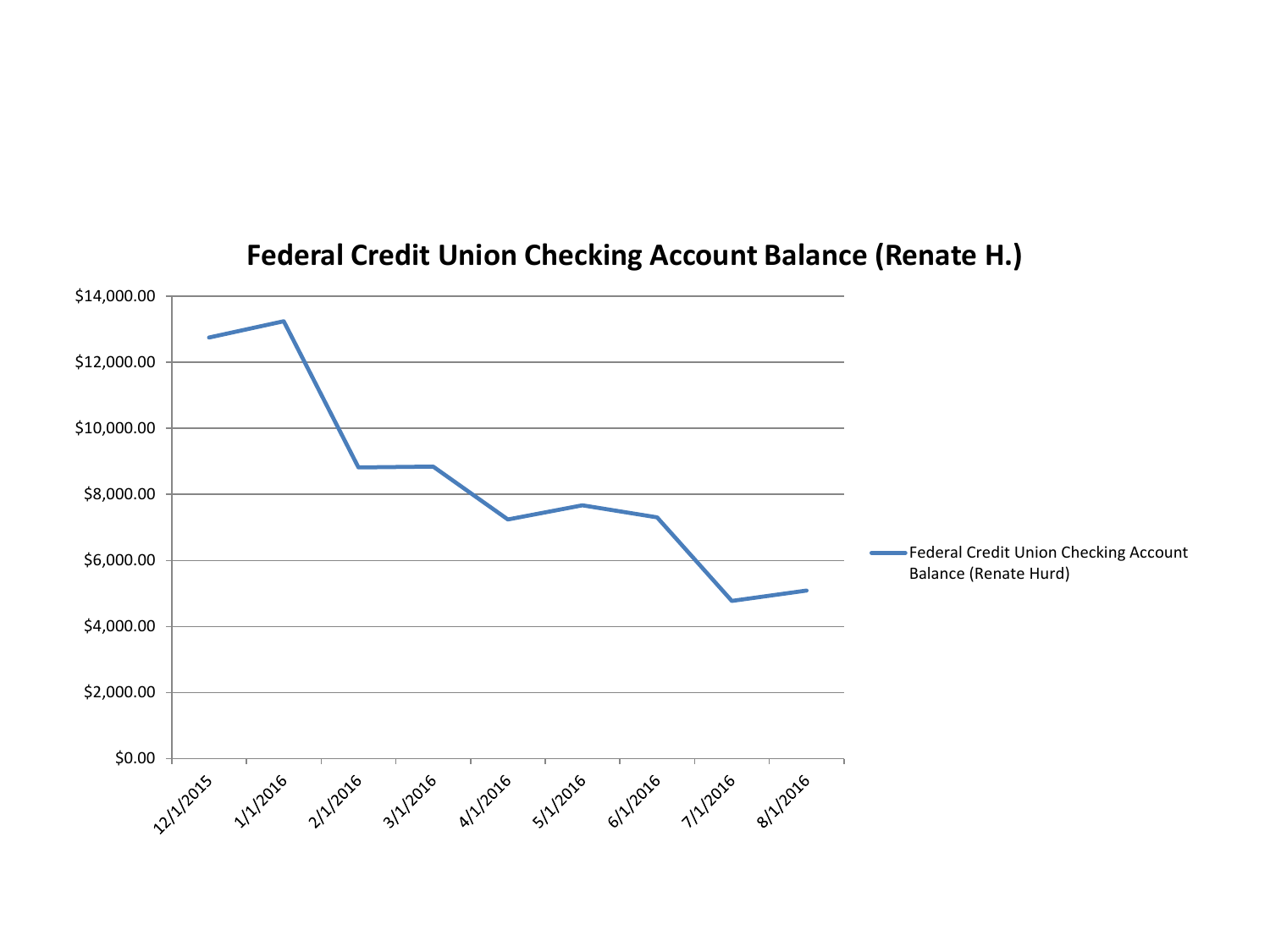

#### **Federal Credit Union Checking Account Balance (Renate H.)**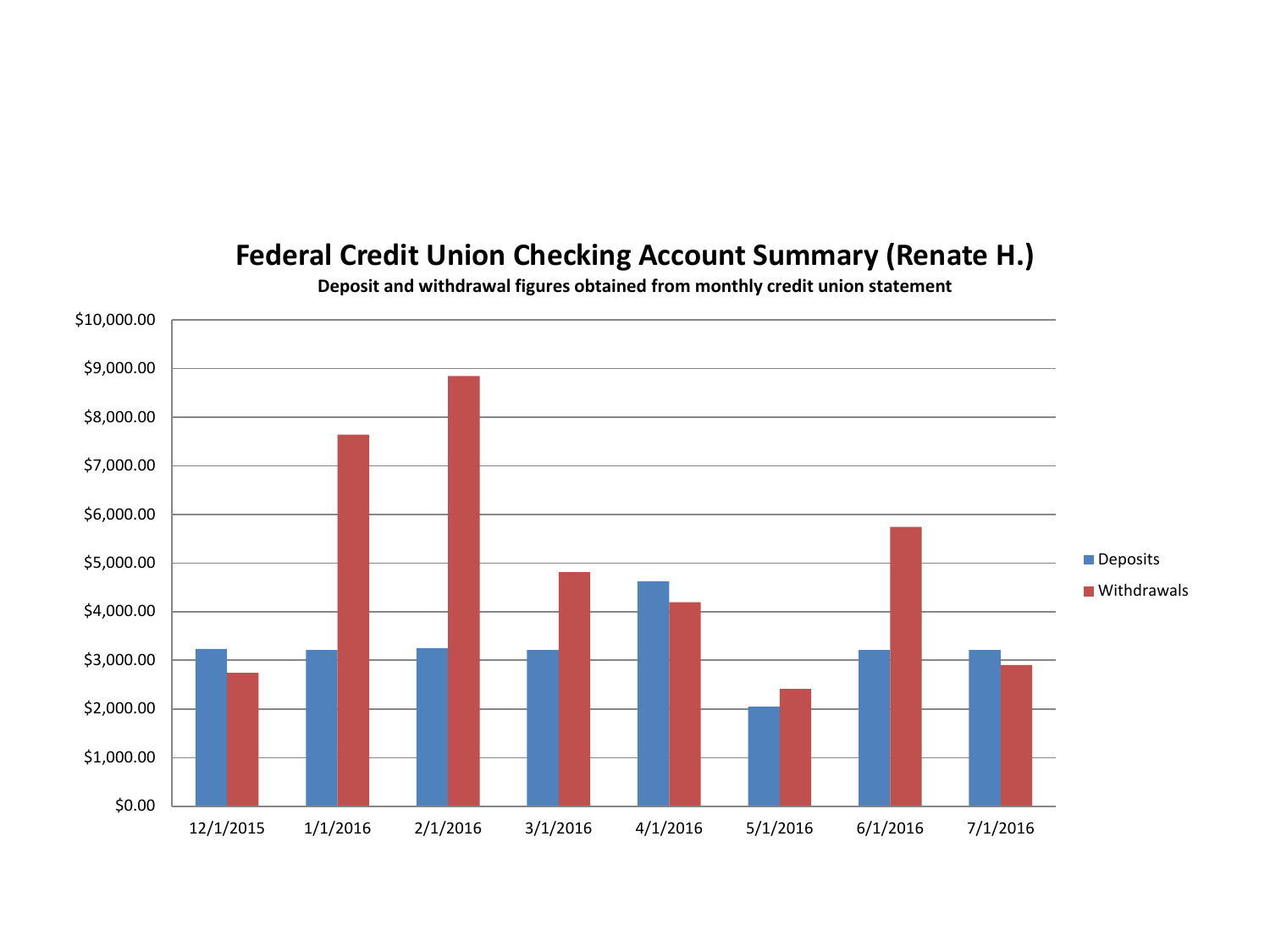#### **Federal Credit Union Checking Account Summary (Renate H.)**



**Deposit and withdrawal figures obtained from monthly credit union statement**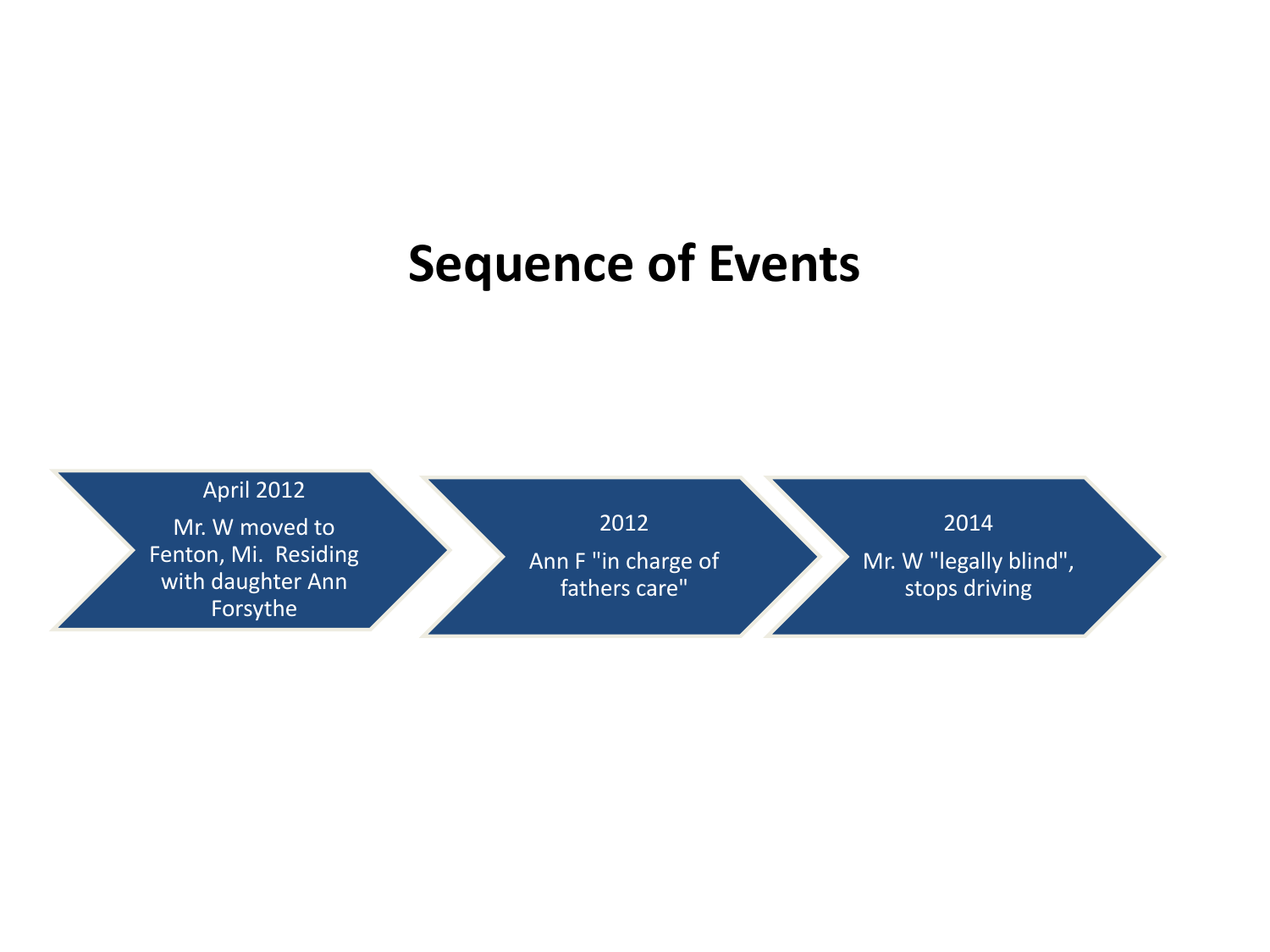### **Sequence of Events**

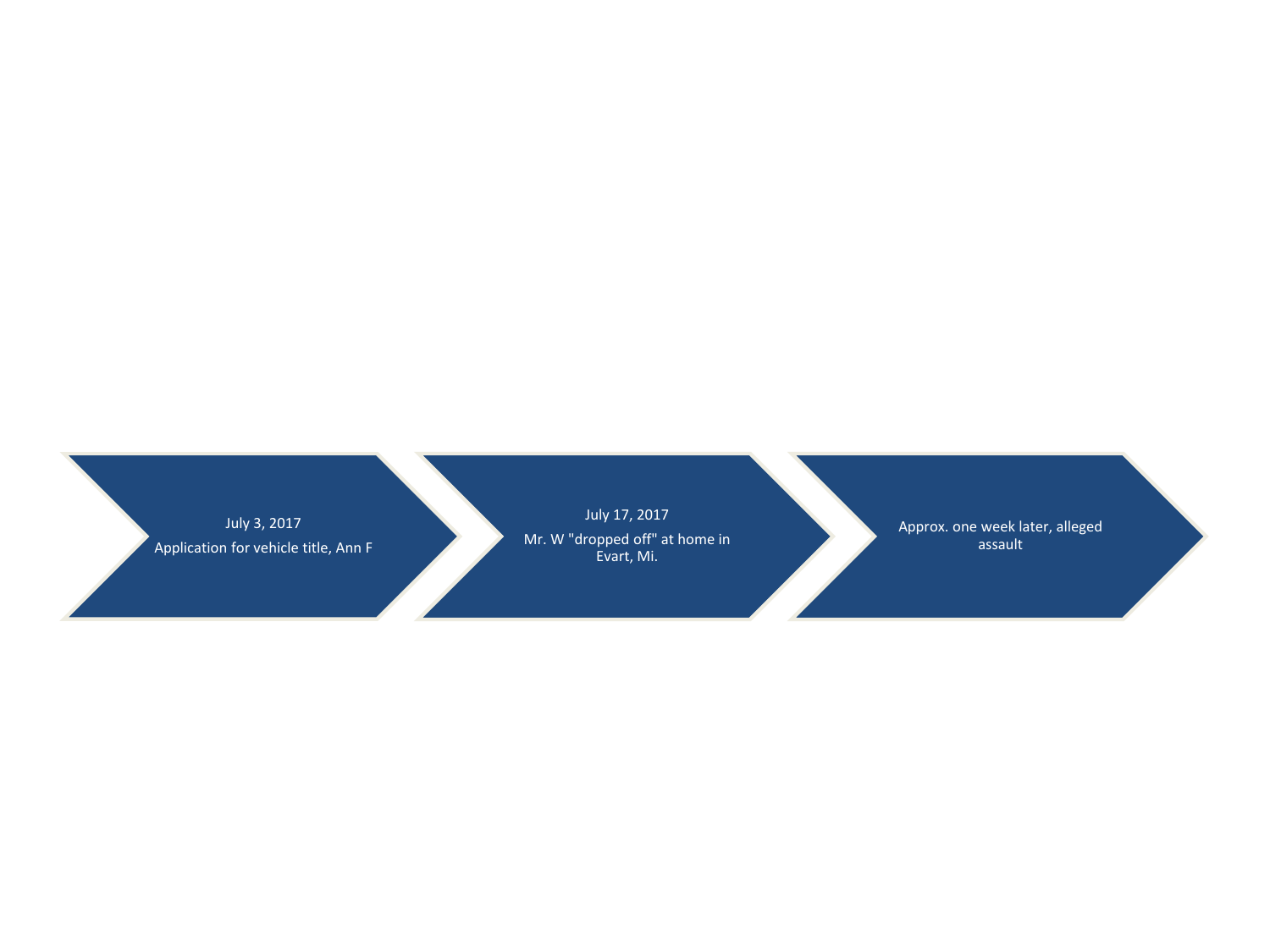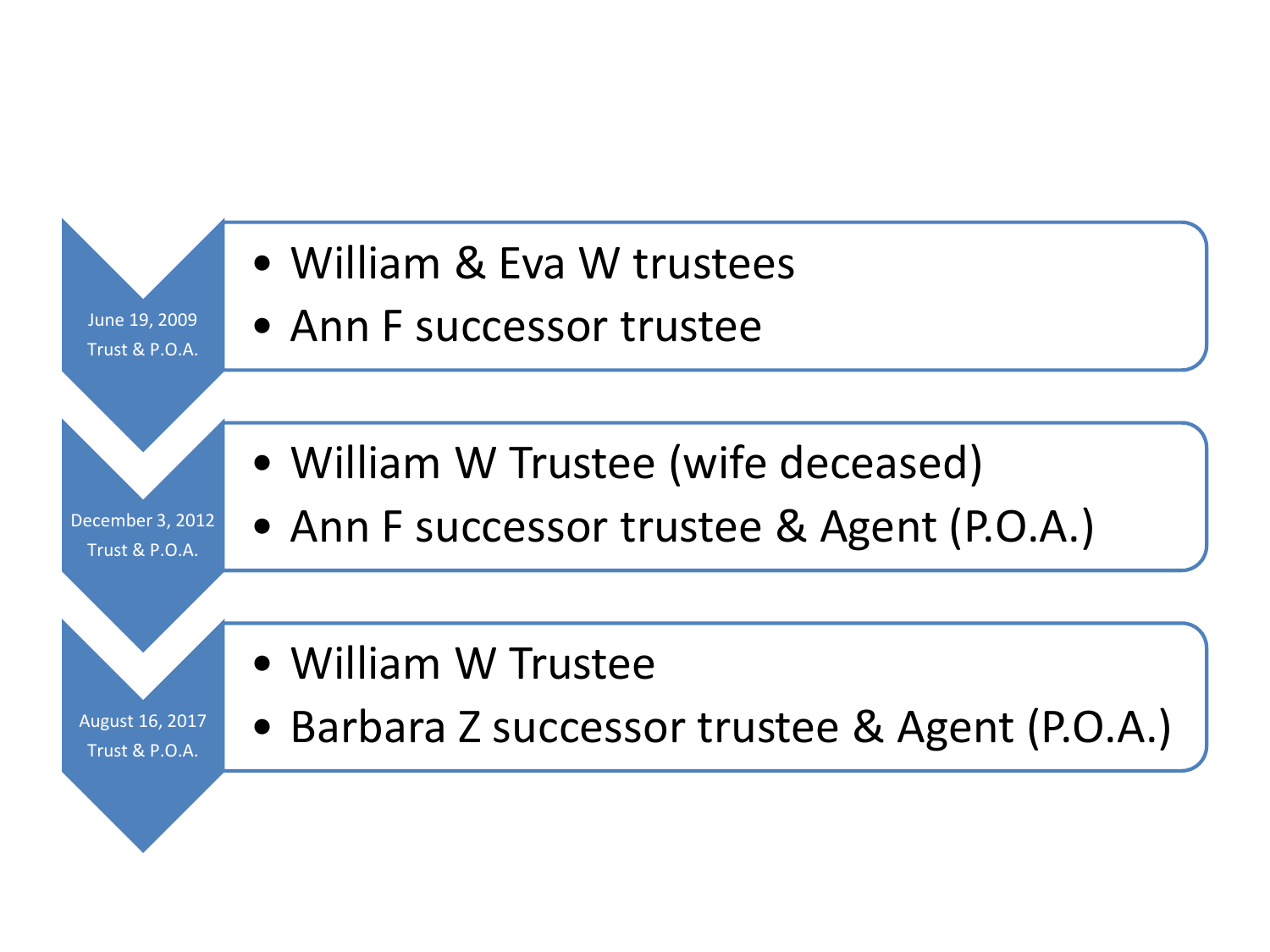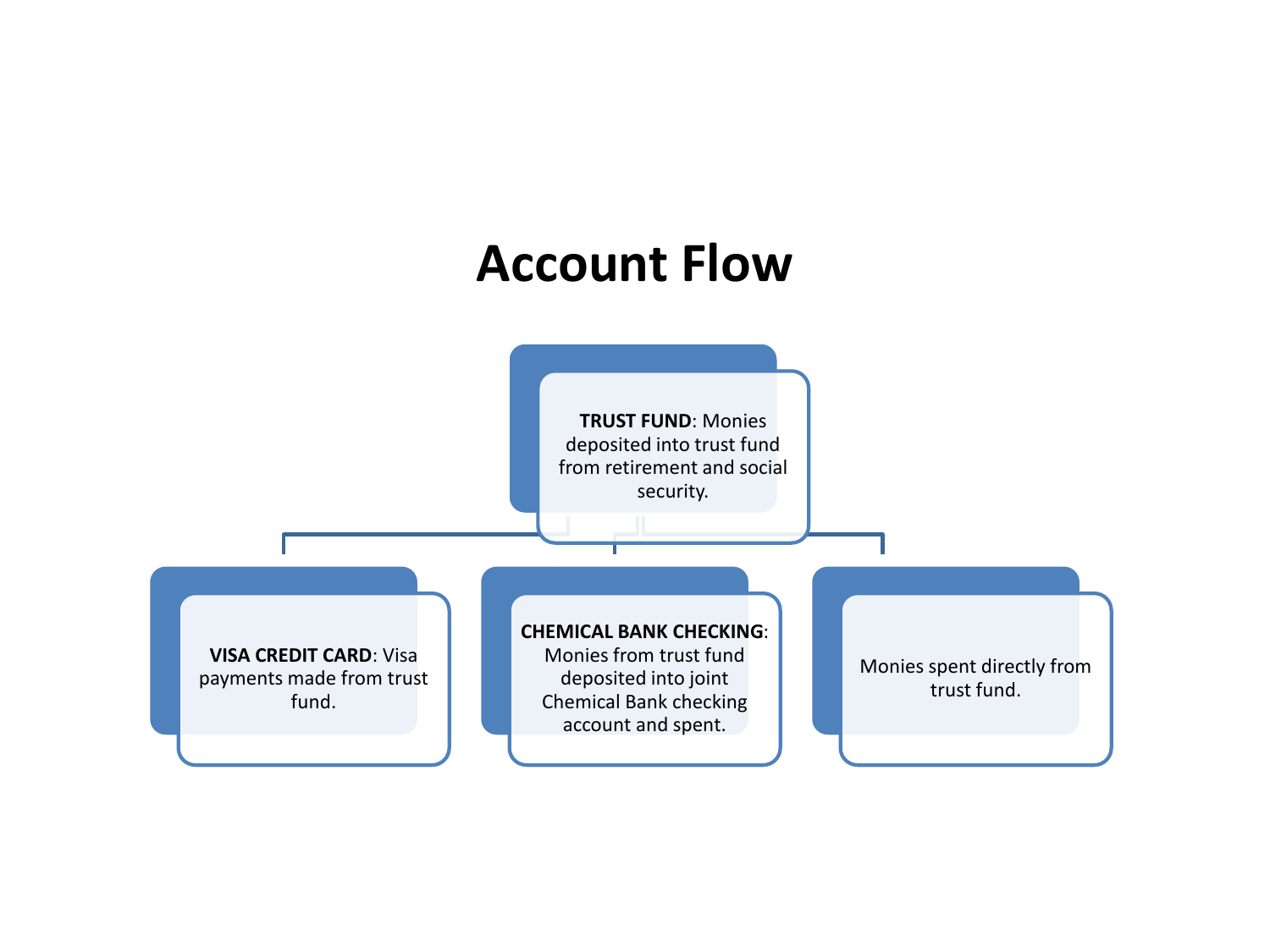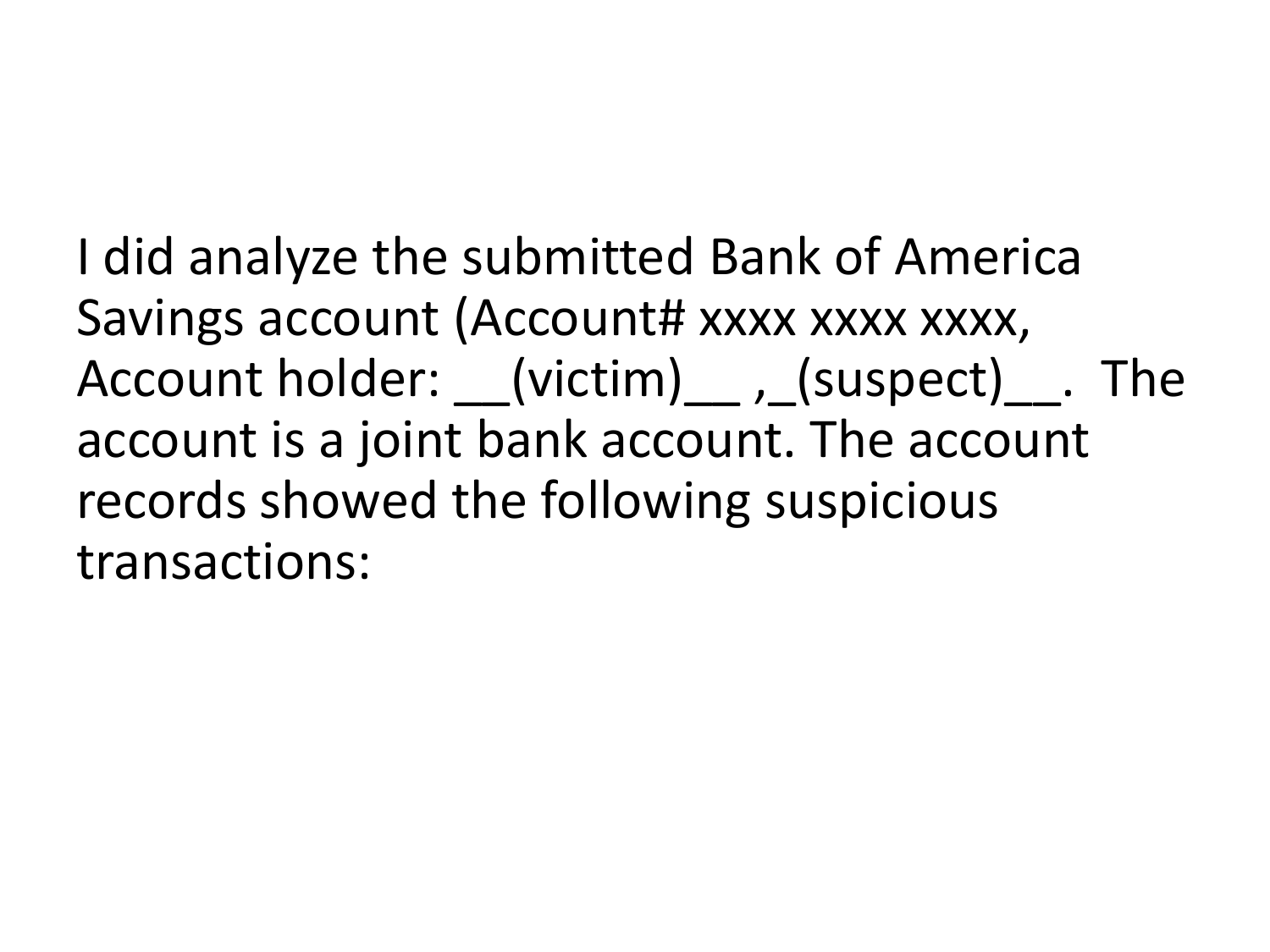I did analyze the submitted Bank of America Savings account (Account# xxxx xxxx xxxx, Account holder: (victim) , (suspect) . The account is a joint bank account. The account records showed the following suspicious transactions: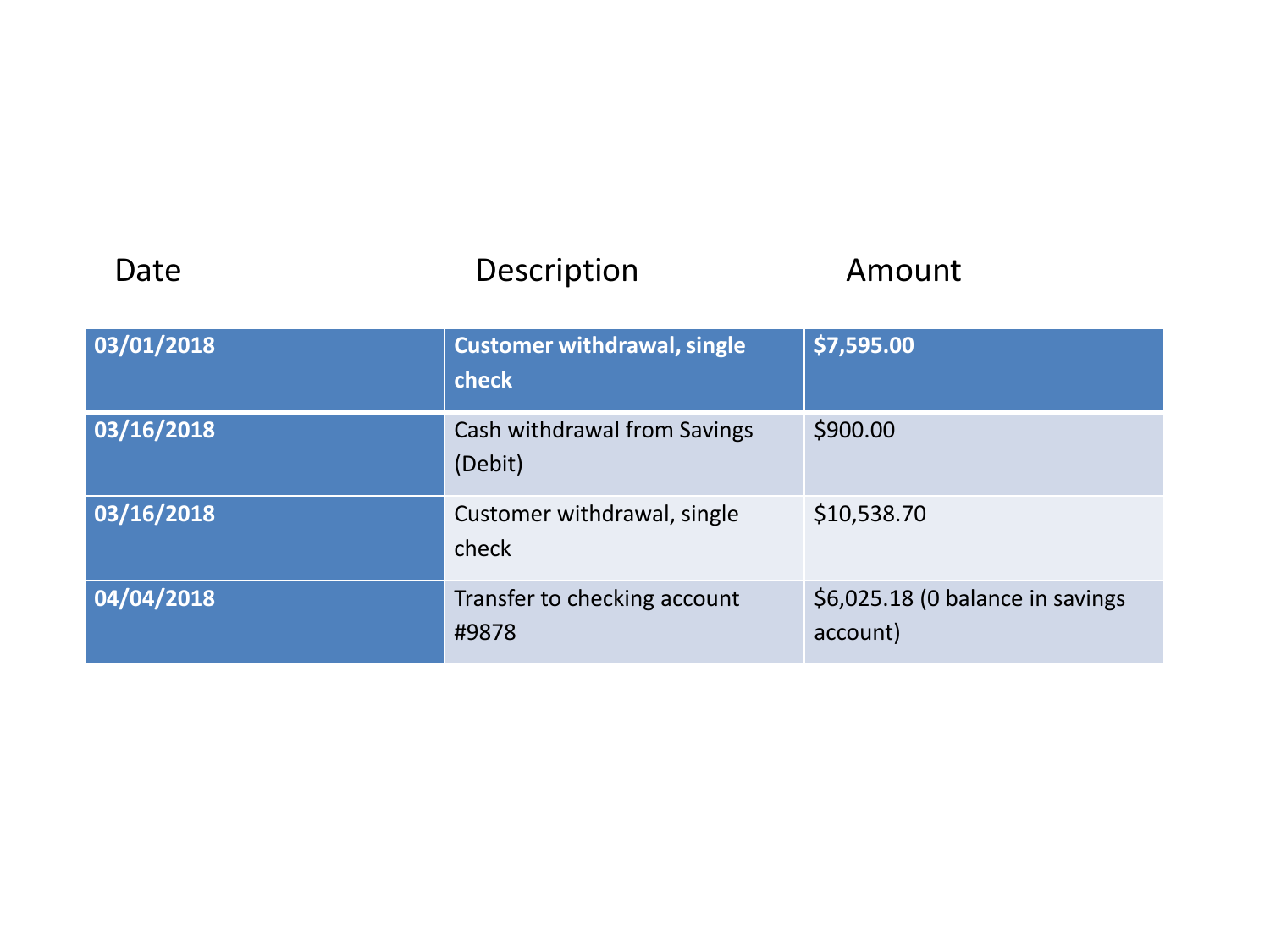| Date       | Description                                 | Amount                                       |
|------------|---------------------------------------------|----------------------------------------------|
| 03/01/2018 | <b>Customer withdrawal, single</b><br>check | \$7,595.00                                   |
| 03/16/2018 | Cash withdrawal from Savings<br>(Debit)     | \$900.00                                     |
| 03/16/2018 | Customer withdrawal, single<br>check        | \$10,538.70                                  |
| 04/04/2018 | Transfer to checking account<br>#9878       | \$6,025.18 (0 balance in savings<br>account) |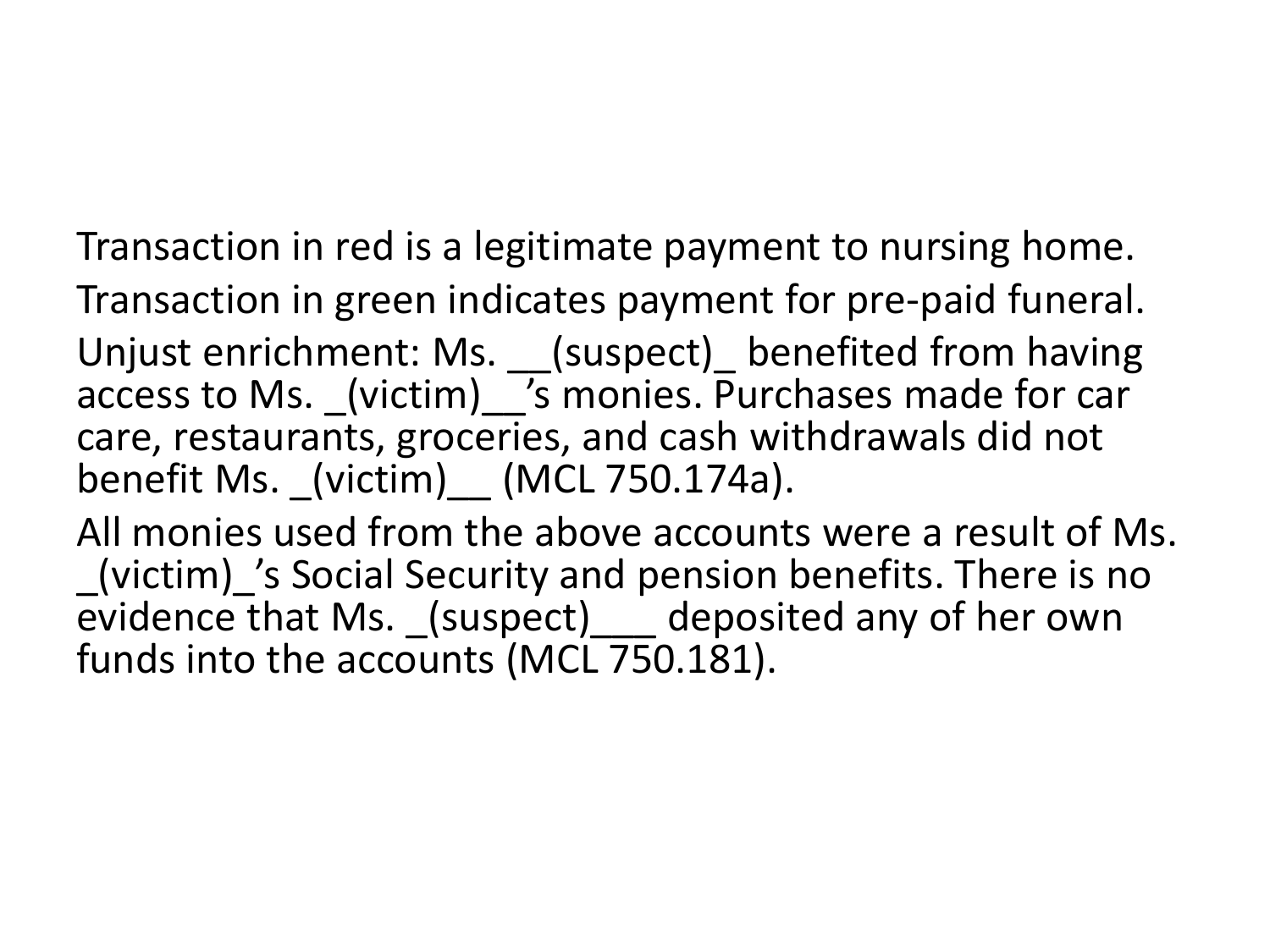Transaction in red is a legitimate payment to nursing home. Transaction in green indicates payment for pre-paid funeral. Unjust enrichment: Ms. \_\_(suspect)\_ benefited from having access to Ms. (victim) 's monies. Purchases made for car care, restaurants, groceries, and cash withdrawals did not benefit Ms. (victim)  $(MCL 750.174a)$ .

All monies used from the above accounts were a result of Ms. \_(victim)\_'s Social Security and pension benefits. There is no evidence that Ms. (suspect) deposited any of her own funds into the accounts (MCL 750.181).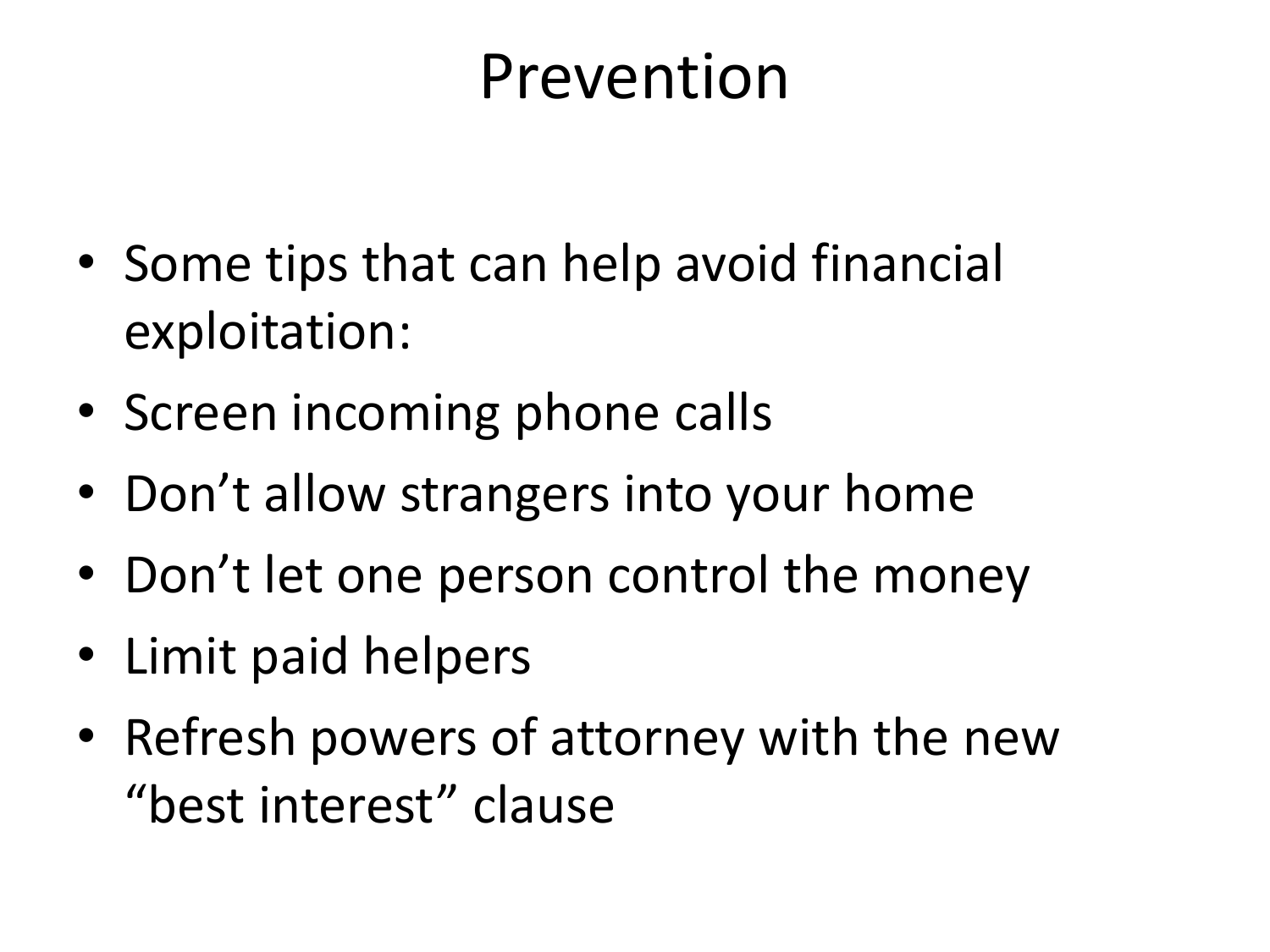### Prevention

- Some tips that can help avoid financial exploitation:
- Screen incoming phone calls
- Don't allow strangers into your home
- Don't let one person control the money
- Limit paid helpers
- Refresh powers of attorney with the new "best interest" clause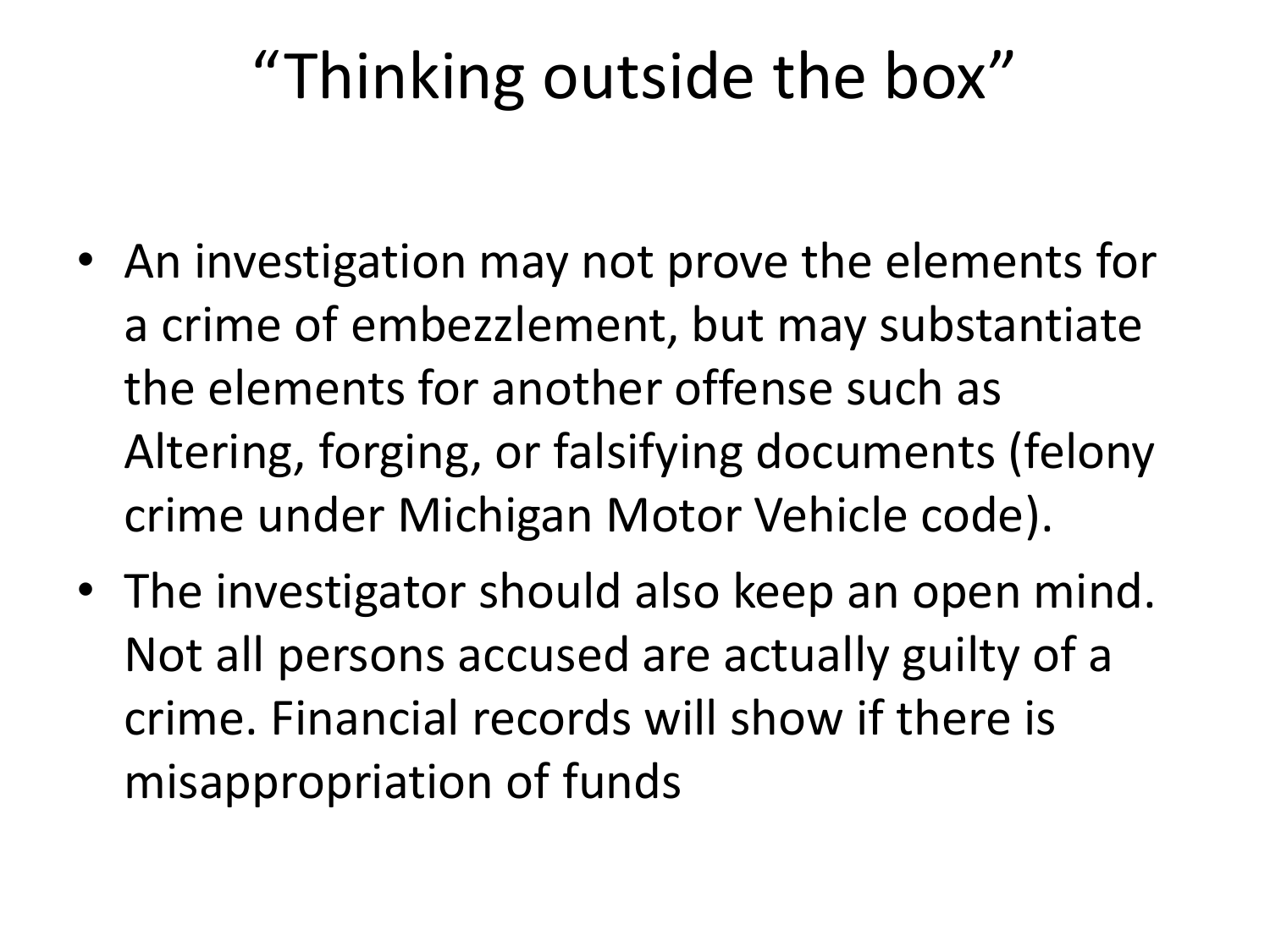## "Thinking outside the box"

- An investigation may not prove the elements for a crime of embezzlement, but may substantiate the elements for another offense such as Altering, forging, or falsifying documents (felony crime under Michigan Motor Vehicle code).
- The investigator should also keep an open mind. Not all persons accused are actually guilty of a crime. Financial records will show if there is misappropriation of funds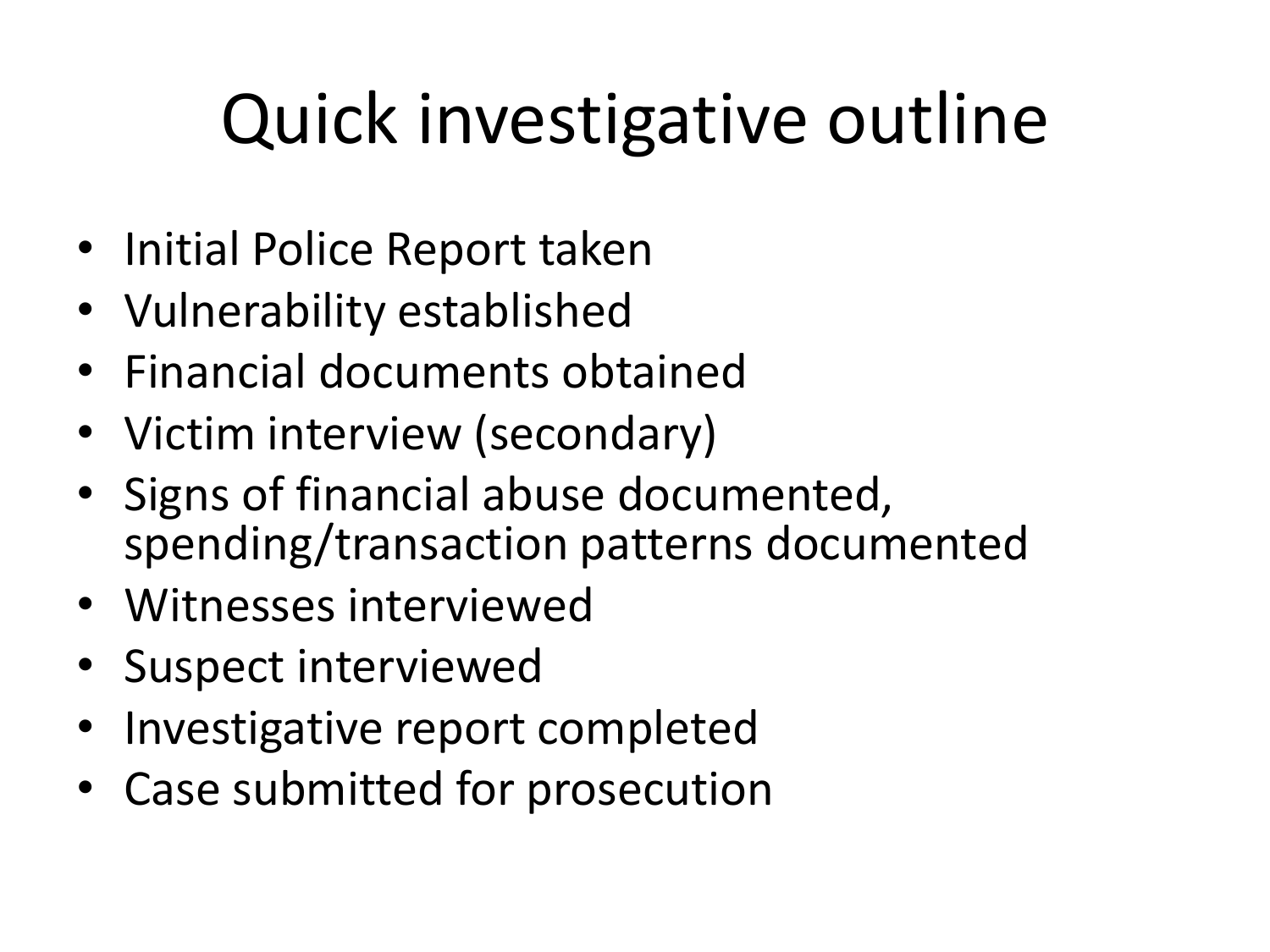# Quick investigative outline

- Initial Police Report taken
- Vulnerability established
- Financial documents obtained
- Victim interview (secondary)
- Signs of financial abuse documented, spending/transaction patterns documented
- Witnesses interviewed
- Suspect interviewed
- Investigative report completed
- Case submitted for prosecution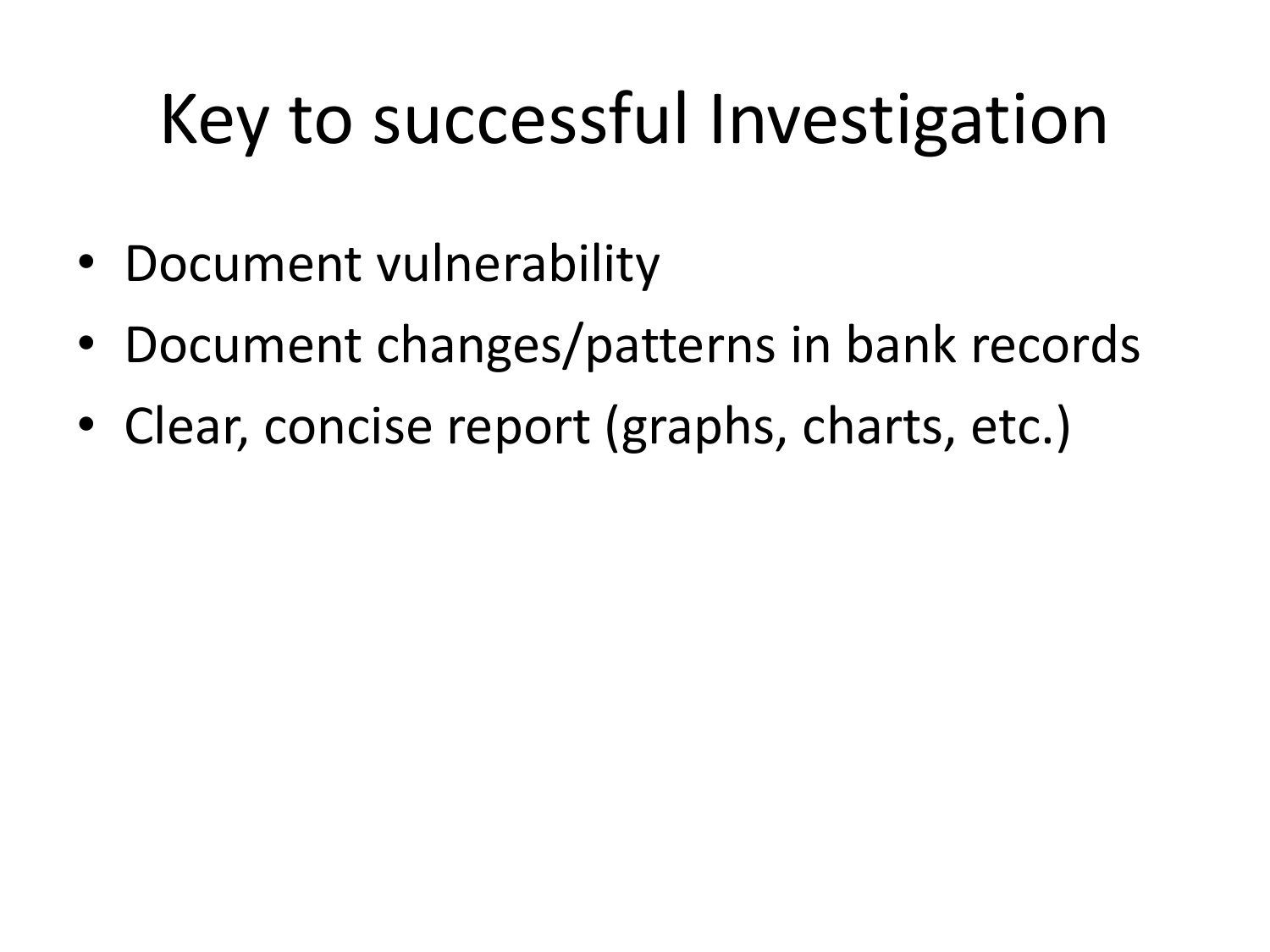# Key to successful Investigation

- Document vulnerability
- Document changes/patterns in bank records
- Clear, concise report (graphs, charts, etc.)